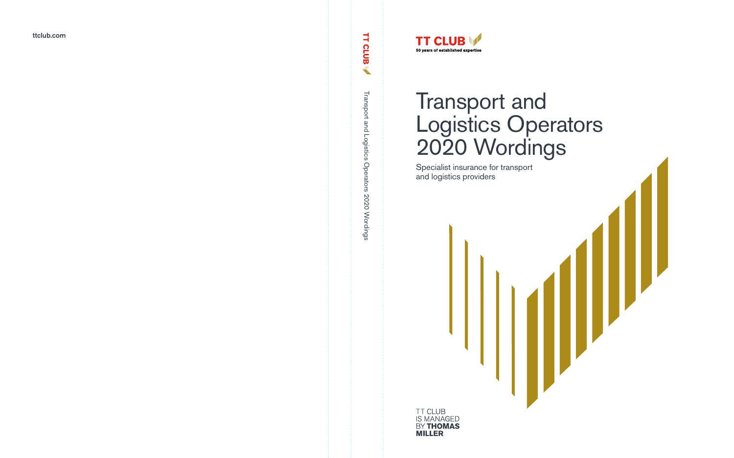ttclub.com





# Transport and Logistics Operators 2020 Wordings

Specialist insurance for transport and logistics providers

TT CLUB<br>IS MANAGED<br>BY **THOMAS**<br>**MILLER**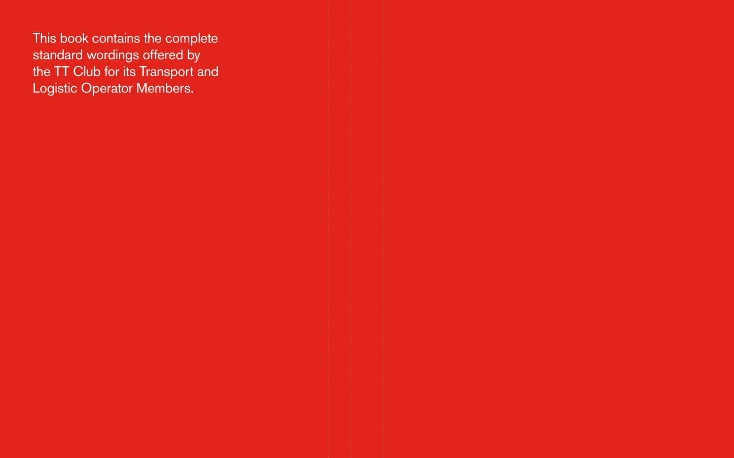This book contains the complete standard wordings offered by the TT Club for its Transport and Logistic Operator Members.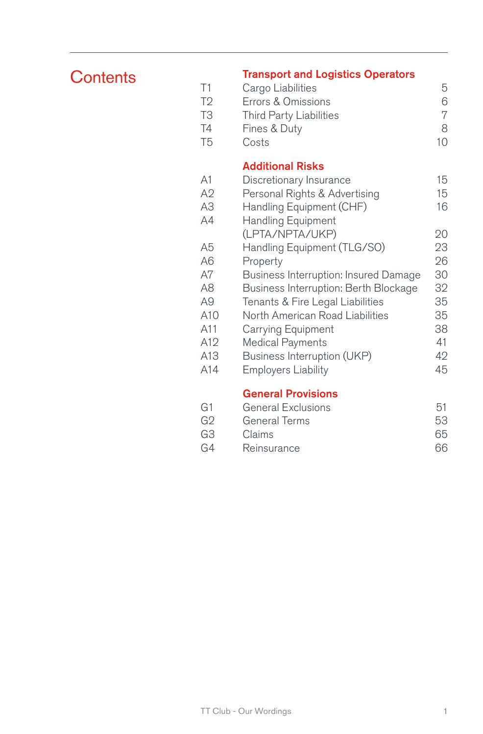# **Contents** Transport and Logistics Operators<br>
T1 Cargo Liabilities

| Τ1 | Cargo Liabilities              | 5  |
|----|--------------------------------|----|
| T9 | Errors & Omissions             | 6  |
| TЗ | <b>Third Party Liabilities</b> |    |
| T4 | Fines & Duty                   | 8  |
| Т5 | Costs                          | 10 |

#### Additional Risks

| A1  | Discretionary Insurance               | 15 |
|-----|---------------------------------------|----|
| A2  | Personal Rights & Advertising         | 15 |
| ΑЗ  | Handling Equipment (CHF)              | 16 |
| A4  | Handling Equipment                    |    |
|     | (LPTA/NPTA/UKP)                       | 20 |
| А5  | Handling Equipment (TLG/SO)           | 23 |
| A6  | Property                              | 26 |
| A7  | Business Interruption: Insured Damage | 30 |
| Α8  | Business Interruption: Berth Blockage | 32 |
| А9  | Tenants & Fire Legal Liabilities      | 35 |
| A10 | North American Road Liabilities       | 35 |
| A11 | Carrying Equipment                    | 38 |
| A12 | <b>Medical Payments</b>               | 41 |
| A13 | Business Interruption (UKP)           | 42 |
| A14 | <b>Employers Liability</b>            | 45 |
|     |                                       |    |

#### General Provisions

| G1 | <b>General Exclusions</b> | 51  |
|----|---------------------------|-----|
| G2 | General Terms             | 53. |
| G3 | Claims                    | 65. |
| G4 | Reinsurance               | 66. |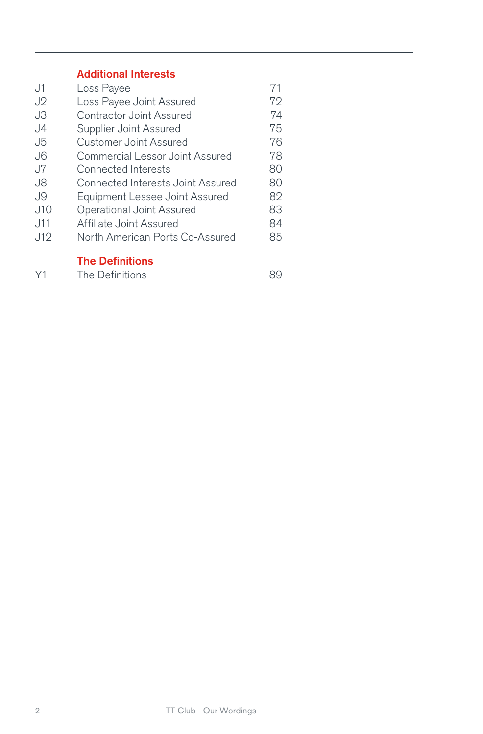#### Additional Interests

| J1             | Loss Payee                        | 71 |
|----------------|-----------------------------------|----|
| J2             | Loss Payee Joint Assured          | 72 |
| JЗ             | Contractor Joint Assured          | 74 |
| J <sub>4</sub> | Supplier Joint Assured            | 75 |
| J5             | Customer Joint Assured            | 76 |
| J6             | Commercial Lessor Joint Assured   | 78 |
| J7             | Connected Interests               | 80 |
| J8.            | Connected Interests Joint Assured | 80 |
| J9             | Equipment Lessee Joint Assured    | 82 |
| J10            | Operational Joint Assured         | 83 |
| J11            | Affiliate Joint Assured           | 84 |
| .J12           | North American Ports Co-Assured   | 85 |
|                | <b>The Definitions</b>            |    |

Y1 The Definitions 69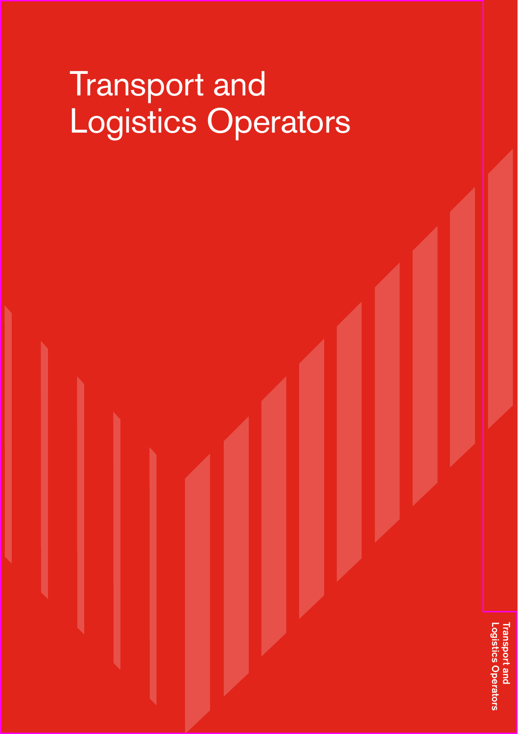# Transport and Logistics Operators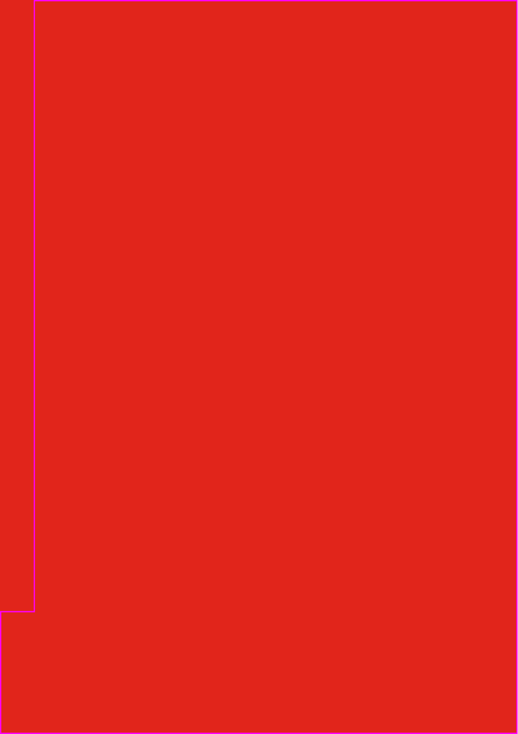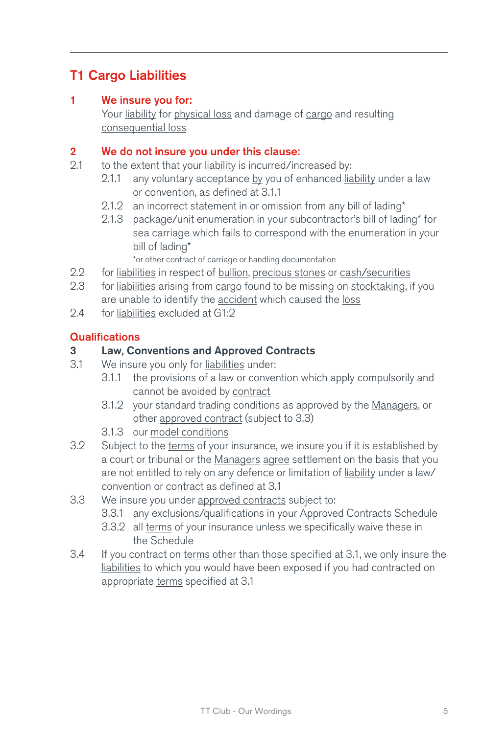## T1 Cargo Liabilities

#### 1 We insure you for:

 Your liability for physical loss and damage of cargo and resulting consequential loss

#### 2 We do not insure you under this clause:

- 2.1 to the extent that your liability is incurred/increased by:<br>2.1.1 any voluntary acceptance by you of enhanced lia
	- any voluntary acceptance by you of enhanced liability under a law or convention, as defined at 3.1.1
	- 2.1.2 an incorrect statement in or omission from any bill of lading\*
	- 2.1.3 package/unit enumeration in your subcontractor's bill of lading\* for sea carriage which fails to correspond with the enumeration in your bill of lading\*

\*or other contract of carriage or handling documentation

- 2.2 for liabilities in respect of bullion, precious stones or cash/securities
- 2.3 for liabilities arising from cargo found to be missing on stocktaking, if you are unable to identify the accident which caused the loss
- 2.4 for liabilities excluded at G1:2

#### **Qualifications**

#### 3 Law, Conventions and Approved Contracts

- 3.1 We insure you only for liabilities under:
	- 3.1.1 the provisions of a law or convention which apply compulsorily and cannot be avoided by contract
	- 3.1.2 your standard trading conditions as approved by the Managers, or other approved contract (subject to 3.3)
	- 3.1.3 our model conditions
- 3.2 Subject to the terms of your insurance, we insure you if it is established by a court or tribunal or the Managers agree settlement on the basis that you are not entitled to rely on any defence or limitation of liability under a law/ convention or contract as defined at 3.1
- 3.3 We insure you under approved contracts subject to:
	- 3.3.1 any exclusions/qualifications in your Approved Contracts Schedule
	- 3.3.2 all terms of your insurance unless we specifically waive these in the Schedule
- 3.4 If you contract on terms other than those specified at 3.1, we only insure the liabilities to which you would have been exposed if you had contracted on appropriate terms specified at 3.1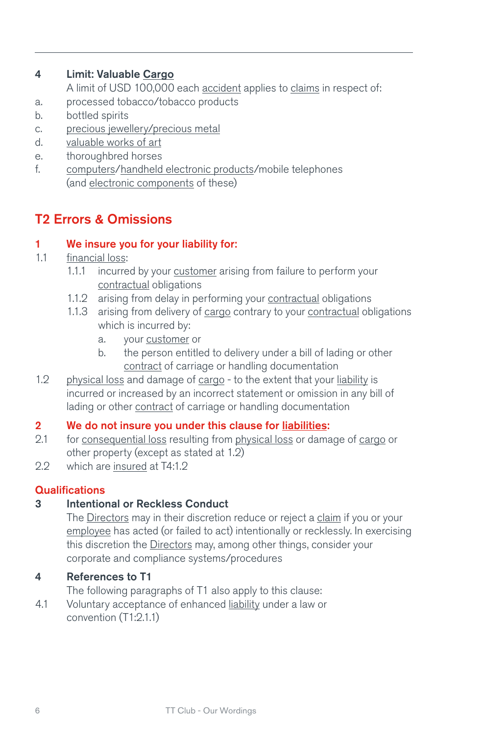#### 4 Limit: Valuable Cargo

A limit of USD 100,000 each accident applies to claims in respect of:

- a. processed tobacco/tobacco products
- b. bottled spirits
- c. precious jewellery/precious metal
- d. valuable works of art
- e. thoroughbred horses
- f. computers/handheld electronic products/mobile telephones (and electronic components of these)

## T2 Errors & Omissions

#### 1 We insure you for your liability for:

#### 1.1 financial loss:

- 1.1.1 incurred by your customer arising from failure to perform your contractual obligations
- 1.1.2 arising from delay in performing your contractual obligations
- 1.1.3 arising from delivery of cargo contrary to your contractual obligations which is incurred by:
	- a. your customer or
	- b. the person entitled to delivery under a bill of lading or other contract of carriage or handling documentation
- 1.2 physical loss and damage of cargo to the extent that your liability is incurred or increased by an incorrect statement or omission in any bill of lading or other contract of carriage or handling documentation

# **2 We do not insure you under this clause for liabilities:**<br>21 for consequential loss resulting from physical loss or dama

- 2.1 for consequential loss resulting from physical loss or damage of cargo or other property (except as stated at 1.2)
- 2.2 which are insured at T4:1.2

#### **Qualifications**

#### 3 Intentional or Reckless Conduct

The Directors may in their discretion reduce or reject a claim if you or your employee has acted (or failed to act) intentionally or recklessly. In exercising this discretion the Directors may, among other things, consider your corporate and compliance systems/procedures

#### 4 References to T1

The following paragraphs of T1 also apply to this clause:

4.1 Voluntary acceptance of enhanced liability under a law or convention (T1:2.1.1)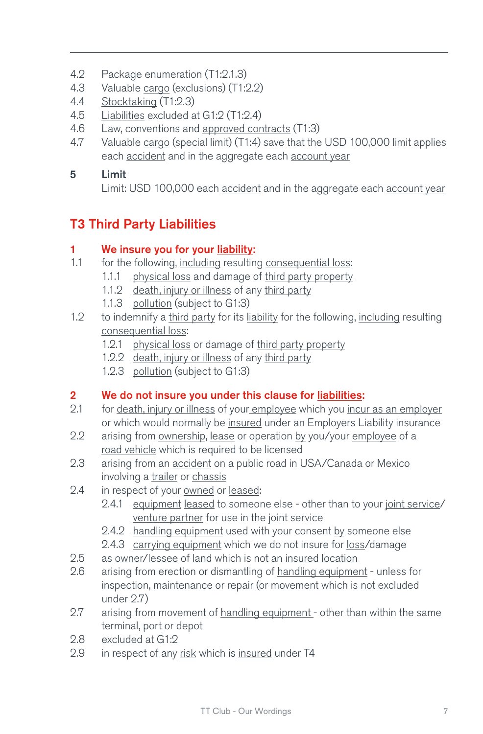- 4.2 Package enumeration (T1:2.1.3)<br>4.3 Valuable cargo (exclusions) (T1:2
- Valuable cargo (exclusions) (T1:2.2)
- 4.4 Stocktaking (T1:2.3)
- 4.5 Liabilities excluded at G1:2 (T1:2.4)<br>4.6 Law conventions and approved con
- Law, conventions and approved contracts (T1:3)
- 4.7 Valuable cargo (special limit) (T1:4) save that the USD 100,000 limit applies each accident and in the aggregate each account year

#### 5 Limit

Limit: USD 100,000 each accident and in the aggregate each account year

## T3 Third Party Liabilities

#### 1 We insure you for your liability:

- 1.1 for the following, including resulting consequential loss:
	- 1.1.1 physical loss and damage of third party property
	- 1.1.2 death, injury or illness of any third party
	- 1.1.3 pollution (subject to G1:3)
- 1.2 to indemnify a third party for its liability for the following, including resulting consequential loss:
	- 1.2.1 physical loss or damage of third party property
	- 1.2.2 death, injury or illness of any third party
	- 1.2.3 pollution (subject to G1:3)

#### 2 We do not insure you under this clause for liabilities:

- 2.1 for death, injury or illness of your employee which you incur as an employer or which would normally be insured under an Employers Liability insurance
- 2.2 arising from ownership, lease or operation by you/your employee of a road vehicle which is required to be licensed
- 2.3 arising from an accident on a public road in USA/Canada or Mexico involving a trailer or chassis
- 2.4 in respect of your owned or leased:
	- 2.4.1 equipment leased to someone else other than to your joint service/ venture partner for use in the joint service
	- 2.4.2 handling equipment used with your consent by someone else
	- 2.4.3 carrying equipment which we do not insure for loss/damage
- 2.5 as owner/lessee of land which is not an insured location
- 2.6 arising from erection or dismantling of handling equipment unless for inspection, maintenance or repair (or movement which is not excluded under 2.7)
- 2.7 arising from movement of handling equipment other than within the same terminal, port or depot
- 2.8 excluded at G1:2
- 2.9 in respect of any risk which is insured under T4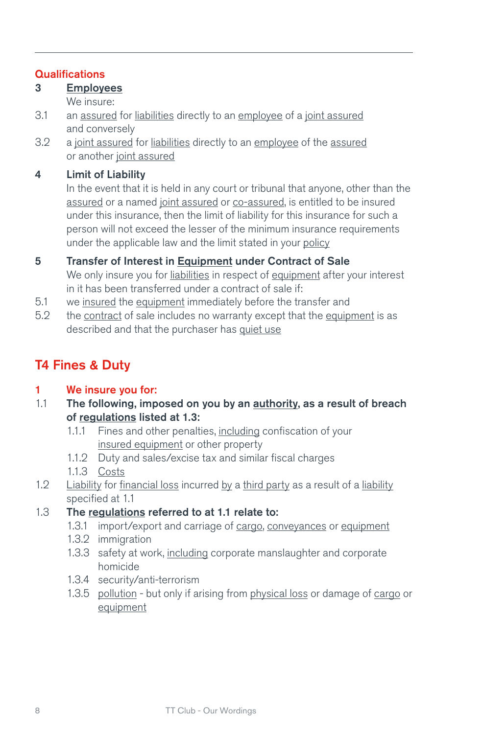#### 3 Employees

We insure:

- 3.1 an assured for liabilities directly to an employee of a joint assured and conversely
- 3.2 a joint assured for liabilities directly to an employee of the assured or another joint assured

#### 4 Limit of Liability

 In the event that it is held in any court or tribunal that anyone, other than the assured or a named joint assured or co-assured, is entitled to be insured under this insurance, then the limit of liability for this insurance for such a person will not exceed the lesser of the minimum insurance requirements under the applicable law and the limit stated in your policy

#### 5 Transfer of Interest in Equipment under Contract of Sale We only insure you for liabilities in respect of equipment after your interest in it has been transferred under a contract of sale if:

- 5.1 we insured the equipment immediately before the transfer and
- 5.2 the contract of sale includes no warranty except that the equipment is as described and that the purchaser has quiet use

## T4 Fines & Duty

#### 1 We insure you for:

- 1.1 The following, imposed on you by an authority, as a result of breach of regulations listed at 1.3:
	- 1.1.1 Fines and other penalties, including confiscation of your insured equipment or other property
	- 1.1.2 Duty and sales/excise tax and similar fiscal charges
	- 1.1.3 Costs
- 1.2 Liability for financial loss incurred by a third party as a result of a liability specified at 1.1
- 1.3 The regulations referred to at 1.1 relate to:
	- 1.3.1 import/export and carriage of cargo, conveyances or equipment
	- 1.3.2 immigration
	- 1.3.3 safety at work, including corporate manslaughter and corporate homicide
	- 1.3.4 security/anti-terrorism
	- 1.3.5 pollution but only if arising from physical loss or damage of cargo or equipment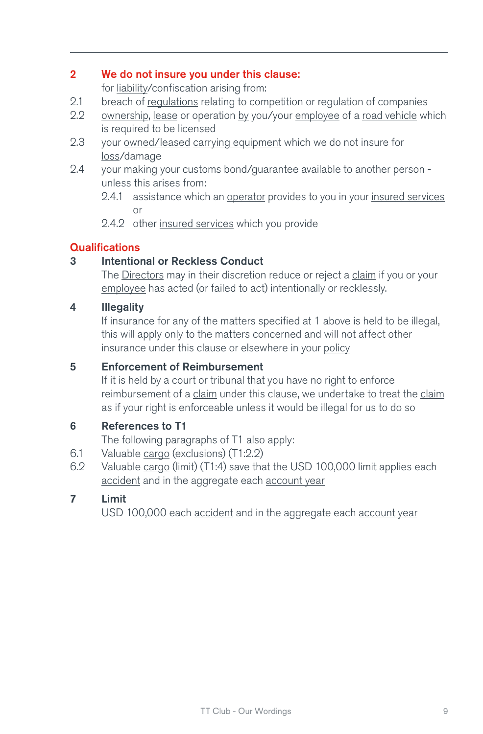#### 2 We do not insure you under this clause:

for liability/confiscation arising from:

- 2.1 breach of regulations relating to competition or regulation of companies
- 2.2 ownership, lease or operation by you/your employee of a road vehicle which is required to be licensed
- 2.3 your owned/leased carrying equipment which we do not insure for loss/damage
- 2.4 your making your customs bond/guarantee available to another person unless this arises from:
	- 2.4.1 assistance which an operator provides to you in your insured services or

2.4.2 other insured services which you provide

#### **Qualifications**

#### 3 Intentional or Reckless Conduct

 The Directors may in their discretion reduce or reject a claim if you or your employee has acted (or failed to act) intentionally or recklessly.

#### 4 **Illegality**

 If insurance for any of the matters specified at 1 above is held to be illegal, this will apply only to the matters concerned and will not affect other insurance under this clause or elsewhere in your policy

#### 5 Enforcement of Reimbursement

 If it is held by a court or tribunal that you have no right to enforce reimbursement of a claim under this clause, we undertake to treat the claim as if your right is enforceable unless it would be illegal for us to do so

#### 6 References to T1

The following paragraphs of T1 also apply:

- 6.1 Valuable cargo (exclusions) (T1:2.2)
- 6.2 Valuable cargo (limit) (T1:4) save that the USD 100,000 limit applies each accident and in the aggregate each account year

#### 7 Limit

USD 100,000 each accident and in the aggregate each account year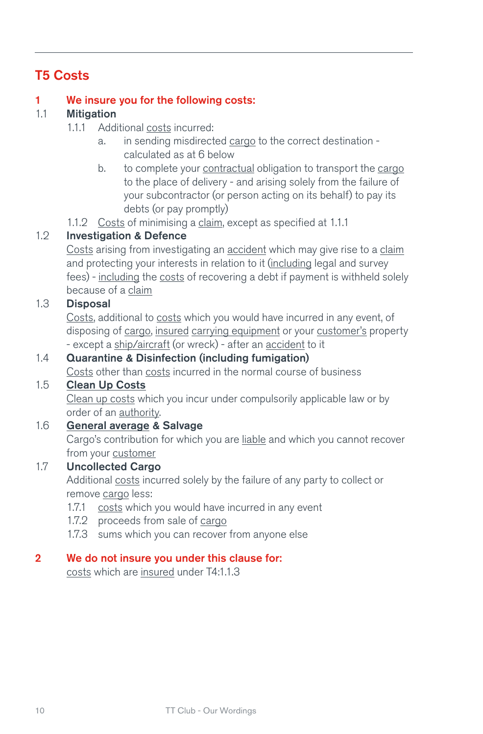## T5 Costs

#### 1 We insure you for the following costs:

#### 1.1 Mitigation

- 1.1.1 Additional costs incurred:
	- a. in sending misdirected cargo to the correct destination calculated as at 6 below
	- b. to complete your contractual obligation to transport the cargo to the place of delivery - and arising solely from the failure of your subcontractor (or person acting on its behalf) to pay its debts (or pay promptly)
- 1.1.2 Costs of minimising a claim, except as specified at 1.1.1

#### 1.2 Investigation & Defence

 Costs arising from investigating an accident which may give rise to a claim and protecting your interests in relation to it (including legal and survey fees) - including the costs of recovering a debt if payment is withheld solely because of a claim

#### 1.3 Disposal

 Costs, additional to costs which you would have incurred in any event, of disposing of cargo, insured carrying equipment or your customer's property - except a ship/aircraft (or wreck) - after an accident to it

#### 1.4 Quarantine & Disinfection (including fumigation)

Costs other than costs incurred in the normal course of business

#### 1.5 Clean Up Costs

Clean up costs which you incur under compulsorily applicable law or by order of an authority.

#### 1.6 General average & Salvage

 Cargo's contribution for which you are liable and which you cannot recover from your customer

#### 1.7 Uncollected Cargo

 Additional costs incurred solely by the failure of any party to collect or remove cargo less:

- 1.7.1 costs which you would have incurred in any event
- 1.7.2 proceeds from sale of cargo
- 1.7.3 sums which you can recover from anyone else

#### 2 We do not insure you under this clause for:

costs which are insured under T4:1.1.3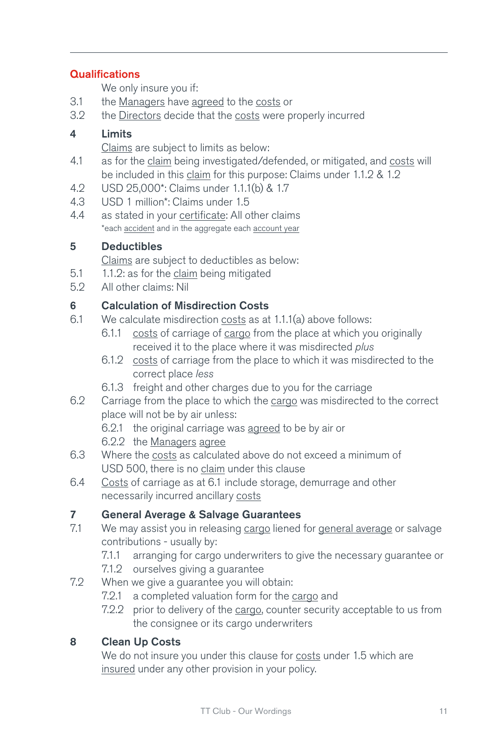We only insure you if:

- 3.1 the Managers have agreed to the costs or
- 3.2 the Directors decide that the costs were properly incurred

#### 4 Limits

Claims are subject to limits as below:

- 4.1 as for the claim being investigated/defended, or mitigated, and costs will be included in this claim for this purpose: Claims under 1.1.2 & 1.2
- 4.2 USD 25,000\*: Claims under 1.1.1(b) & 1.7<br>4.3 USD 1 million\*: Claims under 1.5
- 4.3 USD 1 million\*: Claims under 1.5
- 4.4 as stated in your certificate: All other claims \*each accident and in the aggregate each account year

#### 5 Deductibles

Claims are subject to deductibles as below:

- 5.1 1.1.2: as for the claim being mitigated
- 5.2 All other claims: Nil

#### 6 Calculation of Misdirection Costs

- 6.1 We calculate misdirection costs as at 1.1.1(a) above follows:
	- 6.1.1 costs of carriage of cargo from the place at which you originally received it to the place where it was misdirected *plus*
	- 6.1.2 costs of carriage from the place to which it was misdirected to the correct place *less*
	- 6.1.3 freight and other charges due to you for the carriage
- 6.2 Carriage from the place to which the cargo was misdirected to the correct place will not be by air unless:
	- 6.2.1 the original carriage was agreed to be by air or
	- 6.2.2 the Managers agree
- 6.3 Where the costs as calculated above do not exceed a minimum of USD 500, there is no claim under this clause
- 6.4 Costs of carriage as at 6.1 include storage, demurrage and other necessarily incurred ancillary costs

#### 7 General Average & Salvage Guarantees

7.1 We may assist you in releasing cargo liened for general average or salvage contributions - usually by:

7.1.1 arranging for cargo underwriters to give the necessary guarantee or

- 7.1.2 ourselves giving a guarantee
- 7.2 When we give a guarantee you will obtain:
	- 7.2.1 a completed valuation form for the cargo and
	- 7.2.2 prior to delivery of the cargo, counter security acceptable to us from the consignee or its cargo underwriters

#### 8 Clean Up Costs

 We do not insure you under this clause for costs under 1.5 which are insured under any other provision in your policy.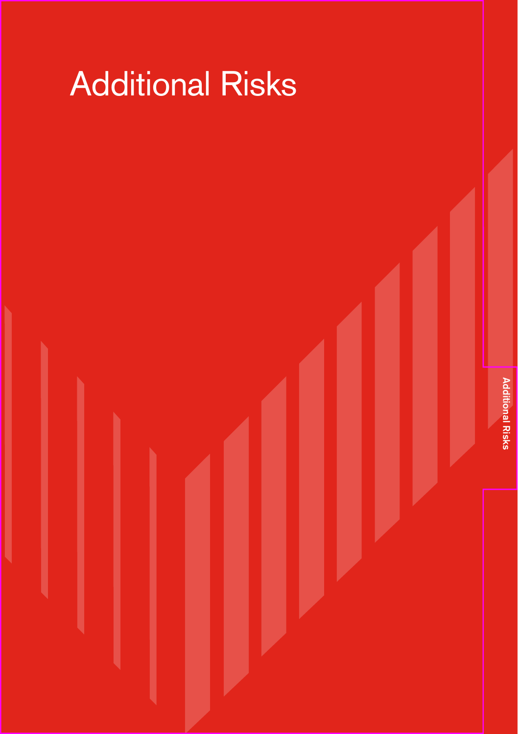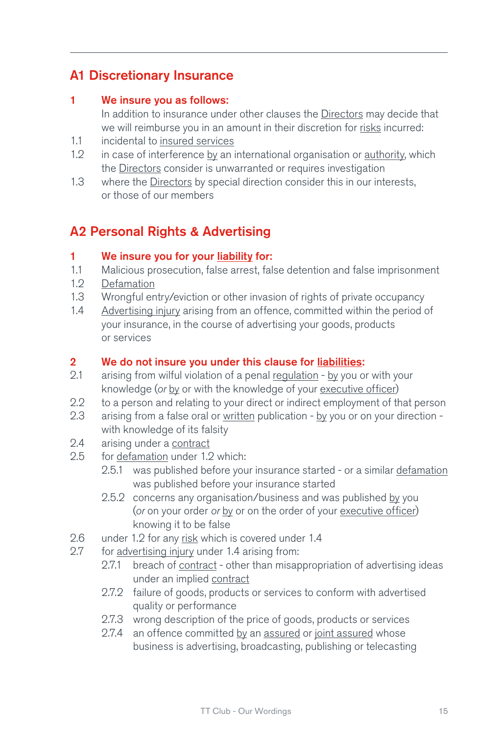### A1 Discretionary Insurance

#### 1 We insure you as follows:

 In addition to insurance under other clauses the Directors may decide that we will reimburse you in an amount in their discretion for risks incurred:

- 1.1 incidental to <u>insured services</u><br>1.2 in case of interference by an i
- in case of interference by an international organisation or authority, which the Directors consider is unwarranted or requires investigation
- 1.3 where the Directors by special direction consider this in our interests, or those of our members

## A2 Personal Rights & Advertising

#### 1 We insure you for your liability for:

- 1.1 Malicious prosecution, false arrest, false detention and false imprisonment
- 1.2 Defamation
- 1.3 Wrongful entry/eviction or other invasion of rights of private occupancy
- 1.4 Advertising injury arising from an offence, committed within the period of your insurance, in the course of advertising your goods, products or services

#### 2 We do not insure you under this clause for liabilities:

- 2.1 arising from wilful violation of a penal regulation by you or with your knowledge (*or* by or with the knowledge of your executive officer)
- 2.2 to a person and relating to your direct or indirect employment of that person<br>2.3 arising from a false oral or written publication by you or on your direction -
- arising from a false oral or written publication by you or on your direction with knowledge of its falsity
- 2.4 arising under a contract
- 2.5 for defamation under 1.2 which:
	- 2.5.1 was published before your insurance started or a similar defamation was published before your insurance started
	- 2.5.2 concerns any organisation/business and was published by you (*or* on your order *or* by or on the order of your executive officer) knowing it to be false
- 2.6 under 1.2 for any risk which is covered under 1.4
- 2.7 for advertising injury under 1.4 arising from:
	- 2.7.1 breach of contract other than misappropriation of advertising ideas under an implied contract
	- 2.7.2 failure of goods, products or services to conform with advertised quality or performance
	- 2.7.3 wrong description of the price of goods, products or services
	- 2.7.4 an offence committed by an assured or joint assured whose business is advertising, broadcasting, publishing or telecasting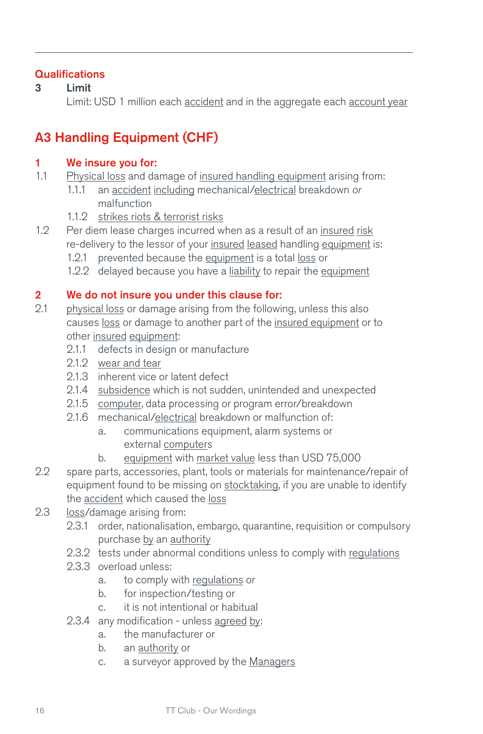3 Limit

Limit: USD 1 million each accident and in the aggregate each account year

## A3 Handling Equipment (CHF)

#### 1 We insure you for:

- 1.1 Physical loss and damage of insured handling equipment arising from:
	- 1.1.1 an accident including mechanical/electrical breakdown *or* malfunction
	- 1.1.2 strikes riots & terrorist risks
- 1.2 Per diem lease charges incurred when as a result of an insured risk re-delivery to the lessor of your insured leased handling equipment is:
	- 1.2.1 prevented because the equipment is a total loss or
	- 1.2.2 delayed because you have a liability to repair the equipment

#### 2 We do not insure you under this clause for:

- 2.1 physical loss or damage arising from the following, unless this also causes loss or damage to another part of the insured equipment or to other insured equipment:
	- 2.1.1 defects in design or manufacture
	- 2.1.2 wear and tear
	- 21.3 inherent vice or latent defect
	- 2.1.4 subsidence which is not sudden, unintended and unexpected
	- 2.1.5 computer, data processing or program error/breakdown
	- 2.1.6 mechanical/electrical breakdown or malfunction of:
		- a. communications equipment, alarm systems or external computers
		- b. equipment with market value less than USD 75,000
- 2.2 spare parts, accessories, plant, tools or materials for maintenance/repair of equipment found to be missing on stocktaking, if you are unable to identify the accident which caused the loss
- 2.3 loss/damage arising from:
	- 2.3.1 order, nationalisation, embargo, quarantine, requisition or compulsory purchase by an authority
	- 2.3.2 tests under abnormal conditions unless to comply with regulations
	- 2.3.3 overload unless:
		- a. to comply with regulations or
		- b. for inspection/testing or
		- c. it is not intentional or habitual
	- 2.3.4 any modification unless agreed by:
		- a. the manufacturer or
		- b. an authority or
		- c. a surveyor approved by the Managers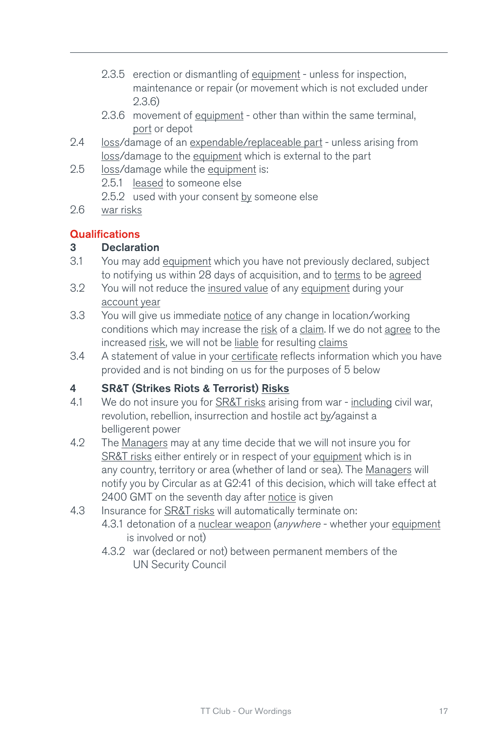- 2.3.5 erection or dismantling of equipment unless for inspection, maintenance or repair (or movement which is not excluded under 2.3.6)
- 2.3.6 movement of equipment other than within the same terminal, port or depot
- 2.4 loss/damage of an expendable/replaceable part unless arising from loss/damage to the equipment which is external to the part
- 2.5 loss/damage while the equipment is:

2.5.1 leased to someone else

- 2.5.2 used with your consent by someone else
- 2.6 war risks

#### **Qualifications**

#### 3 Declaration

- 3.1 You may add equipment which you have not previously declared, subject to notifying us within 28 days of acquisition, and to terms to be agreed
- 3.2 You will not reduce the insured value of any equipment during your account year
- 3.3 You will give us immediate notice of any change in location/working conditions which may increase the risk of a claim. If we do not agree to the increased risk, we will not be liable for resulting claims
- 3.4 A statement of value in your certificate reflects information which you have provided and is not binding on us for the purposes of 5 below

#### 4 SR&T (Strikes Riots & Terrorist) Risks

- 4.1 We do not insure you for SR&T risks arising from war including civil war, revolution, rebellion, insurrection and hostile act by/against a belligerent power
- 4.2 The Managers may at any time decide that we will not insure you for SR&T risks either entirely or in respect of your equipment which is in any country, territory or area (whether of land or sea). The Managers will notify you by Circular as at G2:41 of this decision, which will take effect at 2400 GMT on the seventh day after notice is given
- 4.3 Insurance for SR&T risks will automatically terminate on:
	- 4.3.1 detonation of a nuclear weapon (*anywhere* whether your equipment is involved or not)
	- 4.3.2 war (declared or not) between permanent members of the UN Security Council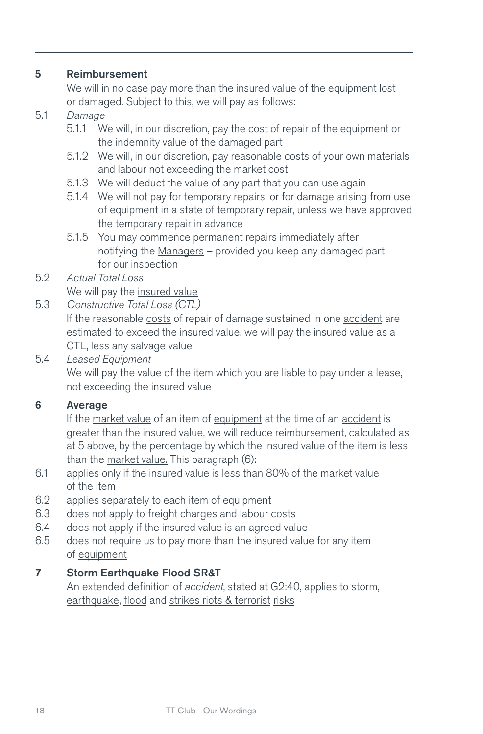#### 5 Reimbursement

We will in no case pay more than the insured value of the equipment lost or damaged. Subject to this, we will pay as follows:

#### 5.1 *Damage*

- 5.1.1 We will, in our discretion, pay the cost of repair of the equipment or the indemnity value of the damaged part
- 5.1.2 We will, in our discretion, pay reasonable costs of your own materials and labour not exceeding the market cost
- 5.1.3 We will deduct the value of any part that you can use again
- 5.1.4 We will not pay for temporary repairs, or for damage arising from use of equipment in a state of temporary repair, unless we have approved the temporary repair in advance
- 5.1.5 You may commence permanent repairs immediately after notifying the Managers – provided you keep any damaged part for our inspection
- 5.2 *Actual Total Loss*
	- We will pay the insured value
- 5.3 *Constructive Total Loss (CTL)*

 If the reasonable costs of repair of damage sustained in one accident are estimated to exceed the insured value, we will pay the insured value as a CTL, less any salvage value

#### 5.4 *Leased Equipment*

We will pay the value of the item which you are liable to pay under a lease. not exceeding the insured value

#### 6 Average

 If the market value of an item of equipment at the time of an accident is greater than the insured value, we will reduce reimbursement, calculated as at 5 above, by the percentage by which the insured value of the item is less than the market value. This paragraph (6):

- 6.1 applies only if the insured value is less than 80% of the market value of the item
- 6.2 applies separately to each item of equipment<br>6.3 does not apply to freight charges and labour
- does not apply to freight charges and labour costs
- 6.4 does not apply if the insured value is an agreed value
- 6.5 does not require us to pay more than the insured value for any item of equipment

#### 7 Storm Earthquake Flood SR&T

 An extended definition of *accident*, stated at G2:40, applies to storm, earthquake, flood and strikes riots & terrorist risks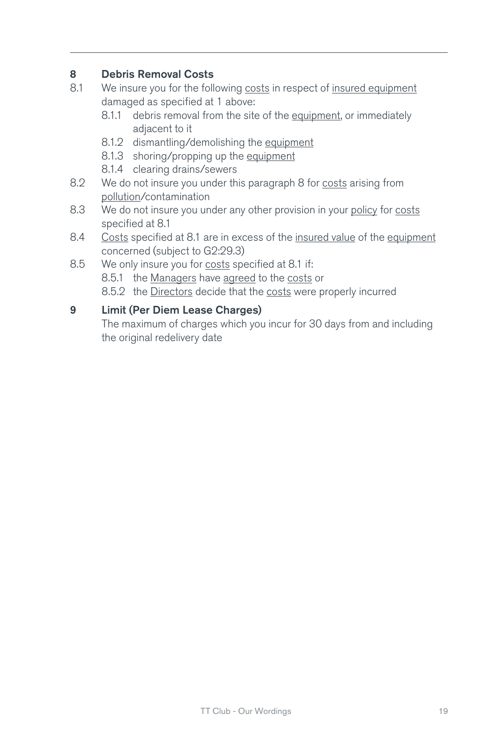#### 8 Debris Removal Costs

- 8.1 We insure you for the following costs in respect of insured equipment damaged as specified at 1 above:
	- 8.1.1 debris removal from the site of the equipment, or immediately adjacent to it
	- 8.1.2 dismantling/demolishing the equipment
	- 8.1.3 shoring/propping up the equipment
	- 8.1.4 clearing drains/sewers
- 8.2 We do not insure you under this paragraph 8 for costs arising from pollution/contamination
- 8.3 We do not insure you under any other provision in your policy for costs specified at 8.1
- 8.4 Costs specified at 8.1 are in excess of the insured value of the equipment concerned (subject to G2:29.3)
- 8.5 We only insure you for costs specified at 8.1 if:
	- 8.5.1 the Managers have agreed to the costs or
	- 8.5.2 the Directors decide that the costs were properly incurred

#### 9 Limit (Per Diem Lease Charges)

 The maximum of charges which you incur for 30 days from and including the original redelivery date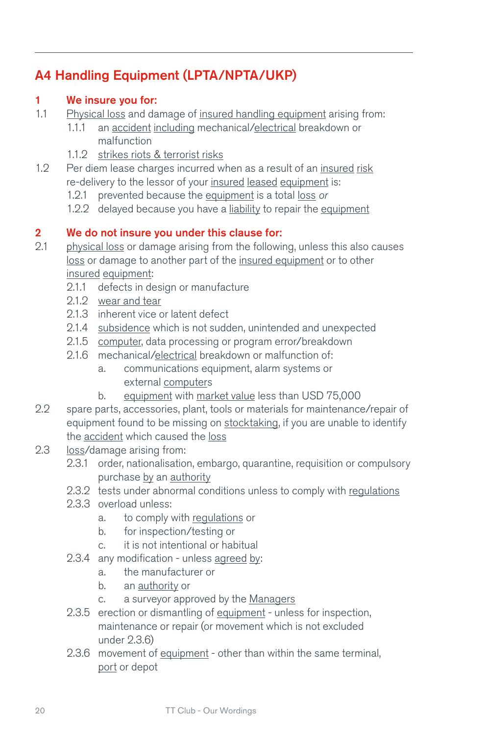## A4 Handling Equipment (LPTA/NPTA/UKP)

#### 1 We insure you for:

- 1.1 Physical loss and damage of insured handling equipment arising from:
	- 1.1.1 an accident including mechanical/electrical breakdown or malfunction
	- 1.1.2 strikes riots & terrorist risks
- 1.2 Per diem lease charges incurred when as a result of an insured risk re-delivery to the lessor of your insured leased equipment is:
	- 1.2.1 prevented because the equipment is a total loss *or*
	- 1.2.2 delayed because you have a liability to repair the equipment

#### 2 We do not insure you under this clause for:

- 2.1 physical loss or damage arising from the following, unless this also causes loss or damage to another part of the insured equipment or to other insured equipment:
	- 2.1.1 defects in design or manufacture
	- 2.1.2 wear and tear
	- 2.1.3 inherent vice or latent defect
	- 2.1.4 subsidence which is not sudden, unintended and unexpected
	- 2.1.5 computer, data processing or program error/breakdown
	- 2.1.6 mechanical/electrical breakdown or malfunction of:
		- a. communications equipment, alarm systems or external computers
		- b. equipment with market value less than USD 75,000
- 2.2 spare parts, accessories, plant, tools or materials for maintenance/repair of equipment found to be missing on stocktaking, if you are unable to identify the accident which caused the loss
- 2.3 loss/damage arising from:
	- 2.3.1 order, nationalisation, embargo, quarantine, requisition or compulsory purchase by an authority
	- 2.3.2 tests under abnormal conditions unless to comply with regulations
	- 2.3.3 overload unless:
		- a. to comply with regulations or
		- b. for inspection/testing or
		- c. it is not intentional or habitual
	- 2.3.4 any modification unless agreed by:
		- a. the manufacturer or
		- b. an authority or
		- c. a surveyor approved by the Managers
	- 2.3.5 erection or dismantling of equipment unless for inspection, maintenance or repair (or movement which is not excluded under 2.3.6)
	- 2.3.6 movement of equipment other than within the same terminal, port or depot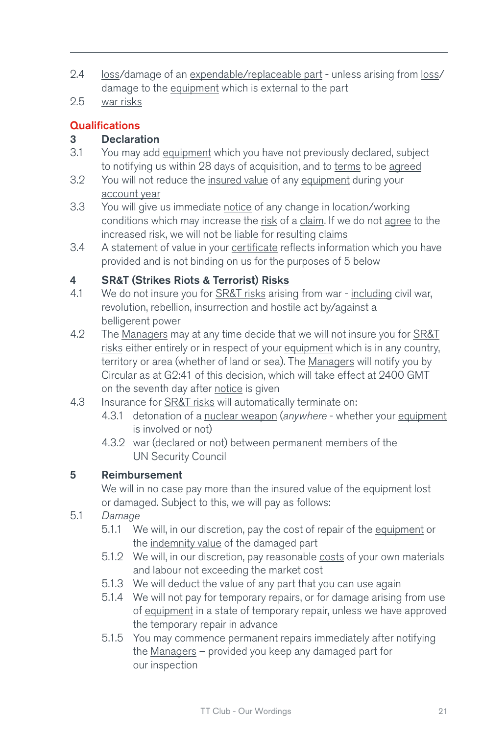- 2.4 loss/damage of an expendable/replaceable part unless arising from loss/ damage to the equipment which is external to the part
- 2.5 war risks

#### 3 Declaration

- 3.1 You may add equipment which you have not previously declared, subject to notifying us within 28 days of acquisition, and to terms to be agreed
- 3.2 You will not reduce the insured value of any equipment during your account year
- 3.3 You will give us immediate notice of any change in location/working conditions which may increase the risk of a claim. If we do not agree to the increased risk, we will not be liable for resulting claims
- 3.4 A statement of value in your certificate reflects information which you have provided and is not binding on us for the purposes of 5 below

#### 4 SR&T (Strikes Riots & Terrorist) Risks

- 4.1 We do not insure you for SR&T risks arising from war including civil war, revolution, rebellion, insurrection and hostile act by/against a belligerent power
- 4.2 The Managers may at any time decide that we will not insure you for SR&T risks either entirely or in respect of your equipment which is in any country, territory or area (whether of land or sea). The Managers will notify you by Circular as at G2:41 of this decision, which will take effect at 2400 GMT on the seventh day after notice is given
- 4.3 Insurance for **SR&T** risks will automatically terminate on:
	- 4.3.1 detonation of a nuclear weapon (*anywhere* whether your equipment is involved or not)
	- 4.3.2 war (declared or not) between permanent members of the UN Security Council

#### 5 Reimbursement

 We will in no case pay more than the insured value of the equipment lost or damaged. Subject to this, we will pay as follows:

- 5.1 *Damage*
	- 5.1.1 We will, in our discretion, pay the cost of repair of the equipment or the indemnity value of the damaged part
	- 5.1.2 We will, in our discretion, pay reasonable costs of your own materials and labour not exceeding the market cost
	- 5.1.3 We will deduct the value of any part that you can use again
	- 5.1.4 We will not pay for temporary repairs, or for damage arising from use of equipment in a state of temporary repair, unless we have approved the temporary repair in advance
	- 5.1.5 You may commence permanent repairs immediately after notifying the Managers – provided you keep any damaged part for our inspection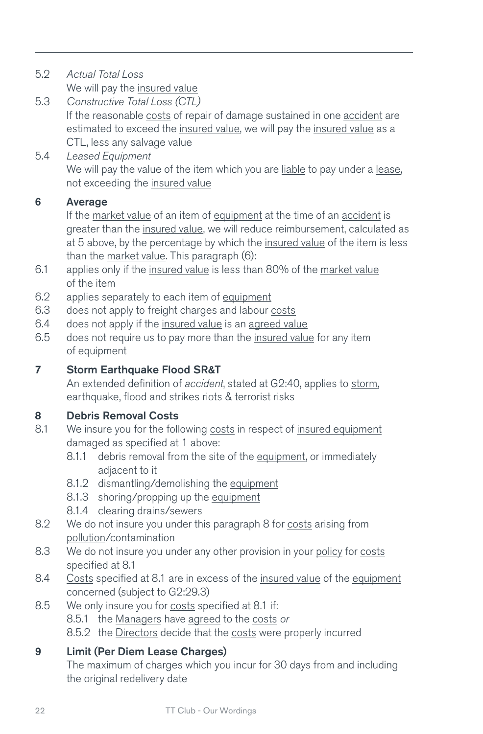- 5.2 *Actual Total Loss*
- We will pay the insured value
- 5.3 *Constructive Total Loss (CTL)* If the reasonable costs of repair of damage sustained in one accident are estimated to exceed the insured value, we will pay the insured value as a CTL, less any salvage value
- 5.4 *Leased Equipment*

We will pay the value of the item which you are liable to pay under a lease. not exceeding the insured value

#### 6 Average

 If the market value of an item of equipment at the time of an accident is greater than the insured value, we will reduce reimbursement, calculated as at 5 above, by the percentage by which the insured value of the item is less than the market value. This paragraph (6):

- 6.1 applies only if the insured value is less than 80% of the market value of the item
- 6.2 applies separately to each item of equipment
- 6.3 does not apply to freight charges and labour costs
- 6.4 does not apply if the insured value is an agreed value
- 6.5 does not require us to pay more than the insured value for any item of equipment

#### 7 Storm Earthquake Flood SR&T

 An extended definition of *accident*, stated at G2:40, applies to storm, earthquake, flood and strikes riots & terrorist risks

#### 8 Debris Removal Costs

- 8.1 We insure you for the following costs in respect of insured equipment damaged as specified at 1 above:
	- 8.1.1 debris removal from the site of the equipment, or immediately adjacent to it
	- 8.1.2 dismantling/demolishing the equipment
	- 8.1.3 shoring/propping up the equipment
	- 8.1.4 clearing drains/sewers
- 8.2 We do not insure you under this paragraph 8 for costs arising from pollution/contamination
- 8.3 We do not insure you under any other provision in your policy for costs specified at 8.1
- 8.4 Costs specified at 8.1 are in excess of the insured value of the equipment concerned (subject to G2:29.3)
- 8.5 We only insure you for costs specified at 8.1 if:
	- 8.5.1 the Managers have agreed to the costs *or*
	- 8.5.2 the Directors decide that the costs were properly incurred

#### 9 Limit (Per Diem Lease Charges)

 The maximum of charges which you incur for 30 days from and including the original redelivery date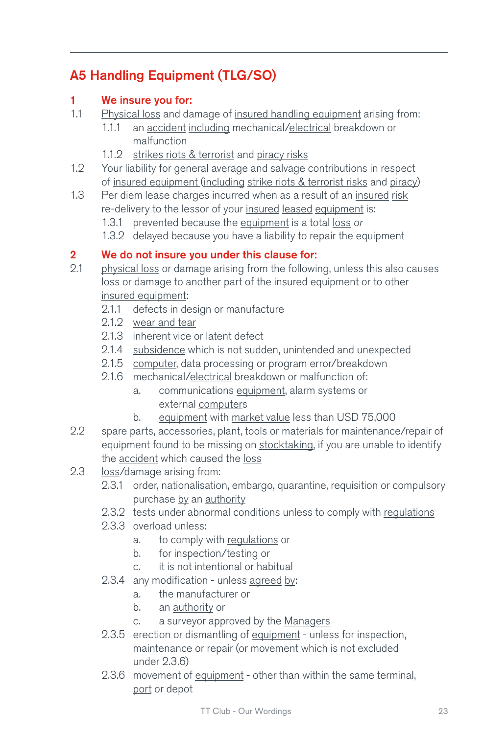## A5 Handling Equipment (TLG/SO)

#### 1 We insure you for:

- 1.1 Physical loss and damage of insured handling equipment arising from:
	- 1.1.1 an accident including mechanical/electrical breakdown or malfunction
	- 1.1.2 strikes riots & terrorist and piracy risks
- 1.2 Your liability for general average and salvage contributions in respect of insured equipment (including strike riots & terrorist risks and piracy)
- 1.3 Per diem lease charges incurred when as a result of an insured risk re-delivery to the lessor of your insured leased equipment is:
	- 1.3.1 prevented because the equipment is a total loss *or*
	- 1.3.2 delayed because you have a liability to repair the equipment

## **2 We do not insure you under this clause for:**<br>21 mbysical loss or damage arising from the following

- 2.1 physical loss or damage arising from the following, unless this also causes loss or damage to another part of the insured equipment or to other insured equipment:
	- 2.1.1 defects in design or manufacture
	- 2.1.2 wear and tear
	- 2.1.3 inherent vice or latent defect
	- 2.1.4 subsidence which is not sudden, unintended and unexpected
	- 2.1.5 computer, data processing or program error/breakdown
	- 2.1.6 mechanical/electrical breakdown or malfunction of:
		- a. communications equipment, alarm systems or external computers
- b. equipment with market value less than USD 75,000<br>22 spare parts accessories plant tools or materials for maintenance
- spare parts, accessories, plant, tools or materials for maintenance/repair of equipment found to be missing on stocktaking, if you are unable to identify the accident which caused the loss
- 2.3 loss/damage arising from:
	- 2.3.1 order, nationalisation, embargo, quarantine, requisition or compulsory purchase by an authority
	- 2.3.2 tests under abnormal conditions unless to comply with regulations
	- 2.3.3 overload unless:
		- a. to comply with regulations or
		- b. for inspection/testing or
		- c. it is not intentional or habitual
	- 2.3.4 any modification unless agreed by:
		- a. the manufacturer or
		- b. an authority or
		- c. a surveyor approved by the Managers
	- 2.3.5 erection or dismantling of equipment unless for inspection, maintenance or repair (or movement which is not excluded under 2.3.6)
	- 2.3.6 movement of equipment other than within the same terminal, port or depot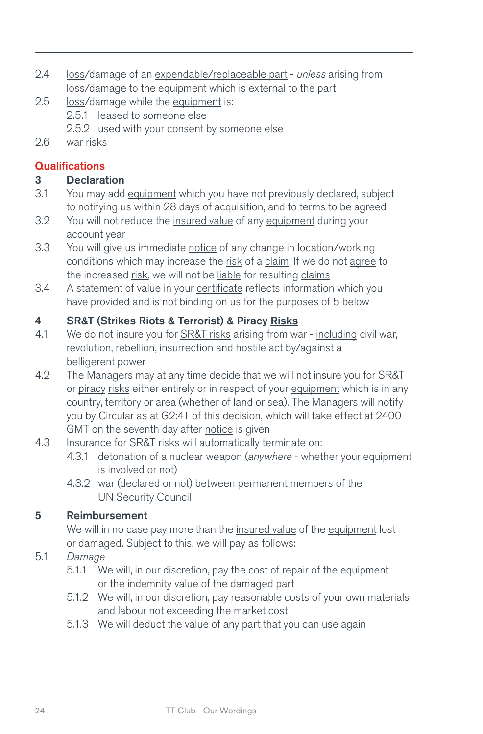- 2.4 loss/damage of an expendable/replaceable part *unless* arising from loss/damage to the equipment which is external to the part
- 2.5 loss/damage while the equipment is: 2.5.1 leased to someone else 2.5.2 used with your consent by someone else
- 2.6 war risks

#### 3 Declaration

- 3.1 You may add equipment which you have not previously declared, subject to notifying us within 28 days of acquisition, and to terms to be agreed
- 3.2 You will not reduce the insured value of any equipment during your account year
- 3.3 You will give us immediate notice of any change in location/working conditions which may increase the risk of a claim. If we do not agree to the increased risk, we will not be liable for resulting claims
- 3.4 A statement of value in your certificate reflects information which you have provided and is not binding on us for the purposes of 5 below

#### 4 SR&T (Strikes Riots & Terrorist) & Piracy Risks

- 4.1 We do not insure you for SR&T risks arising from war including civil war, revolution, rebellion, insurrection and hostile act by/against a belligerent power
- 4.2 The Managers may at any time decide that we will not insure you for SR&T or piracy risks either entirely or in respect of your equipment which is in any country, territory or area (whether of land or sea). The Managers will notify you by Circular as at G2:41 of this decision, which will take effect at 2400 GMT on the seventh day after notice is given
- 4.3 Insurance for SR&T risks will automatically terminate on:
	- 4.3.1 detonation of a nuclear weapon (*anywhere* whether your equipment is involved or not)
	- 4.3.2 war (declared or not) between permanent members of the UN Security Council

#### 5 Reimbursement

 We will in no case pay more than the insured value of the equipment lost or damaged. Subject to this, we will pay as follows:

- 5.1 *Damage*
	- 5.1.1 We will, in our discretion, pay the cost of repair of the equipment or the indemnity value of the damaged part
	- 5.1.2 We will, in our discretion, pay reasonable costs of your own materials and labour not exceeding the market cost
	- 5.1.3 We will deduct the value of any part that you can use again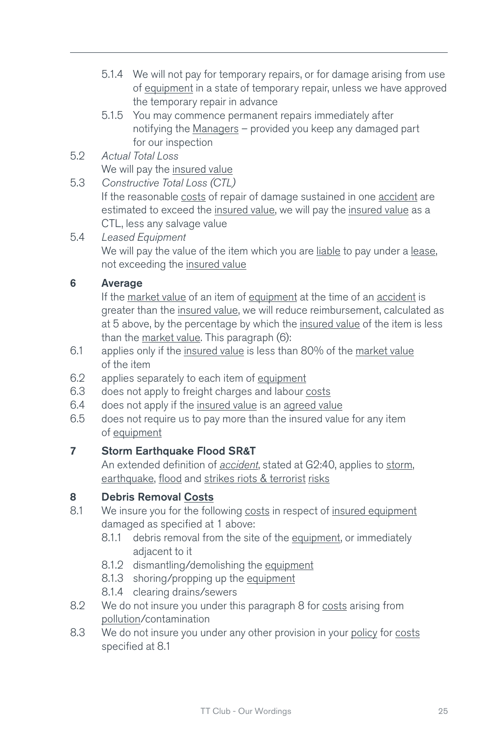- 5.1.4 We will not pay for temporary repairs, or for damage arising from use of equipment in a state of temporary repair, unless we have approved the temporary repair in advance
- 5.1.5 You may commence permanent repairs immediately after notifying the Managers – provided you keep any damaged part for our inspection
- 5.2 *Actual Total Loss* We will pay the insured value
- 5.3 *Constructive Total Loss (CTL)* If the reasonable costs of repair of damage sustained in one accident are estimated to exceed the insured value, we will pay the insured value as a CTL, less any salvage value
- 5.4 *Leased Equipment* We will pay the value of the item which you are liable to pay under a lease. not exceeding the insured value

#### 6 Average

If the market value of an item of equipment at the time of an accident is greater than the insured value, we will reduce reimbursement, calculated as at 5 above, by the percentage by which the insured value of the item is less than the market value. This paragraph (6):

- 6.1 applies only if the insured value is less than 80% of the market value of the item
- 6.2 applies separately to each item of equipment
- 6.3 does not apply to freight charges and labour costs
- 6.4 does not apply if the insured value is an agreed value
- 6.5 does not require us to pay more than the insured value for any item of equipment

#### 7 Storm Earthquake Flood SR&T

 An extended definition of *accident*, stated at G2:40, applies to storm, earthquake, flood and strikes riots & terrorist risks

#### 8 Debris Removal Costs

- 8.1 We insure you for the following costs in respect of insured equipment damaged as specified at 1 above:
	- 8.1.1 debris removal from the site of the equipment, or immediately adjacent to it
	- 8.1.2 dismantling/demolishing the equipment
	- 8.1.3 shoring/propping up the equipment
	- 8.1.4 clearing drains/sewers
- 8.2 We do not insure you under this paragraph 8 for costs arising from pollution/contamination
- 8.3 We do not insure you under any other provision in your policy for costs specified at 8.1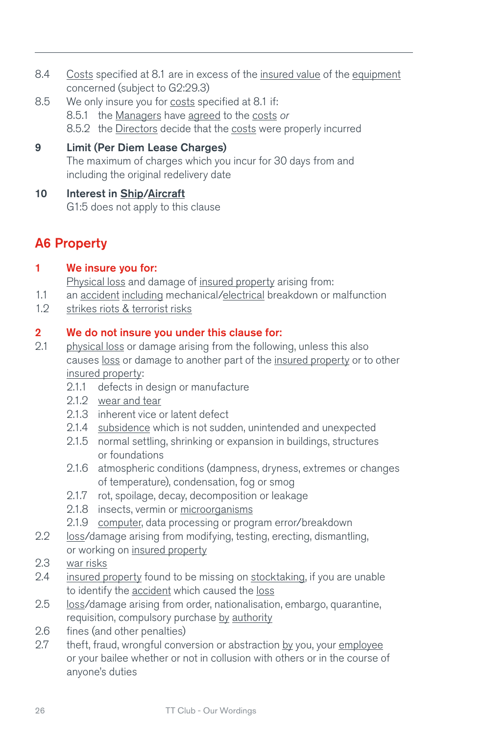- 8.4 Costs specified at 8.1 are in excess of the insured value of the equipment concerned (subject to G2:29.3)
- 8.5 We only insure you for costs specified at 8.1 if: 8.5.1 the Managers have agreed to the costs *or* 8.5.2 the Directors decide that the costs were properly incurred
- 9 Limit (Per Diem Lease Charges) The maximum of charges which you incur for 30 days from and including the original redelivery date
- 10 Interest in Ship/Aircraft G1:5 does not apply to this clause

## A6 Property

1 We insure you for:

Physical loss and damage of insured property arising from:

- 1.1 an accident including mechanical/electrical breakdown or malfunction
- 1.2 strikes riots & terrorist risks

#### 2 We do not insure you under this clause for:

- 2.1 physical loss or damage arising from the following, unless this also causes loss or damage to another part of the insured property or to other insured property:
	- 2.1.1 defects in design or manufacture
	- 2.1.2 wear and tear
	- 2.1.3 inherent vice or latent defect
	- 2.1.4 subsidence which is not sudden, unintended and unexpected
	- 2.1.5 normal settling, shrinking or expansion in buildings, structures or foundations
	- 2.1.6 atmospheric conditions (dampness, dryness, extremes or changes of temperature), condensation, fog or smog
	- 2.1.7 rot, spoilage, decay, decomposition or leakage
	- 2.1.8 insects, vermin or microorganisms
	- 2.1.9 computer, data processing or program error/breakdown
- 2.2 loss/damage arising from modifying, testing, erecting, dismantling, or working on insured property
- 2.3 war risks
- 2.4 insured property found to be missing on stocktaking, if you are unable to identify the accident which caused the loss
- 2.5 loss/damage arising from order, nationalisation, embargo, quarantine, requisition, compulsory purchase by authority
- 2.6 fines (and other penalties)
- 2.7 theft, fraud, wrongful conversion or abstraction by you, your employee or your bailee whether or not in collusion with others or in the course of anyone's duties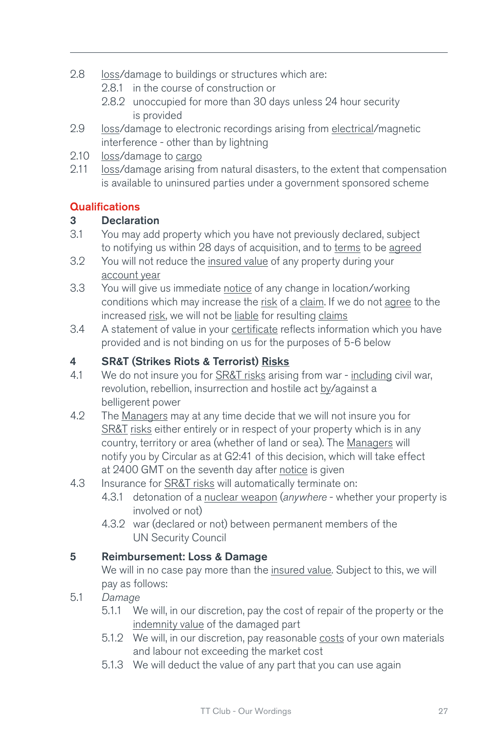- 2.8 loss/damage to buildings or structures which are:
	- 2.8.1 in the course of construction or
	- 2.8.2 unoccupied for more than 30 days unless 24 hour security is provided
- 2.9 loss/damage to electronic recordings arising from electrical/magnetic interference - other than by lightning
- 2.10 loss/damage to cargo<br>2.11 loss/damage arising fr
- loss/damage arising from natural disasters, to the extent that compensation is available to uninsured parties under a government sponsored scheme

#### 3 Declaration

- 3.1 You may add property which you have not previously declared, subject to notifying us within 28 days of acquisition, and to terms to be agreed
- 3.2 You will not reduce the insured value of any property during your account year
- 3.3 You will give us immediate notice of any change in location/working conditions which may increase the risk of a claim. If we do not agree to the increased risk, we will not be liable for resulting claims
- 3.4 A statement of value in your certificate reflects information which you have provided and is not binding on us for the purposes of 5-6 below

#### 4 SR&T (Strikes Riots & Terrorist) Risks

- 4.1 We do not insure you for SR&T risks arising from war including civil war, revolution, rebellion, insurrection and hostile act by/against a belligerent power
- 4.2 The Managers may at any time decide that we will not insure you for SR&T risks either entirely or in respect of your property which is in any country, territory or area (whether of land or sea). The Managers will notify you by Circular as at G2:41 of this decision, which will take effect at 2400 GMT on the seventh day after notice is given
- 4.3 Insurance for **SR&T** risks will automatically terminate on:
	- 4.3.1 detonation of a nuclear weapon (*anywhere* whether your property is involved or not)
	- 4.3.2 war (declared or not) between permanent members of the UN Security Council

#### 5 Reimbursement: Loss & Damage

 We will in no case pay more than the insured value. Subject to this, we will pay as follows:

- 5.1 *Damage*
	- 5.1.1 We will, in our discretion, pay the cost of repair of the property or the indemnity value of the damaged part
	- 5.1.2 We will, in our discretion, pay reasonable costs of your own materials and labour not exceeding the market cost
	- 5.1.3 We will deduct the value of any part that you can use again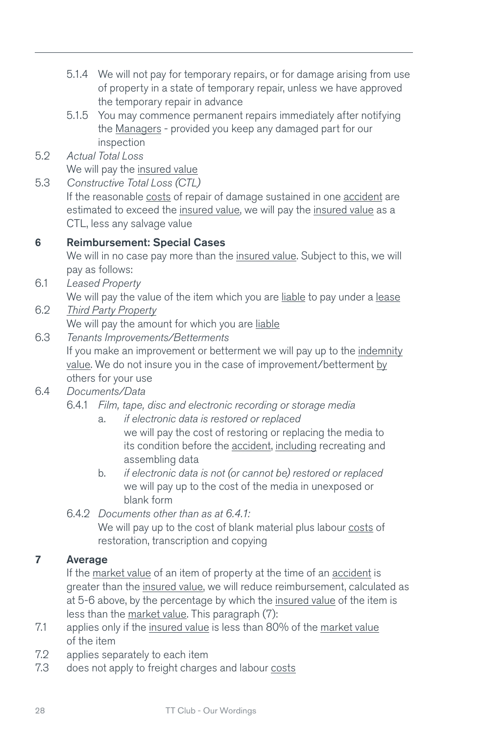- 5.1.4 We will not pay for temporary repairs, or for damage arising from use of property in a state of temporary repair, unless we have approved the temporary repair in advance
- 5.1.5 You may commence permanent repairs immediately after notifying the Managers - provided you keep any damaged part for our inspection
- 5.2 *Actual Total Loss*

We will pay the insured value

5.3 *Constructive Total Loss (CTL)*

 If the reasonable costs of repair of damage sustained in one accident are estimated to exceed the insured value, we will pay the insured value as a CTL, less any salvage value

#### 6 Reimbursement: Special Cases

 We will in no case pay more than the insured value. Subject to this, we will pay as follows:

6.1 *Leased Property*

We will pay the value of the item which you are liable to pay under a lease

6.2 *Third Party Property*

We will pay the amount for which you are liable

6.3 *Tenants Improvements/Betterments*

If you make an improvement or betterment we will pay up to the indemnity value. We do not insure you in the case of improvement/betterment by others for your use

- 6.4 *Documents/Data*
	- 6.4.1 *Film, tape, disc and electronic recording or storage media*
		- a. *if electronic data is restored or replaced*  we will pay the cost of restoring or replacing the media to its condition before the accident, including recreating and assembling data
		- b. *if electronic data is not (or cannot be) restored or replaced* we will pay up to the cost of the media in unexposed or blank form

6.4.2 *Documents other than as at 6.4.1:* We will pay up to the cost of blank material plus labour costs of restoration, transcription and copying

#### 7 Average

If the market value of an item of property at the time of an accident is greater than the insured value, we will reduce reimbursement, calculated as at 5-6 above, by the percentage by which the insured value of the item is less than the market value. This paragraph (7):

- 7.1 applies only if the insured value is less than 80% of the market value of the item
- 7.2 applies separately to each item
- 7.3 does not apply to freight charges and labour costs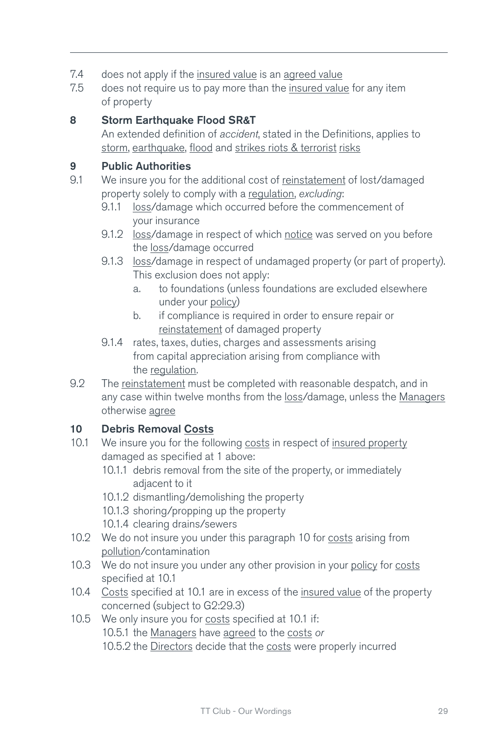- 7.4 does not apply if the <u>insured value</u> is an agreed value<br>7.5 does not require us to pay more than the insured value
- does not require us to pay more than the insured value for any item of property

#### 8 Storm Earthquake Flood SR&T

 An extended definition of *accident*, stated in the Definitions, applies to storm, earthquake, flood and strikes riots & terrorist risks

#### 9 Public Authorities

- 9.1 We insure you for the additional cost of reinstatement of lost/damaged property solely to comply with a regulation, *excluding*:
	- 9.1.1 loss/damage which occurred before the commencement of your insurance
	- 9.1.2 loss/damage in respect of which notice was served on you before the loss/damage occurred
	- 9.1.3 loss/damage in respect of undamaged property (or part of property). This exclusion does not apply:
		- a. to foundations (unless foundations are excluded elsewhere under your policy)
		- b. if compliance is required in order to ensure repair or reinstatement of damaged property
	- 9.1.4 rates, taxes, duties, charges and assessments arising from capital appreciation arising from compliance with the regulation.
- 9.2 The reinstatement must be completed with reasonable despatch, and in any case within twelve months from the loss/damage, unless the Managers otherwise agree

#### 10 Debris Removal Costs

- 10.1 We insure you for the following costs in respect of insured property damaged as specified at 1 above:
	- 10.1.1 debris removal from the site of the property, or immediately adjacent to it
	- 10.1.2 dismantling/demolishing the property
	- 10.1.3 shoring/propping up the property
	- 10.1.4 clearing drains/sewers
- 10.2 We do not insure you under this paragraph 10 for costs arising from pollution/contamination
- 10.3 We do not insure you under any other provision in your policy for costs specified at 10.1
- 10.4 Costs specified at 10.1 are in excess of the insured value of the property concerned (subject to G2:29.3)
- 10.5 We only insure you for costs specified at 10.1 if: 10.5.1 the Managers have agreed to the costs *or* 10.5.2 the Directors decide that the costs were properly incurred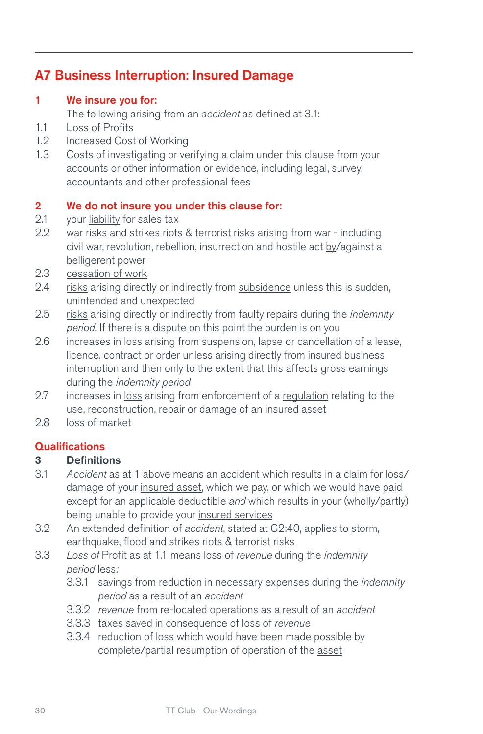## A7 Business Interruption: Insured Damage

#### 1 We insure you for:

The following arising from an *accident* as defined at 3.1:

- 1.1 Loss of Profits
- 1.2 Increased Cost of Working<br>1.3 Costs of investigating or ve
- Costs of investigating or verifying a claim under this clause from your accounts or other information or evidence, including legal, survey, accountants and other professional fees

#### 2 We do not insure you under this clause for:

- 2.1 vour liability for sales tax
- 2.2 war risks and strikes riots & terrorist risks arising from war including civil war, revolution, rebellion, insurrection and hostile act by/against a belligerent power
- 2.3 cessation of work
- 2.4 risks arising directly or indirectly from subsidence unless this is sudden, unintended and unexpected
- 2.5 risks arising directly or indirectly from faulty repairs during the *indemnity period*. If there is a dispute on this point the burden is on you
- 2.6 increases in loss arising from suspension, lapse or cancellation of a lease, licence, contract or order unless arising directly from insured business interruption and then only to the extent that this affects gross earnings during the *indemnity period*
- 2.7 increases in loss arising from enforcement of a regulation relating to the use, reconstruction, repair or damage of an insured asset
- 2.8 loss of market

#### **Qualifications**

#### 3 Definitions

- 3.1 *Accident* as at 1 above means an accident which results in a claim for loss/ damage of your insured asset, which we pay, or which we would have paid except for an applicable deductible *and* which results in your (wholly/partly) being unable to provide your insured services
- 3.2 An extended definition of *accident*, stated at G2:40, applies to storm, earthquake, flood and strikes riots & terrorist risks
- 3.3 *Loss of* Profit as at 1.1 means loss of *revenue* during the *indemnity period* less*:*
	- 3.3.1 savings from reduction in necessary expenses during the *indemnity period* as a result of an *accident*
	- 3.3.2 *revenue* from re-located operations as a result of an *accident*
	- 3.3.3 taxes saved in consequence of loss of *revenue*
	- 3.3.4 reduction of loss which would have been made possible by complete/partial resumption of operation of the asset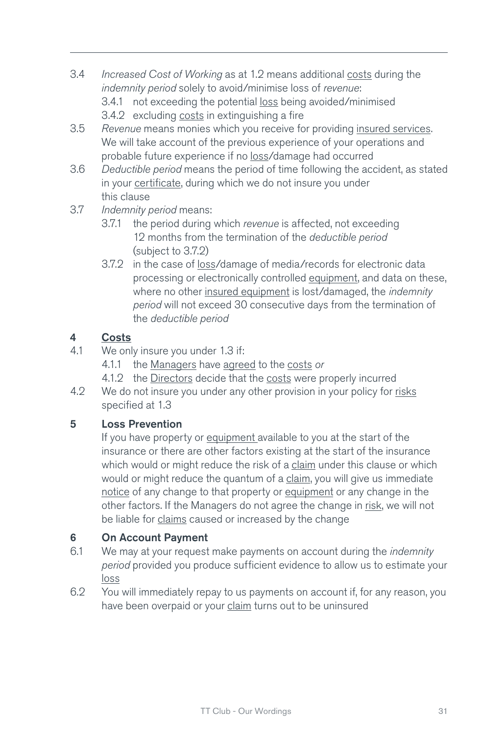3.4 *Increased Cost of Working* as at 1.2 means additional costs during the *indemnity period* solely to avoid/minimise loss of *revenue*:

3.4.1 not exceeding the potential loss being avoided/minimised

- 3.4.2 excluding costs in extinguishing a fire
- 3.5 *Revenue* means monies which you receive for providing insured services. We will take account of the previous experience of your operations and probable future experience if no loss/damage had occurred
- 3.6 *Deductible period* means the period of time following the accident, as stated in your certificate, during which we do not insure you under this clause
- 3.7 *Indemnity period* means:
	- 3.7.1 the period during which *revenue* is affected, not exceeding 12 months from the termination of the *deductible period* (subject to 3.7.2)
	- 3.7.2 in the case of loss/damage of media/records for electronic data processing or electronically controlled equipment, and data on these, where no other insured equipment is lost/damaged, the *indemnity period* will not exceed 30 consecutive days from the termination of the *deductible period*

#### 4 Costs

- 4.1 We only insure you under 1.3 if:
	- 4.1.1 the Managers have agreed to the costs *or*
	- 4.1.2 the Directors decide that the costs were properly incurred
- 4.2 We do not insure you under any other provision in your policy for risks specified at 1.3

#### 5 Loss Prevention

 If you have property or equipment available to you at the start of the insurance or there are other factors existing at the start of the insurance which would or might reduce the risk of a claim under this clause or which would or might reduce the quantum of a claim, you will give us immediate notice of any change to that property or equipment or any change in the other factors. If the Managers do not agree the change in risk, we will not be liable for claims caused or increased by the change

#### 6 On Account Payment

- 6.1 We may at your request make payments on account during the *indemnity period* provided you produce sufficient evidence to allow us to estimate your loss
- 6.2 You will immediately repay to us payments on account if, for any reason, you have been overpaid or your claim turns out to be uninsured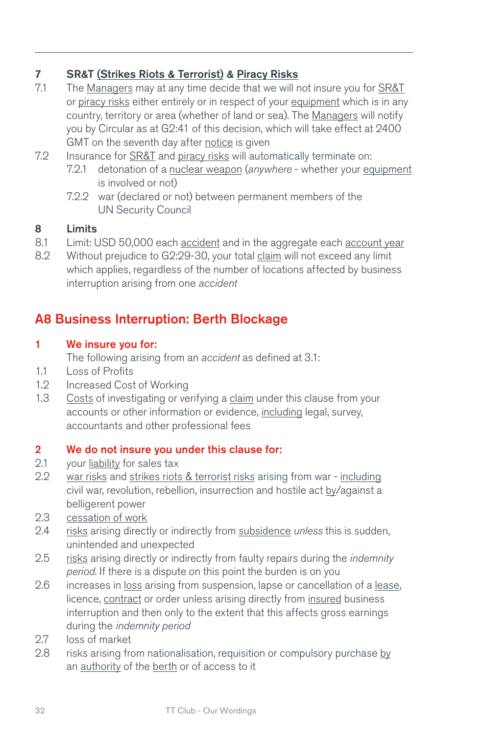## **7 SR&T (Strikes Riots & Terrorist) & Piracy Risks**<br>71 The Managers may at any time decide that we will r

- The Managers may at any time decide that we will not insure you for SR&T or piracy risks either entirely or in respect of your equipment which is in any country, territory or area (whether of land or sea). The Managers will notify you by Circular as at G2:41 of this decision, which will take effect at 2400 GMT on the seventh day after notice is given
- 7.2 Insurance for SR&T and piracy risks will automatically terminate on:
	- 7.2.1 detonation of a nuclear weapon (*anywhere* whether your equipment is involved or not)
	- 7.2.2 war (declared or not) between permanent members of the UN Security Council

#### 8 Limits

- 8.1 Limit: USD 50,000 each accident and in the aggregate each account year
- 8.2 Without prejudice to G2:29-30, your total claim will not exceed any limit which applies, regardless of the number of locations affected by business interruption arising from one *accident*

## A8 Business Interruption: Berth Blockage

#### 1 We insure you for:

The following arising from an *accident* as defined at 3.1:

- 1.1 Loss of Profits
- 1.2 Increased Cost of Working
- 1.3 Costs of investigating or verifying a claim under this clause from your accounts or other information or evidence, including legal, survey, accountants and other professional fees

#### 2 We do not insure you under this clause for:

- 2.1 your liability for sales tax
- 2.2 war risks and strikes riots & terrorist risks arising from war including civil war, revolution, rebellion, insurrection and hostile act by/against a belligerent power
- 2.3 cessation of work
- 2.4 risks arising directly or indirectly from subsidence *unless* this is sudden, unintended and unexpected
- 2.5 risks arising directly or indirectly from faulty repairs during the *indemnity period*. If there is a dispute on this point the burden is on you
- 2.6 increases in loss arising from suspension, lapse or cancellation of a lease, licence, contract or order unless arising directly from insured business interruption and then only to the extent that this affects gross earnings during the *indemnity period*
- 2.7 loss of market
- 2.8 risks arising from nationalisation, requisition or compulsory purchase by an authority of the berth or of access to it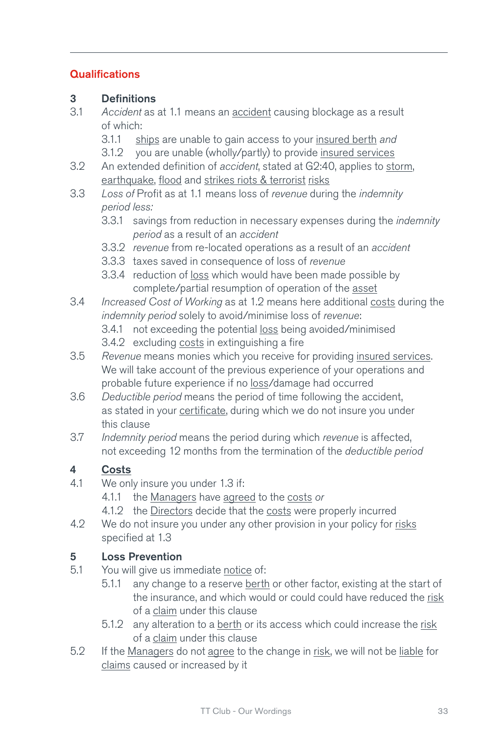#### 3 Definitions

- 3.1 *Accident* as at 1.1 means an accident causing blockage as a result of which:
	- 3.1.1 ships are unable to gain access to your insured berth *and*
	- 3.1.2 you are unable (wholly/partly) to provide insured services
- 3.2 An extended definition of *accident*, stated at G2:40, applies to storm, earthquake, flood and strikes riots & terrorist risks
- 3.3 *Loss of* Profit as at 1.1 means loss of *revenue* during the *indemnity period less:*
	- 3.3.1 savings from reduction in necessary expenses during the *indemnity period* as a result of an *accident*
	- 3.3.2 *revenue* from re-located operations as a result of an *accident*
	- 3.3.3 taxes saved in consequence of loss of *revenue*
	- 3.3.4 reduction of loss which would have been made possible by complete/partial resumption of operation of the asset
- 3.4 *Increased Cost of Working* as at 1.2 means here additional costs during the *indemnity period* solely to avoid/minimise loss of *revenue*:
	- 3.4.1 not exceeding the potential loss being avoided/minimised
	- 3.4.2 excluding costs in extinguishing a fire
- 3.5 *Revenue* means monies which you receive for providing insured services. We will take account of the previous experience of your operations and probable future experience if no loss/damage had occurred
- 3.6 *Deductible period* means the period of time following the accident, as stated in your certificate, during which we do not insure you under this clause
- 3.7 *Indemnity period* means the period during which *revenue* is affected, not exceeding 12 months from the termination of the *deductible period*

#### 4 Costs

- 4.1 We only insure you under 1.3 if:
	- 4.1.1 the Managers have agreed to the costs *or*
	- 4.1.2 the Directors decide that the costs were properly incurred
- 4.2 We do not insure you under any other provision in your policy for risks specified at 1.3

#### 5 Loss Prevention

- 5.1 You will give us immediate notice of:
	- 5.1.1 any change to a reserve berth or other factor, existing at the start of the insurance, and which would or could could have reduced the risk of a claim under this clause
	- 5.1.2 any alteration to a berth or its access which could increase the risk of a claim under this clause
- 5.2 If the Managers do not agree to the change in risk, we will not be liable for claims caused or increased by it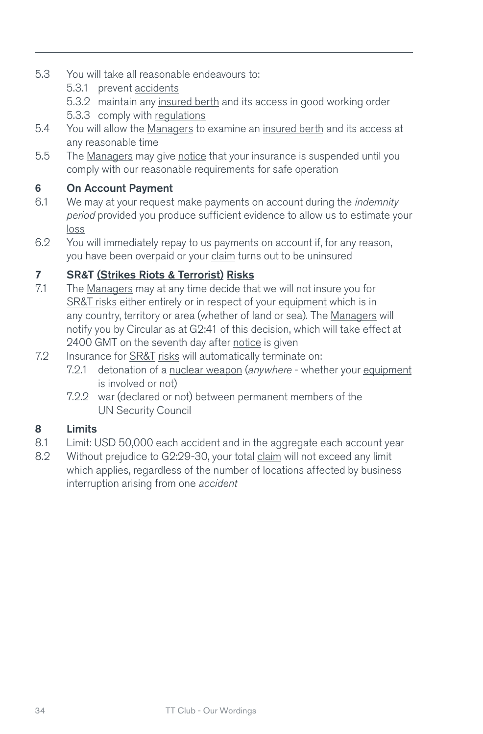- 5.3 You will take all reasonable endeavours to:
	- 5.3.1 prevent accidents
	- 5.3.2 maintain any insured berth and its access in good working order
	- 5.3.3 comply with regulations
- 5.4 You will allow the Managers to examine an insured berth and its access at any reasonable time
- 5.5 The Managers may give notice that your insurance is suspended until you comply with our reasonable requirements for safe operation

#### 6 On Account Payment

- 6.1 We may at your request make payments on account during the *indemnity period* provided you produce sufficient evidence to allow us to estimate your loss
- 6.2 You will immediately repay to us payments on account if, for any reason, you have been overpaid or your claim turns out to be uninsured

# **7 SR&T (Strikes Riots & Terrorist) Risks**<br>71 The Managers may at any time decide tha

- The Managers may at any time decide that we will not insure you for SR&T risks either entirely or in respect of your equipment which is in any country, territory or area (whether of land or sea). The Managers will notify you by Circular as at G2:41 of this decision, which will take effect at 2400 GMT on the seventh day after notice is given
- 7.2 Insurance for SR&T risks will automatically terminate on:
	- 7.2.1 detonation of a nuclear weapon (*anywhere* whether your equipment is involved or not)
	- 7.2.2 war (declared or not) between permanent members of the UN Security Council

#### 8 Limits

- 8.1 Limit: USD 50,000 each accident and in the aggregate each account year
- 8.2 Without prejudice to G2:29-30, your total claim will not exceed any limit which applies, regardless of the number of locations affected by business interruption arising from one *accident*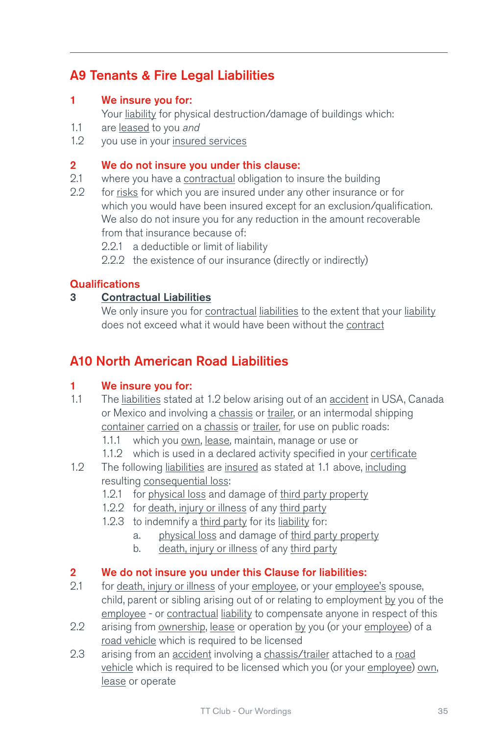## A9 Tenants & Fire Legal Liabilities

#### 1 We insure you for:

Your liability for physical destruction/damage of buildings which:

- 1.1 are <u>leased</u> to you *and*<br>1.2 vou use in your insured
- you use in your insured services

#### 2 We do not insure you under this clause:

- 2.1 where you have a  $contractual$  obligation to insure the building  $22$  for risks for which you are insured under any other insurance of</u>
- for risks for which you are insured under any other insurance or for which you would have been insured except for an exclusion/qualification. We also do not insure you for any reduction in the amount recoverable from that insurance because of:
	- 2.2.1 a deductible or limit of liability
	- 2.2.2 the existence of our insurance (directly or indirectly)

#### **Qualifications**

#### 3 Contractual Liabilities

We only insure you for contractual liabilities to the extent that your liability does not exceed what it would have been without the contract

### A10 North American Road Liabilities

#### 1 We insure you for:

- 1.1 The liabilities stated at 1.2 below arising out of an accident in USA, Canada or Mexico and involving a chassis or trailer, or an intermodal shipping container carried on a chassis or trailer, for use on public roads:
	- 1.1.1 which you own, lease, maintain, manage or use or
	- 1.1.2 which is used in a declared activity specified in your certificate
- 1.2 The following liabilities are insured as stated at 1.1 above, including resulting consequential loss:
	- 1.2.1 for physical loss and damage of third party property
	- 1.2.2 for death, injury or illness of any third party
	- 1.2.3 to indemnify a third party for its liability for:
		- a. physical loss and damage of third party property
		- b. death, injury or illness of any third party

#### 2 We do not insure you under this Clause for liabilities:

- 2.1 for death, injury or illness of your employee, or your employee's spouse, child, parent or sibling arising out of or relating to employment by you of the employee - or contractual liability to compensate anyone in respect of this
- 2.2 arising from ownership, lease or operation by you (or your employee) of a road vehicle which is required to be licensed
- 2.3 arising from an accident involving a chassis/trailer attached to a road vehicle which is required to be licensed which you (or your employee) own, lease or operate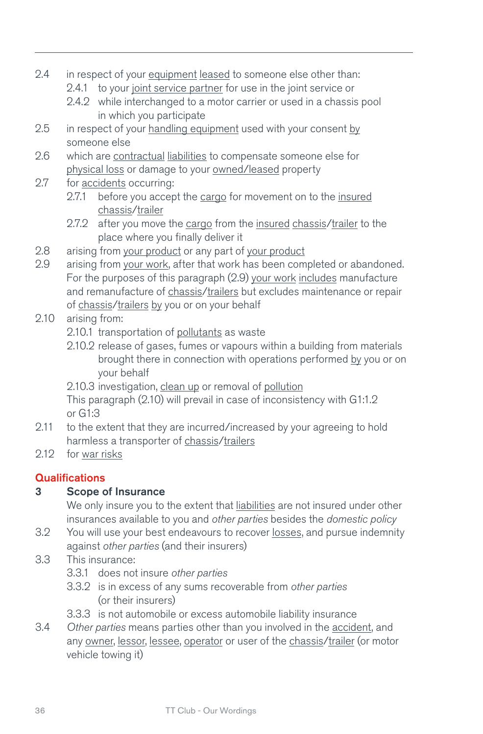- 2.4 in respect of your equipment leased to someone else other than:
	- 2.4.1 to your joint service partner for use in the joint service or
	- 2.4.2 while interchanged to a motor carrier or used in a chassis pool in which you participate
- 2.5 in respect of your handling equipment used with your consent by someone else
- 2.6 which are contractual liabilities to compensate someone else for physical loss or damage to your owned/leased property
- 2.7 for accidents occurring:
	- 2.7.1 before you accept the cargo for movement on to the insured chassis/trailer
	- 2.7.2 after you move the cargo from the insured chassis/trailer to the place where you finally deliver it
- 2.8 arising from your product or any part of your product<br>2.9 arising from your work, after that work has been com
- arising from your work, after that work has been completed or abandoned. For the purposes of this paragraph (2.9) your work includes manufacture and remanufacture of chassis/trailers but excludes maintenance or repair of chassis/trailers by you or on your behalf
- 2.10 arising from:
	- 2.10.1 transportation of pollutants as waste
	- 2.10.2 release of gases, fumes or vapours within a building from materials brought there in connection with operations performed by you or on your behalf
	- 2.10.3 investigation, clean up or removal of pollution

 This paragraph (2.10) will prevail in case of inconsistency with G1:1.2 or G1:3

- 2.11 to the extent that they are incurred/increased by your agreeing to hold harmless a transporter of chassis/trailers
- 2.12 for war risks

#### **Qualifications**

#### 3 Scope of Insurance

 We only insure you to the extent that liabilities are not insured under other insurances available to you and *other parties* besides the *domestic policy*

- 3.2 You will use your best endeavours to recover losses, and pursue indemnity against *other parties* (and their insurers)
- 3.3 This insurance:
	- 3.3.1 does not insure *other parties*
	- 3.3.2 is in excess of any sums recoverable from *other parties* (or their insurers)
	- 3.3.3 is not automobile or excess automobile liability insurance
- 3.4 *Other parties* means parties other than you involved in the accident, and any owner, lessor, lessee, operator or user of the chassis/trailer (or motor vehicle towing it)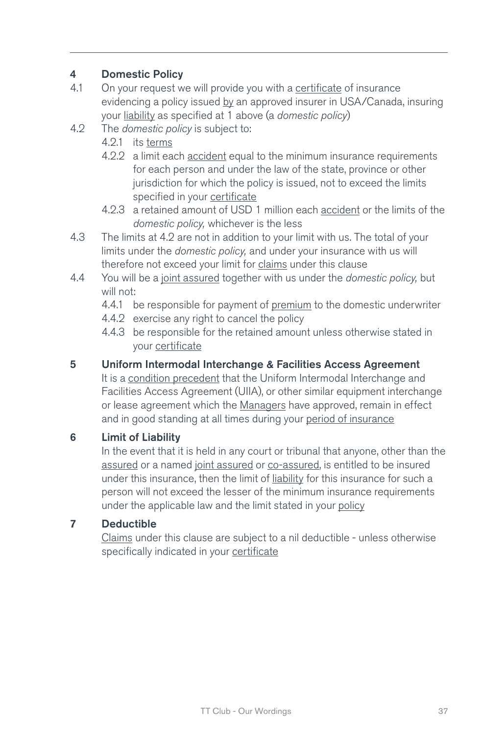#### 4 Domestic Policy

- 4.1 On your request we will provide you with a certificate of insurance evidencing a policy issued by an approved insurer in USA/Canada, insuring your liability as specified at 1 above (a *domestic policy*)
- 4.2 The *domestic policy* is subject to:
	- 4.2.1 its terms
	- 4.2.2 a limit each accident equal to the minimum insurance requirements for each person and under the law of the state, province or other jurisdiction for which the policy is issued, not to exceed the limits specified in your certificate
	- 4.2.3 a retained amount of USD 1 million each accident or the limits of the *domestic policy,* whichever is the less
- 4.3 The limits at 4.2 are not in addition to your limit with us. The total of your limits under the *domestic policy,* and under your insurance with us will therefore not exceed your limit for claims under this clause
- 4.4 You will be a joint assured together with us under the *domestic policy,* but will not:
	- 4.4.1 be responsible for payment of premium to the domestic underwriter
	- 4.4.2 exercise any right to cancel the policy
	- 4.4.3 be responsible for the retained amount unless otherwise stated in your certificate

#### 5 Uniform Intermodal Interchange & Facilities Access Agreement

 It is a condition precedent that the Uniform Intermodal Interchange and Facilities Access Agreement (UIIA), or other similar equipment interchange or lease agreement which the Managers have approved, remain in effect and in good standing at all times during your period of insurance

#### 6 Limit of Liability

 In the event that it is held in any court or tribunal that anyone, other than the assured or a named joint assured or co-assured, is entitled to be insured under this insurance, then the limit of liability for this insurance for such a person will not exceed the lesser of the minimum insurance requirements under the applicable law and the limit stated in your policy

#### 7 Deductible

 Claims under this clause are subject to a nil deductible - unless otherwise specifically indicated in your certificate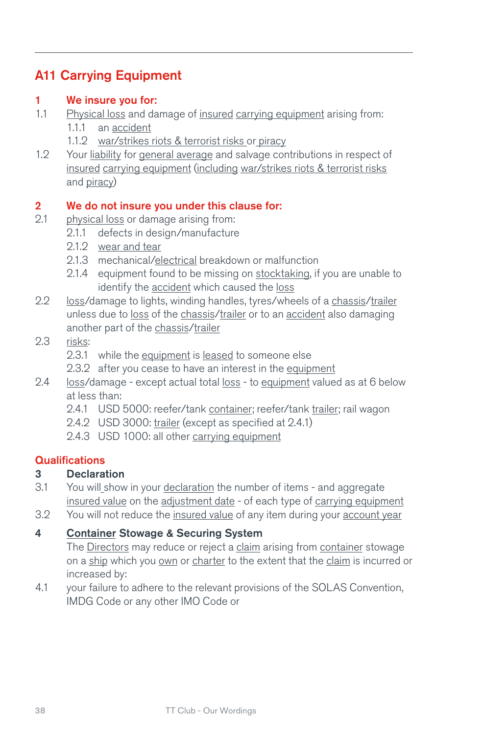## A11 Carrying Equipment

#### 1 We insure you for:

- 1.1 Physical loss and damage of insured carrying equipment arising from: 1.1.1 an accident
	- 1.1.2 war/strikes riots & terrorist risks or piracy
- 1.2 Your liability for general average and salvage contributions in respect of insured carrying equipment (including war/strikes riots & terrorist risks and piracy)

## **2 We do not insure you under this clause for:**<br>21 mbysical loss or damage arising from:

- physical loss or damage arising from:
	- 2.1.1 defects in design/manufacture
	- 2.1.2 wear and tear
	- 2.1.3 mechanical/electrical breakdown or malfunction
	- 2.1.4 equipment found to be missing on stocktaking, if you are unable to identify the accident which caused the loss
- 2.2 loss/damage to lights, winding handles, tyres/wheels of a chassis/trailer unless due to loss of the chassis/trailer or to an accident also damaging another part of the chassis/trailer
- 2.3 risks:
	- 2.3.1 while the equipment is leased to someone else
	- 2.3.2 after you cease to have an interest in the equipment
- 2.4 loss/damage except actual total loss to equipment valued as at 6 below at less than:
	- 2.4.1 USD 5000: reefer/tank container; reefer/tank trailer; rail wagon
	- 2.4.2 USD 3000: trailer (except as specified at 2.4.1)
	- 2.4.3 USD 1000: all other carrying equipment

#### Qualifications

#### 3 Declaration

- 3.1 You will show in your declaration the number of items and aggregate insured value on the adjustment date - of each type of carrying equipment
- 3.2 You will not reduce the insured value of any item during your account year

#### 4 Container Stowage & Securing System

 The Directors may reduce or reject a claim arising from container stowage on a ship which you own or charter to the extent that the claim is incurred or increased by:

4.1 your failure to adhere to the relevant provisions of the SOLAS Convention, IMDG Code or any other IMO Code or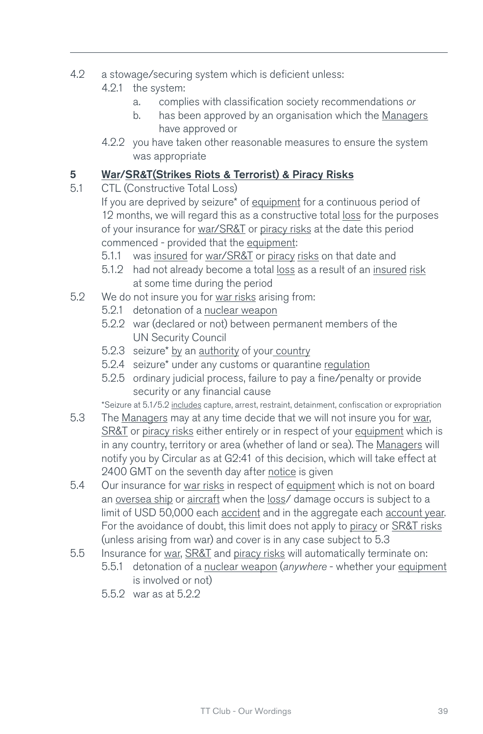- 4.2 a stowage/securing system which is deficient unless:
	- 4.2.1 the system:
		- a. complies with classification society recommendations *or*
		- b. has been approved by an organisation which the Managers have approved or
	- 4.2.2 you have taken other reasonable measures to ensure the system was appropriate

#### 5 War/SR&T(Strikes Riots & Terrorist) & Piracy Risks

5.1 CTL (Constructive Total Loss)

 If you are deprived by seizure\* of equipment for a continuous period of 12 months, we will regard this as a constructive total loss for the purposes of your insurance for war/SR&T or piracy risks at the date this period commenced - provided that the equipment:

- 5.1.1 was insured for war/SR&T or piracy risks on that date and
- 5.1.2 had not already become a total loss as a result of an insured risk at some time during the period
- 5.2 We do not insure you for war risks arising from:
	- 5.2.1 detonation of a nuclear weapon
	- 5.2.2 war (declared or not) between permanent members of the UN Security Council
	- 5.2.3 seizure\* by an authority of your country
	- 5.2.4 seizure\* under any customs or quarantine regulation
	- 5.2.5 ordinary judicial process, failure to pay a fine/penalty or provide security or any financial cause

\*Seizure at 5.1/5.2 includes capture, arrest, restraint, detainment, confiscation or expropriation

- 5.3 The Managers may at any time decide that we will not insure you for war, SR&T or piracy risks either entirely or in respect of your equipment which is in any country, territory or area (whether of land or sea). The Managers will notify you by Circular as at G2:41 of this decision, which will take effect at 2400 GMT on the seventh day after notice is given
- 5.4 Our insurance for war risks in respect of equipment which is not on board an oversea ship or aircraft when the loss/ damage occurs is subject to a limit of USD 50,000 each accident and in the aggregate each account year. For the avoidance of doubt, this limit does not apply to piracy or SR&T risks (unless arising from war) and cover is in any case subject to 5.3
- 5.5 Insurance for war, SR&T and piracy risks will automatically terminate on:
	- 5.5.1 detonation of a nuclear weapon (*anywhere* whether your equipment is involved or not)
	- 5.5.2 war as at 5.2.2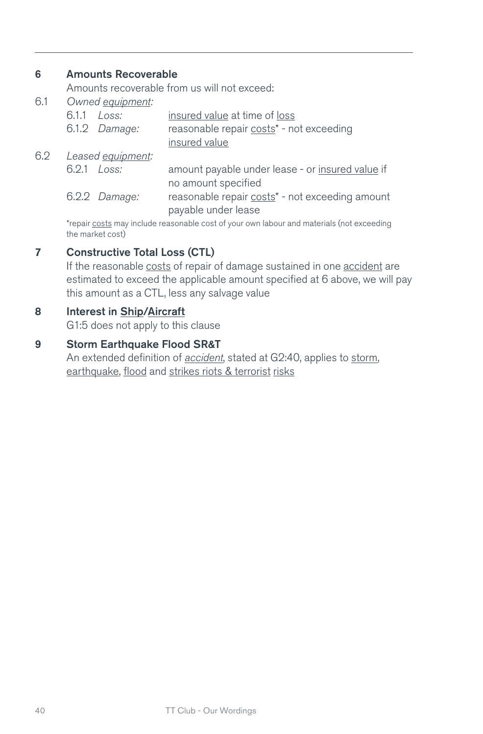#### 6 Amounts Recoverable

Amounts recoverable from us will not exceed:

6.1 *Owned equipment:*

|     |                   | $6.1.1$ <i>Loss:</i> | insured value at time of loss                                           |
|-----|-------------------|----------------------|-------------------------------------------------------------------------|
|     |                   | 6.1.2 Damage:        | reasonable repair costs* - not exceeding<br>insured value               |
| 6.2 | Leased equipment: |                      |                                                                         |
|     |                   | $6.2.1$ <i>Loss:</i> | amount payable under lease - or insured value if<br>no amount specified |
|     |                   | 6.2.2 Damage:        | reasonable repair costs* - not exceeding amount<br>payable under lease  |
|     |                   |                      |                                                                         |

 \*repair costs may include reasonable cost of your own labour and materials (not exceeding the market cost)

#### 7 Constructive Total Loss (CTL)

If the reasonable costs of repair of damage sustained in one accident are estimated to exceed the applicable amount specified at 6 above, we will pay this amount as a CTL, less any salvage value

#### 8 Interest in Ship/Aircraft

G1:5 does not apply to this clause

#### 9 Storm Earthquake Flood SR&T

An extended definition of *accident*, stated at G2:40, applies to storm, earthquake, flood and strikes riots & terrorist risks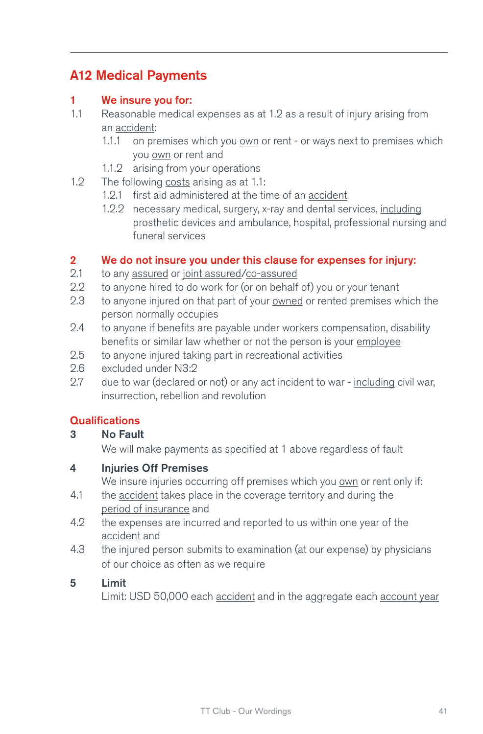## A12 Medical Payments

#### 1 We insure you for:

- 1.1 Reasonable medical expenses as at 1.2 as a result of injury arising from an accident:
	- 1.1.1 on premises which you own or rent or ways next to premises which you own or rent and
	- 1.1.2 arising from your operations
- 1.2 The following costs arising as at 1.1:
	- 1.2.1 first aid administered at the time of an accident
	- 1.2.2 necessary medical, surgery, x-ray and dental services, including prosthetic devices and ambulance, hospital, professional nursing and funeral services

#### 2 We do not insure you under this clause for expenses for injury:

- 2.1 to any assured or joint assured/co-assured
- 2.2 to anyone hired to do work for (or on behalf of) you or your tenant
- 2.3 to anyone injured on that part of your owned or rented premises which the person normally occupies
- 2.4 to anyone if benefits are payable under workers compensation, disability benefits or similar law whether or not the person is your employee
- 2.5 to anyone injured taking part in recreational activities
- 2.6 excluded under N3:2<br>27 due to war (declared)
- due to war (declared or not) or any act incident to war including civil war, insurrection, rebellion and revolution

#### **Qualifications**

#### 3 No Fault

We will make payments as specified at 1 above regardless of fault

#### 4 Injuries Off Premises

We insure injuries occurring off premises which you own or rent only if:

- 4.1 the accident takes place in the coverage territory and during the period of insurance and
- 4.2 the expenses are incurred and reported to us within one year of the accident and
- 4.3 the injured person submits to examination (at our expense) by physicians of our choice as often as we require

#### 5 Limit

Limit: USD 50,000 each accident and in the aggregate each account year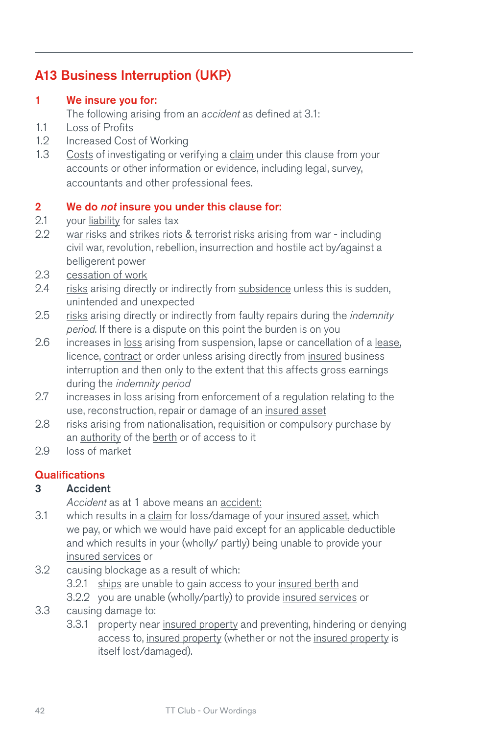## A13 Business Interruption (UKP)

#### 1 We insure you for:

The following arising from an *accident* as defined at 3.1:

- 1.1 Loss of Profits
- 1.2 Increased Cost of Working<br>1.3 Costs of investigating or ve
- Costs of investigating or verifying a claim under this clause from your accounts or other information or evidence, including legal, survey, accountants and other professional fees.

#### 2 We do *not* insure you under this clause for:

- 2.1 your liability for sales tax
- 2.2 war risks and strikes riots & terrorist risks arising from war including civil war, revolution, rebellion, insurrection and hostile act by/against a belligerent power
- 2.3 cessation of work
- 2.4 risks arising directly or indirectly from subsidence unless this is sudden, unintended and unexpected
- 2.5 risks arising directly or indirectly from faulty repairs during the *indemnity period*. If there is a dispute on this point the burden is on you
- 2.6 increases in loss arising from suspension, lapse or cancellation of a lease, licence, contract or order unless arising directly from insured business interruption and then only to the extent that this affects gross earnings during the *indemnity period*
- 2.7 increases in loss arising from enforcement of a regulation relating to the use, reconstruction, repair or damage of an insured asset
- 2.8 risks arising from nationalisation, requisition or compulsory purchase by an authority of the berth or of access to it
- 2.9 loss of market

#### **Qualifications**

#### 3 Accident

*Accident* as at 1 above means an accident:

- 3.1 which results in a claim for loss/damage of your insured asset, which we pay, or which we would have paid except for an applicable deductible and which results in your (wholly/ partly) being unable to provide your insured services or
- 3.2 causing blockage as a result of which:
	- 3.2.1 ships are unable to gain access to your insured berth and
	- 3.2.2 you are unable (wholly/partly) to provide insured services or
- 3.3 causing damage to:
	- 3.3.1 property near insured property and preventing, hindering or denying access to, insured property (whether or not the insured property is itself lost/damaged).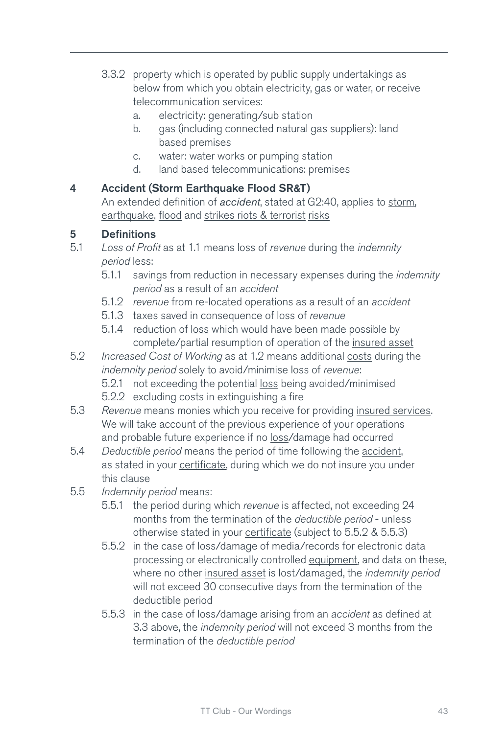- 3.3.2 property which is operated by public supply undertakings as below from which you obtain electricity, gas or water, or receive telecommunication services:
	- a. electricity: generating/sub station<br>h as fincluding connected natural c
	- b. gas (including connected natural gas suppliers): land based premises
	- c. water: water works or pumping station
	- d. land based telecommunications: premises

#### 4 Accident (Storm Earthquake Flood SR&T)

 An extended definition of *accident*, stated at G2:40, applies to storm, earthquake, flood and strikes riots & terrorist risks

#### 5 Definitions

- 5.1 *Loss of Profit* as at 1.1 means loss of *revenue* during the *indemnity period* less:
	- 5.1.1 savings from reduction in necessary expenses during the *indemnity period* as a result of an *accident*
	- 5.1.2 *revenue* from re-located operations as a result of an *accident*
	- 5.1.3 taxes saved in consequence of loss of *revenue*
	- 5.1.4 reduction of loss which would have been made possible by complete/partial resumption of operation of the insured asset
- 5.2 *Increased Cost of Working* as at 1.2 means additional costs during the *indemnity period* solely to avoid/minimise loss of *revenue*:
	- 5.2.1 not exceeding the potential loss being avoided/minimised
	- 5.2.2 excluding costs in extinguishing a fire
- 5.3 *Revenue* means monies which you receive for providing insured services. We will take account of the previous experience of your operations and probable future experience if no loss/damage had occurred
- 5.4 *Deductible period* means the period of time following the accident, as stated in your certificate, during which we do not insure you under this clause
- 5.5 *Indemnity period* means:
	- 5.5.1 the period during which *revenue* is affected, not exceeding 24 months from the termination of the *deductible period* - unless otherwise stated in your certificate (subject to 5.5.2 & 5.5.3)
	- 5.5.2 in the case of loss/damage of media/records for electronic data processing or electronically controlled equipment, and data on these, where no other insured asset is lost/damaged, the *indemnity period* will not exceed 30 consecutive days from the termination of the deductible period
	- 5.5.3 in the case of loss/damage arising from an *accident* as defined at 3.3 above, the *indemnity period* will not exceed 3 months from the termination of the *deductible period*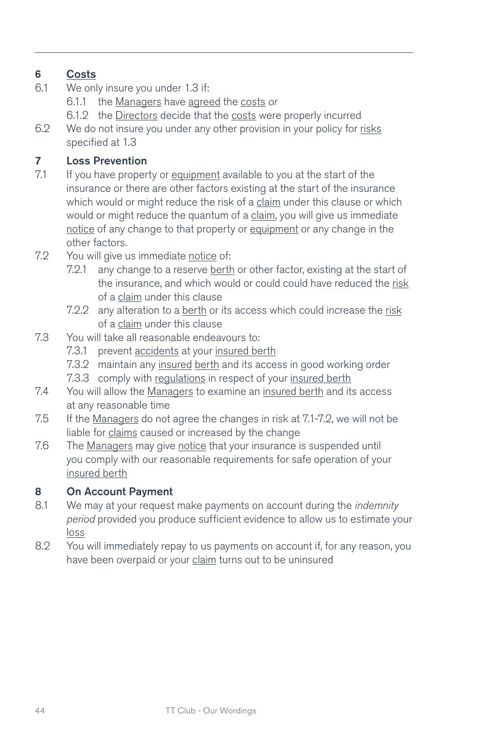#### 6 Costs

- 6.1 We only insure you under 1.3 if:
	- 6.1.1 the Managers have agreed the costs *or*
	- 6.1.2 the Directors decide that the costs were properly incurred
- 6.2 We do not insure you under any other provision in your policy for risks specified at 1.3

#### 7 Loss Prevention

- 7.1 If you have property or equipment available to you at the start of the insurance or there are other factors existing at the start of the insurance which would or might reduce the risk of a claim under this clause or which would or might reduce the quantum of a claim, you will give us immediate notice of any change to that property or equipment or any change in the other factors.
- 7.2 You will give us immediate notice of:
	- 7.2.1 any change to a reserve berth or other factor, existing at the start of the insurance, and which would or could could have reduced the risk of a claim under this clause
	- 7.2.2 any alteration to a berth or its access which could increase the risk of a claim under this clause
- 7.3 You will take all reasonable endeavours to:
	- 7.3.1 prevent accidents at your insured berth
	- 7.3.2 maintain any insured berth and its access in good working order
	- 7.3.3 comply with regulations in respect of your insured berth
- 7.4 You will allow the Managers to examine an insured berth and its access at any reasonable time
- 7.5 If the Managers do not agree the changes in risk at 7.1-7.2, we will not be liable for claims caused or increased by the change
- 7.6 The Managers may give notice that your insurance is suspended until you comply with our reasonable requirements for safe operation of your insured berth

#### 8 On Account Payment

- 8.1 We may at your request make payments on account during the *indemnity period* provided you produce sufficient evidence to allow us to estimate your loss
- 8.2 You will immediately repay to us payments on account if, for any reason, you have been overpaid or your claim turns out to be uninsured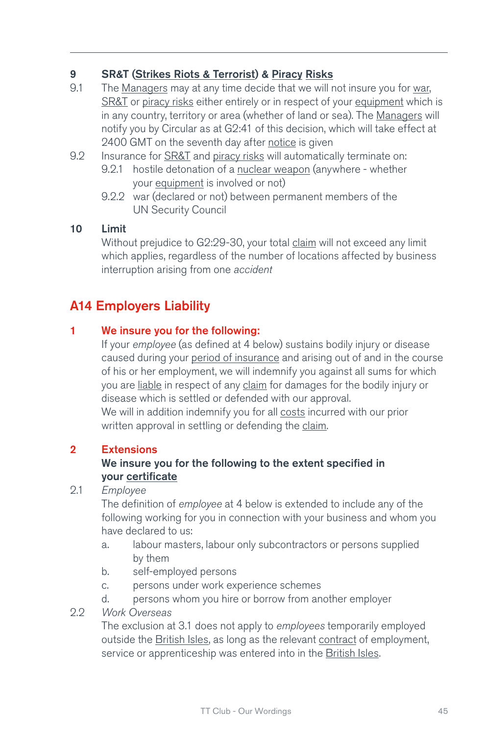#### 9 SR&T (Strikes Riots & Terrorist) & Piracy Risks

- 9.1 The Managers may at any time decide that we will not insure you for war. SR&T or piracy risks either entirely or in respect of your equipment which is in any country, territory or area (whether of land or sea). The Managers will notify you by Circular as at G2:41 of this decision, which will take effect at 2400 GMT on the seventh day after notice is given
- 9.2 Insurance for SR&T and piracy risks will automatically terminate on: 9.2.1 hostile detonation of a nuclear weapon (anywhere - whether
	- your equipment is involved or not)
	- 9.2.2 war (declared or not) between permanent members of the UN Security Council

#### 10 Limit

 Without prejudice to G2:29-30, your total claim will not exceed any limit which applies, regardless of the number of locations affected by business interruption arising from one *accident*

### A14 Employers Liability

#### 1 We insure you for the following:

 If your *employee* (as defined at 4 below) sustains bodily injury or disease caused during your period of insurance and arising out of and in the course of his or her employment, we will indemnify you against all sums for which you are liable in respect of any claim for damages for the bodily injury or disease which is settled or defended with our approval. We will in addition indemnify you for all costs incurred with our prior written approval in settling or defending the claim.

#### 2 Extensions

#### We insure you for the following to the extent specified in your certificate

2.1 *Employee*

 The definition of *employee* at 4 below is extended to include any of the following working for you in connection with your business and whom you have declared to us:

- a. labour masters, labour only subcontractors or persons supplied by them
- b. self-employed persons
- c. persons under work experience schemes
- d. persons whom you hire or borrow from another employer
- 2.2 *Work Overseas*

 The exclusion at 3.1 does not apply to *employees* temporarily employed outside the British Isles, as long as the relevant contract of employment, service or apprenticeship was entered into in the British Isles.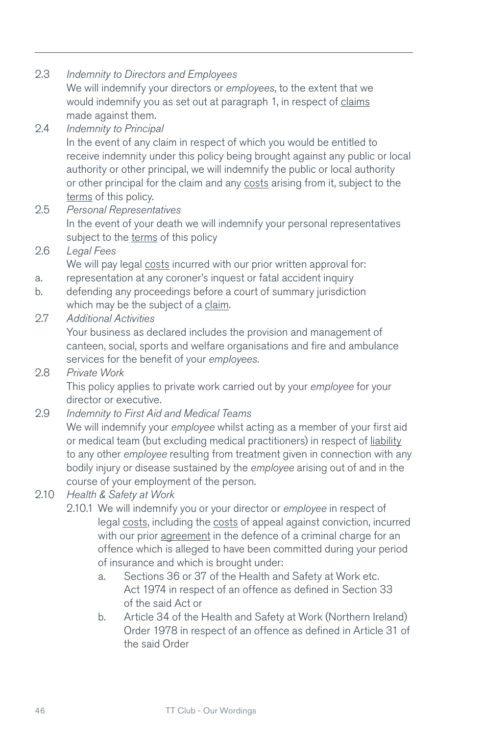2.3 *Indemnity to Directors and Employees*

 We will indemnify your directors or *employees*, to the extent that we would indemnify you as set out at paragraph 1, in respect of claims made against them.

2.4 *Indemnity to Principal*

 In the event of any claim in respect of which you would be entitled to receive indemnity under this policy being brought against any public or local authority or other principal, we will indemnify the public or local authority or other principal for the claim and any costs arising from it, subject to the terms of this policy.

2.5 *Personal Representatives* In the event of your death we will indemnify your personal representatives subject to the terms of this policy

#### 2.6 *Legal Fees* We will pay legal costs incurred with our prior written approval for:

- a. representation at any coroner's inquest or fatal accident inquiry
- b. defending any proceedings before a court of summary jurisdiction which may be the subject of a claim.
- 2.7 *Additional Activities*

 Your business as declared includes the provision and management of canteen, social, sports and welfare organisations and fire and ambulance services for the benefit of your *employees*.

2.8 *Private Work*

 This policy applies to private work carried out by your *employee* for your director or executive.

2.9 *Indemnity to First Aid and Medical Teams*

 We will indemnify your *employee* whilst acting as a member of your first aid or medical team (but excluding medical practitioners) in respect of liability to any other *employee* resulting from treatment given in connection with any bodily injury or disease sustained by the *employee* arising out of and in the course of your employment of the person.

- 2.10 *Health & Safety at Work*
	- 2.10.1 We will indemnify you or your director or *employee* in respect of legal costs, including the costs of appeal against conviction, incurred with our prior agreement in the defence of a criminal charge for an offence which is alleged to have been committed during your period of insurance and which is brought under:
		- a. Sections 36 or 37 of the Health and Safety at Work etc. Act 1974 in respect of an offence as defined in Section 33 of the said Act or
		- b. Article 34 of the Health and Safety at Work (Northern Ireland) Order 1978 in respect of an offence as defined in Article 31 of the said Order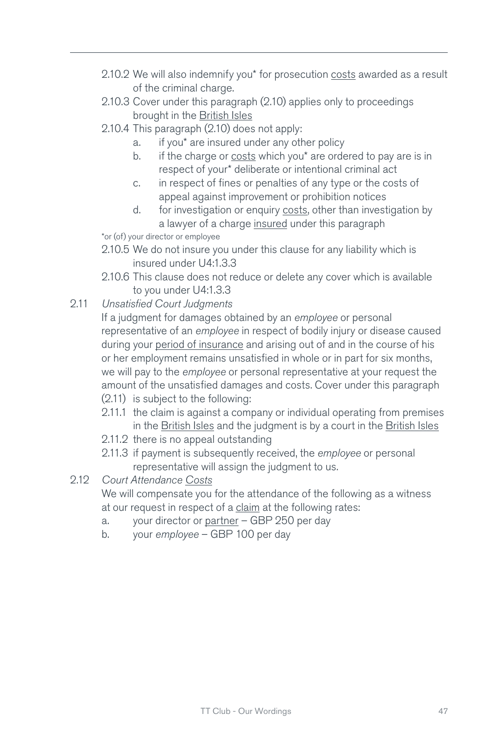- 2.10.2 We will also indemnify you\* for prosecution costs awarded as a result of the criminal charge.
- 2.10.3 Cover under this paragraph (2.10) applies only to proceedings brought in the British Isles
- 2.10.4 This paragraph (2.10) does not apply:
	- a. if you\* are insured under any other policy
	- b. if the charge or costs which you<sup>\*</sup> are ordered to pay are is in respect of your\* deliberate or intentional criminal act
	- c. in respect of fines or penalties of any type or the costs of appeal against improvement or prohibition notices
	- d. for investigation or enquiry costs, other than investigation by a lawyer of a charge insured under this paragraph
- \*or (of) your director or employee
- 2.10.5 We do not insure you under this clause for any liability which is insured under U4:1.3.3
- 2.10.6 This clause does not reduce or delete any cover which is available to you under U4:1.3.3
- 2.11 *Unsatisfied Court Judgments*

 If a judgment for damages obtained by an *employee* or personal representative of an *employee* in respect of bodily injury or disease caused during your period of insurance and arising out of and in the course of his or her employment remains unsatisfied in whole or in part for six months, we will pay to the *employee* or personal representative at your request the amount of the unsatisfied damages and costs. Cover under this paragraph

- (2.11) is subject to the following:
- 2.11.1 the claim is against a company or individual operating from premises in the British Isles and the judgment is by a court in the British Isles
- 2.11.2 there is no appeal outstanding
- 2.11.3 if payment is subsequently received, the *employee* or personal representative will assign the judgment to us.
- 2.12 *Court Attendance Costs*

 We will compensate you for the attendance of the following as a witness at our request in respect of a claim at the following rates:

- a. your director or partner GBP 250 per day
- b. your *employee* GBP 100 per day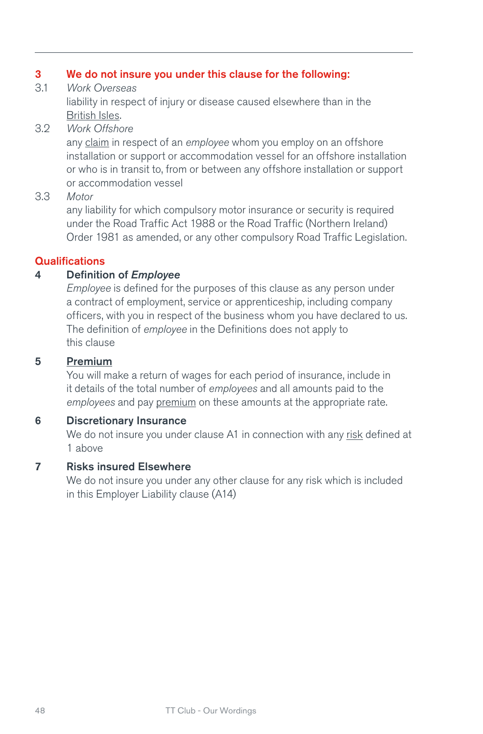#### 3 We do not insure you under this clause for the following:

3.1 *Work Overseas*

 liability in respect of injury or disease caused elsewhere than in the British Isles.

3.2 *Work Offshore*

 any claim in respect of an *employee* whom you employ on an offshore installation or support or accommodation vessel for an offshore installation or who is in transit to, from or between any offshore installation or support or accommodation vessel

3.3 *Motor*

any liability for which compulsory motor insurance or security is required under the Road Traffic Act 1988 or the Road Traffic (Northern Ireland) Order 1981 as amended, or any other compulsory Road Traffic Legislation.

#### **Qualifications**

#### 4 Definition of *Employee*

*Employee* is defined for the purposes of this clause as any person under a contract of employment, service or apprenticeship, including company officers, with you in respect of the business whom you have declared to us. The definition of *employee* in the Definitions does not apply to this clause

#### 5 Premium

 You will make a return of wages for each period of insurance, include in it details of the total number of *employees* and all amounts paid to the *employees* and pay premium on these amounts at the appropriate rate.

#### 6 Discretionary Insurance

We do not insure you under clause A1 in connection with any risk defined at 1 above

#### 7 Risks insured Elsewhere

 We do not insure you under any other clause for any risk which is included in this Employer Liability clause (A14)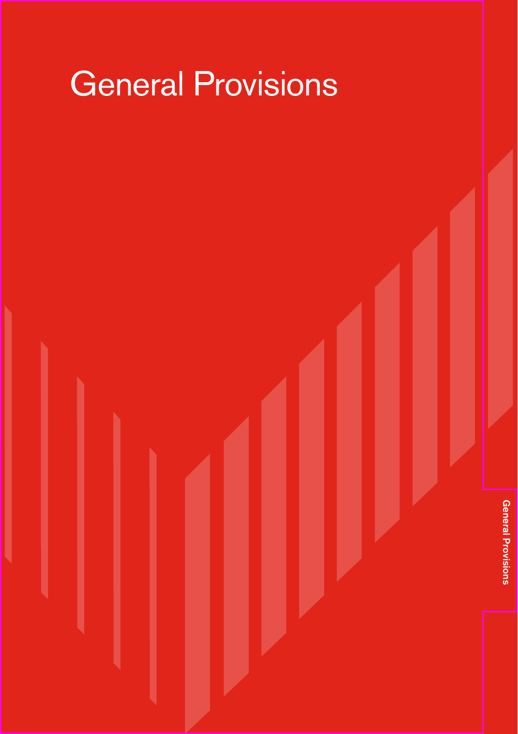# General Provisions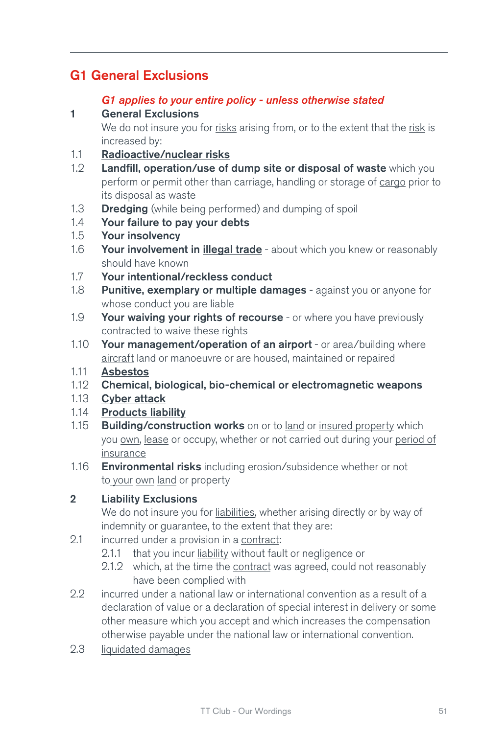## G1 General Exclusions

#### *G1 applies to your entire policy - unless otherwise stated*

- 1 General Exclusions We do not insure you for risks arising from, or to the extent that the risk is increased by:
- 1.1 Radioactive/nuclear risks
- 1.2 Landfill, operation/use of dump site or disposal of waste which you perform or permit other than carriage, handling or storage of cargo prior to its disposal as waste
- 1.3 **Dredging** (while being performed) and dumping of spoil
- 1.4 Your failure to pay your debts
- 1.5 Your insolvency
- 1.6Your involvement in illegal trade about which you knew or reasonably should have known
- 17 Your intentional/reckless conduct
- 1.8 Punitive, exemplary or multiple damages against you or anyone for whose conduct you are liable
- 1.9 Your waiving vour rights of recourse or where you have previously contracted to waive these rights
- 1.10Your management/operation of an airport or area/building where aircraft land or manoeuvre or are housed, maintained or repaired
- 1.11 Asbestos
- 1.12 Chemical, biological, bio-chemical or electromagnetic weapons
- 1.13 Cyber attack
- 1.14 Products liability
- 1.15 Building/construction works on or to land or insured property which you own, lease or occupy, whether or not carried out during your period of insurance
- 1.16 **Environmental risks** including erosion/subsidence whether or not to your own land or property

#### 2 Liability Exclusions

We do not insure you for liabilities, whether arising directly or by way of indemnity or guarantee, to the extent that they are:

- 2.1 incurred under a provision in a contract:
	- 2.1.1 that you incur liability without fault or negligence or
	- 2.1.2 which, at the time the contract was agreed, could not reasonably have been complied with
- 2.2 incurred under a national law or international convention as a result of a declaration of value or a declaration of special interest in delivery or some other measure which you accept and which increases the compensation otherwise payable under the national law or international convention.
- 2.3 liquidated damages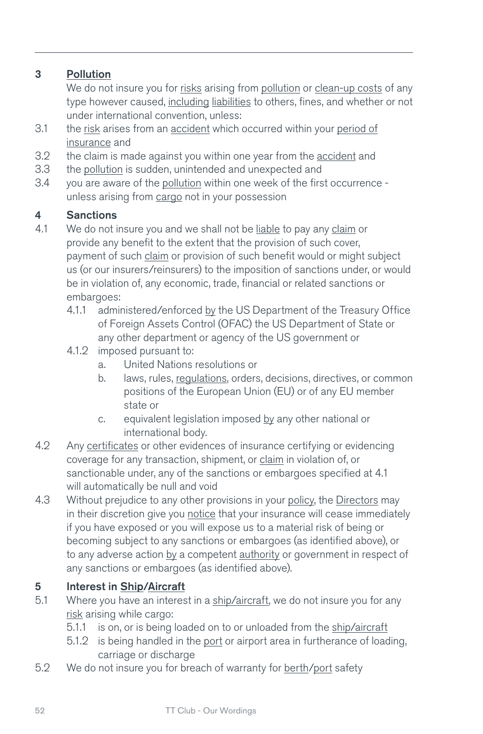#### 3 Pollution

We do not insure you for risks arising from pollution or clean-up costs of any type however caused, including liabilities to others, fines, and whether or not under international convention, unless:

- 3.1 the risk arises from an accident which occurred within your period of insurance and
- 3.2 the claim is made against you within one year from the  $\frac{1}{2}$  and  $\frac{3}{3}$  the pollution is sudden unintended and unexpected and
- the pollution is sudden, unintended and unexpected and
- 3.4 you are aware of the pollution within one week of the first occurrence unless arising from cargo not in your possession

#### 4 Sanctions

- 4.1 We do not insure you and we shall not be liable to pay any claim or provide any benefit to the extent that the provision of such cover, payment of such claim or provision of such benefit would or might subject us (or our insurers/reinsurers) to the imposition of sanctions under, or would be in violation of, any economic, trade, financial or related sanctions or embargoes:
	- 4.1.1 administered/enforced by the US Department of the Treasury Office of Foreign Assets Control (OFAC) the US Department of State or any other department or agency of the US government or
	- 4.1.2 imposed pursuant to:
		- a. United Nations resolutions or
		- b. laws, rules, regulations, orders, decisions, directives, or common positions of the European Union (EU) or of any EU member state or
		- c. equivalent legislation imposed by any other national or international body.
- 4.2 Any certificates or other evidences of insurance certifying or evidencing coverage for any transaction, shipment, or claim in violation of, or sanctionable under, any of the sanctions or embargoes specified at 4.1 will automatically be null and void
- 4.3 Without prejudice to any other provisions in your policy, the Directors may in their discretion give you notice that your insurance will cease immediately if you have exposed or you will expose us to a material risk of being or becoming subject to any sanctions or embargoes (as identified above), or to any adverse action by a competent authority or government in respect of any sanctions or embargoes (as identified above).

#### 5 Interest in Ship/Aircraft

- 5.1 Where you have an interest in a ship/aircraft, we do not insure you for any risk arising while cargo:
	- 5.1.1 is on, or is being loaded on to or unloaded from the ship/aircraft
	- 5.1.2 is being handled in the port or airport area in furtherance of loading, carriage or discharge
- 5.2 We do not insure you for breach of warranty for berth/port safety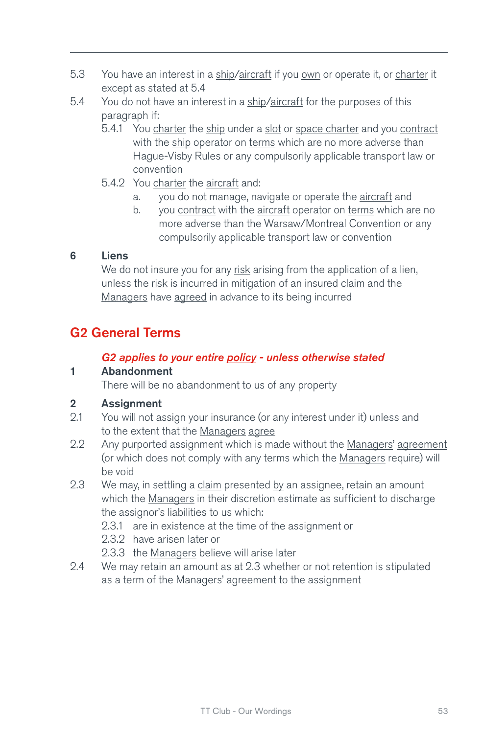- 5.3 You have an interest in a ship/aircraft if you own or operate it, or charter it except as stated at 5.4
- 5.4 You do not have an interest in a ship/aircraft for the purposes of this paragraph if:
	- 5.4.1 You charter the ship under a slot or space charter and you contract with the ship operator on terms which are no more adverse than Hague-Visby Rules or any compulsorily applicable transport law or convention
	- 5.4.2 You charter the aircraft and:
		- a. you do not manage, navigate or operate the aircraft and
		- b. you contract with the aircraft operator on terms which are no more adverse than the Warsaw/Montreal Convention or any compulsorily applicable transport law or convention

#### 6 Liens

We do not insure you for any risk arising from the application of a lien, unless the risk is incurred in mitigation of an insured claim and the Managers have agreed in advance to its being incurred

## G2 General Terms

#### *G2 applies to your entire policy - unless otherwise stated*

#### 1 Abandonment

There will be no abandonment to us of any property

#### 2 Assignment

- 2.1 You will not assign your insurance (or any interest under it) unless and to the extent that the Managers agree
- 2.2 Any purported assignment which is made without the Managers' agreement (or which does not comply with any terms which the Managers require) will be void
- 2.3 We may, in settling a claim presented by an assignee, retain an amount which the Managers in their discretion estimate as sufficient to discharge the assignor's liabilities to us which:
	- 2.3.1 are in existence at the time of the assignment or
	- 2.3.2 have arisen later or
	- 2.3.3 the Managers believe will arise later
- 2.4 We may retain an amount as at 2.3 whether or not retention is stipulated as a term of the Managers' agreement to the assignment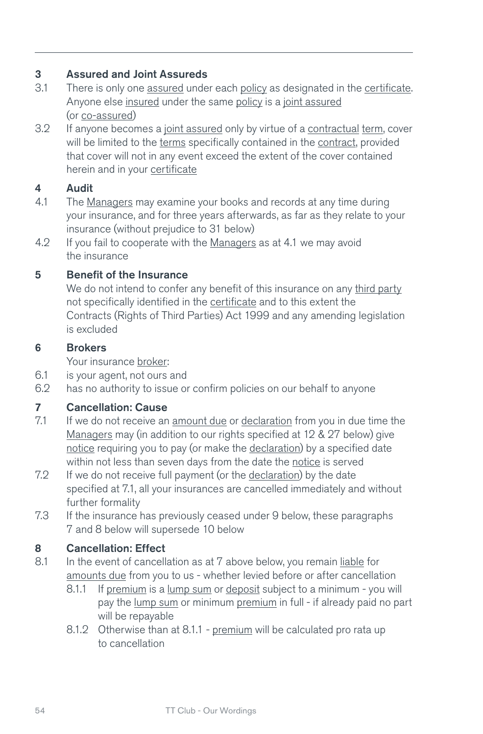#### 3 Assured and Joint Assureds

- 3.1 There is only one assured under each policy as designated in the certificate. Anyone else insured under the same policy is a joint assured (or co-assured)
- 3.2 If anyone becomes a joint assured only by virtue of a contractual term, cover will be limited to the terms specifically contained in the contract, provided that cover will not in any event exceed the extent of the cover contained herein and in your certificate

#### 4 Audit

- 4.1 The Managers may examine your books and records at any time during your insurance, and for three years afterwards, as far as they relate to your insurance (without prejudice to 31 below)
- 4.2 If you fail to cooperate with the Managers as at 4.1 we may avoid the insurance

#### 5 Benefit of the Insurance

We do not intend to confer any benefit of this insurance on any third party not specifically identified in the certificate and to this extent the Contracts (Rights of Third Parties) Act 1999 and any amending legislation is excluded

#### 6 Brokers

Your insurance broker:

- 6.1 is your agent, not ours and
- 6.2 has no authority to issue or confirm policies on our behalf to anyone

#### 7 Cancellation: Cause

- 7.1 If we do not receive an amount due or declaration from you in due time the Managers may (in addition to our rights specified at 12 & 27 below) give notice requiring you to pay (or make the declaration) by a specified date within not less than seven days from the date the notice is served
- 7.2 If we do not receive full payment (or the declaration) by the date specified at 7.1, all your insurances are cancelled immediately and without further formality
- 7.3 If the insurance has previously ceased under 9 below, these paragraphs 7 and 8 below will supersede 10 below

#### 8 Cancellation: Effect

- 8.1 In the event of cancellation as at 7 above below, you remain liable for amounts due from you to us - whether levied before or after cancellation
	- 8.1.1 If premium is a lump sum or deposit subject to a minimum you will pay the lump sum or minimum premium in full - if already paid no part will be repayable
	- 8.1.2 Otherwise than at 8.1.1 premium will be calculated pro rata up to cancellation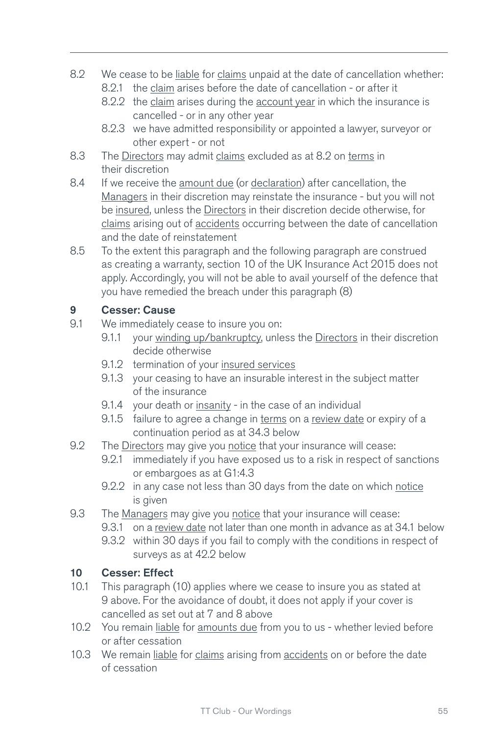- 8.2 We cease to be liable for claims unpaid at the date of cancellation whether:
	- 8.2.1 the claim arises before the date of cancellation or after it
	- 8.2.2 the claim arises during the account year in which the insurance is cancelled - or in any other year
	- 8.2.3 we have admitted responsibility or appointed a lawyer, surveyor or other expert - or not
- 8.3 The Directors may admit claims excluded as at 8.2 on terms in their discretion
- 8.4 If we receive the amount due (or declaration) after cancellation, the Managers in their discretion may reinstate the insurance - but you will not be insured, unless the Directors in their discretion decide otherwise, for claims arising out of accidents occurring between the date of cancellation and the date of reinstatement
- 8.5 To the extent this paragraph and the following paragraph are construed as creating a warranty, section 10 of the UK Insurance Act 2015 does not apply. Accordingly, you will not be able to avail yourself of the defence that you have remedied the breach under this paragraph (8)

#### 9 Cesser: Cause

- 9.1 We immediately cease to insure you on:
	- 9.1.1 your winding up/bankruptcy, unless the Directors in their discretion decide otherwise
	- 9.1.2 termination of your insured services
	- 9.1.3 your ceasing to have an insurable interest in the subject matter of the insurance
	- 9.1.4 vour death or insanity in the case of an individual
	- 9.1.5 failure to agree a change in terms on a review date or expiry of a continuation period as at 34.3 below
- 9.2 The Directors may give you notice that your insurance will cease:
	- 9.2.1 immediately if you have exposed us to a risk in respect of sanctions or embargoes as at G1:4.3
	- 9.2.2 in any case not less than 30 days from the date on which notice is given
- 9.3 The Managers may give you notice that your insurance will cease:
	- 9.3.1 on a review date not later than one month in advance as at 34.1 below
	- 9.3.2 within 30 days if you fail to comply with the conditions in respect of surveys as at 42.2 below

#### 10 Cesser: Effect

- 10.1 This paragraph (10) applies where we cease to insure you as stated at 9 above. For the avoidance of doubt, it does not apply if your cover is cancelled as set out at 7 and 8 above
- 10.2 You remain liable for amounts due from you to us whether levied before or after cessation
- 10.3 We remain liable for claims arising from accidents on or before the date of cessation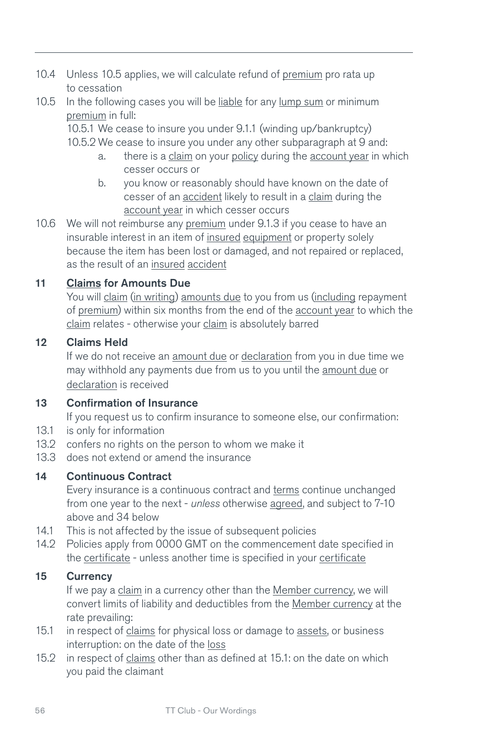- 10.4 Unless 10.5 applies, we will calculate refund of premium pro rata up to cessation
- 10.5 In the following cases you will be liable for any lump sum or minimum premium in full:

10.5.1 We cease to insure you under 9.1.1 (winding up/bankruptcy)

10.5.2 We cease to insure you under any other subparagraph at 9 and:

- a. there is a claim on your policy during the account year in which cesser occurs or
- b. you know or reasonably should have known on the date of cesser of an accident likely to result in a claim during the account year in which cesser occurs
- 10.6 We will not reimburse any premium under 9.1.3 if you cease to have an insurable interest in an item of insured equipment or property solely because the item has been lost or damaged, and not repaired or replaced, as the result of an insured accident

#### 11 Claims for Amounts Due

You will claim (in writing) amounts due to you from us (including repayment of premium) within six months from the end of the account year to which the claim relates - otherwise your claim is absolutely barred

#### 12 Claims Held

 If we do not receive an amount due or declaration from you in due time we may withhold any payments due from us to you until the amount due or declaration is received

#### 13 Confirmation of Insurance

If you request us to confirm insurance to someone else, our confirmation:

- 13.1 is only for information
- 13.2 confers no rights on the person to whom we make it
- 13.3 does not extend or amend the insurance

#### 14 Continuous Contract

 Every insurance is a continuous contract and terms continue unchanged from one year to the next - *unless* otherwise agreed, and subject to 7-10 above and 34 below

- 14.1 This is not affected by the issue of subsequent policies
- 14.2 Policies apply from 0000 GMT on the commencement date specified in the certificate - unless another time is specified in your certificate

#### 15 Currency

 If we pay a claim in a currency other than the Member currency, we will convert limits of liability and deductibles from the Member currency at the rate prevailing:

- 15.1 in respect of claims for physical loss or damage to assets, or business interruption: on the date of the loss
- 15.2 in respect of claims other than as defined at 15.1: on the date on which you paid the claimant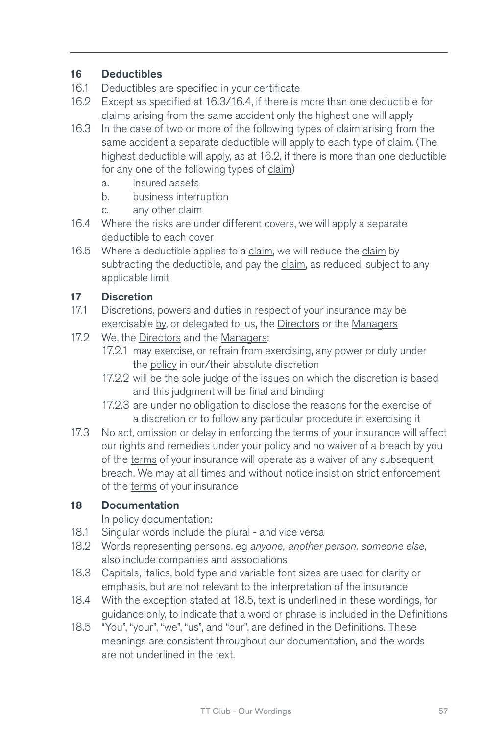#### 16 Deductibles

- 16.1 Deductibles are specified in your certificate
- 16.2 Except as specified at 16.3/16.4, if there is more than one deductible for claims arising from the same accident only the highest one will apply
- 16.3 In the case of two or more of the following types of claim arising from the same accident a separate deductible will apply to each type of claim. (The highest deductible will apply, as at 16.2, if there is more than one deductible for any one of the following types of claim)
	- a. insured assets
	- b. business interruption
	- c. any other claim
- 16.4 Where the risks are under different covers, we will apply a separate deductible to each cover
- 16.5 Where a deductible applies to a claim, we will reduce the claim by subtracting the deductible, and pay the claim, as reduced, subject to any applicable limit

#### 17 Discretion

- 17.1 Discretions, powers and duties in respect of your insurance may be exercisable by, or delegated to, us, the Directors or the Managers
- 17.2 We, the Directors and the Managers:
	- 17.2.1 may exercise, or refrain from exercising, any power or duty under the policy in our/their absolute discretion
	- 17.2.2 will be the sole judge of the issues on which the discretion is based and this judgment will be final and binding
	- 17.2.3 are under no obligation to disclose the reasons for the exercise of a discretion or to follow any particular procedure in exercising it
- 17.3 No act, omission or delay in enforcing the terms of your insurance will affect our rights and remedies under your policy and no waiver of a breach by you of the terms of your insurance will operate as a waiver of any subsequent breach. We may at all times and without notice insist on strict enforcement of the terms of your insurance

#### 18 Documentation

In policy documentation:

- 18.1 Singular words include the plural and vice versa
- 18.2 Words representing persons, eg *anyone, another person, someone else,* also include companies and associations
- 18.3 Capitals, italics, bold type and variable font sizes are used for clarity or emphasis, but are not relevant to the interpretation of the insurance
- 18.4 With the exception stated at 18.5, text is underlined in these wordings, for guidance only, to indicate that a word or phrase is included in the Definitions
- 18.5 "You", "your", "we", "us", and "our", are defined in the Definitions. These meanings are consistent throughout our documentation, and the words are not underlined in the text.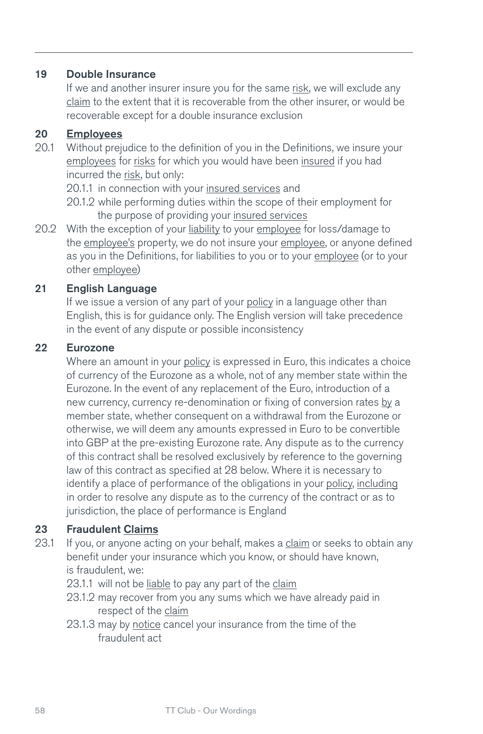#### 19 Double Insurance

 If we and another insurer insure you for the same risk, we will exclude any claim to the extent that it is recoverable from the other insurer, or would be recoverable except for a double insurance exclusion

#### 20 Employees

20.1 Without prejudice to the definition of you in the Definitions, we insure your employees for risks for which you would have been insured if you had incurred the risk, but only:

20.1.1 in connection with your insured services and

- 20.1.2 while performing duties within the scope of their employment for the purpose of providing your insured services
- 20.2 With the exception of your liability to your employee for loss/damage to the employee's property, we do not insure your employee, or anyone defined as you in the Definitions, for liabilities to you or to your employee (or to your other employee)

#### 21 English Language

 If we issue a version of any part of your policy in a language other than English, this is for guidance only. The English version will take precedence in the event of any dispute or possible inconsistency

#### 22 Eurozone

 Where an amount in your policy is expressed in Euro, this indicates a choice of currency of the Eurozone as a whole, not of any member state within the Eurozone. In the event of any replacement of the Euro, introduction of a new currency, currency re-denomination or fixing of conversion rates by a member state, whether consequent on a withdrawal from the Eurozone or otherwise, we will deem any amounts expressed in Euro to be convertible into GBP at the pre-existing Eurozone rate. Any dispute as to the currency of this contract shall be resolved exclusively by reference to the governing law of this contract as specified at 28 below. Where it is necessary to identifv a place of performance of the obligations in your policy, including in order to resolve any dispute as to the currency of the contract or as to jurisdiction, the place of performance is England

#### 23 Fraudulent Claims

- 23.1 If you, or anyone acting on your behalf, makes a claim or seeks to obtain any benefit under your insurance which you know, or should have known, is fraudulent, we:
	- 23.1.1 will not be liable to pay any part of the claim
	- 23.1.2 may recover from you any sums which we have already paid in respect of the claim
	- 23.1.3 may by notice cancel your insurance from the time of the fraudulent act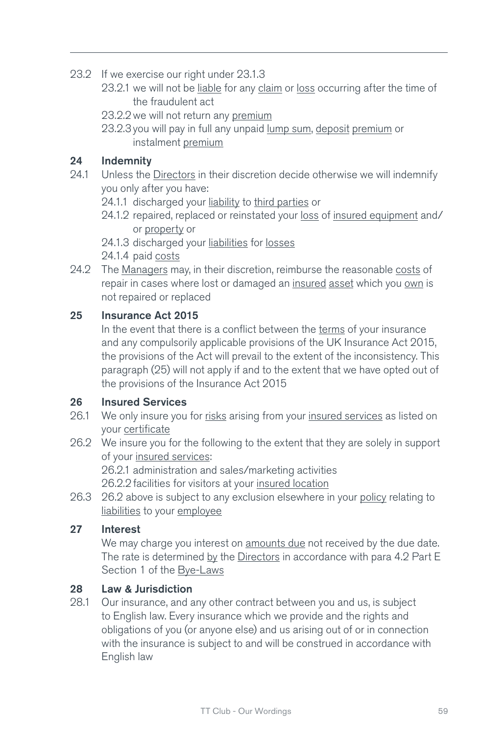- 23.2 If we exercise our right under 23.1.3
	- 23.2.1 we will not be liable for any claim or loss occurring after the time of the fraudulent act
	- 23.2.2we will not return any premium
	- 23.2.3 you will pay in full any unpaid lump sum, deposit premium or instalment premium

#### 24 Indemnity

- 24.1 Unless the Directors in their discretion decide otherwise we will indemnify you only after you have:
	- 24.1.1 discharged your liability to third parties or
	- 24.1.2 repaired, replaced or reinstated your loss of insured equipment and/ or property or
	- 24.1.3 discharged your liabilities for losses
	- 24.1.4 paid costs
- 24.2 The Managers may, in their discretion, reimburse the reasonable costs of repair in cases where lost or damaged an insured asset which you own is not repaired or replaced

#### 25 Insurance Act 2015

 In the event that there is a conflict between the terms of your insurance and any compulsorily applicable provisions of the UK Insurance Act 2015, the provisions of the Act will prevail to the extent of the inconsistency. This paragraph (25) will not apply if and to the extent that we have opted out of the provisions of the Insurance Act 2015

#### 26 Insured Services

- 26.1 We only insure you for risks arising from your insured services as listed on your certificate
- 26.2 We insure you for the following to the extent that they are solely in support of your insured services: 26.2.1 administration and sales/marketing activities 26.2.2facilities for visitors at your insured location
- 26.3 26.2 above is subject to any exclusion elsewhere in your policy relating to liabilities to your employee

#### 27 Interest

We may charge you interest on amounts due not received by the due date. The rate is determined by the Directors in accordance with para 4.2 Part E Section 1 of the Bye-Laws

#### 28 Law & Jurisdiction

28.1 Our insurance, and any other contract between you and us, is subject to English law. Every insurance which we provide and the rights and obligations of you (or anyone else) and us arising out of or in connection with the insurance is subject to and will be construed in accordance with English law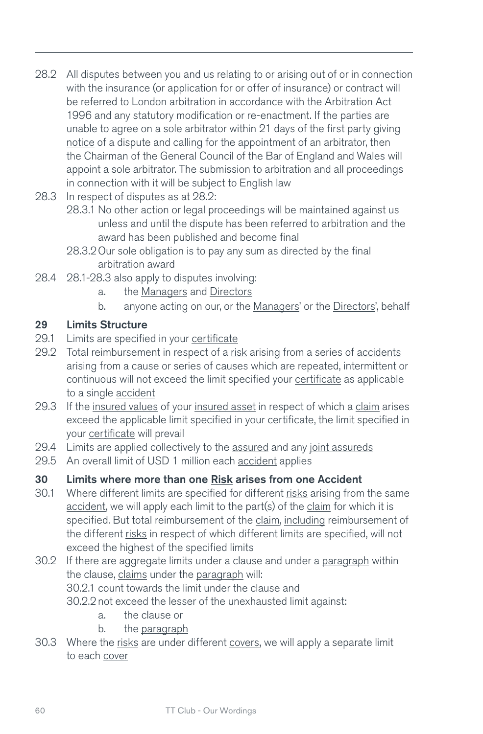- 28.2 All disputes between you and us relating to or arising out of or in connection with the insurance (or application for or offer of insurance) or contract will be referred to London arbitration in accordance with the Arbitration Act 1996 and any statutory modification or re-enactment. If the parties are unable to agree on a sole arbitrator within 21 days of the first party giving notice of a dispute and calling for the appointment of an arbitrator, then the Chairman of the General Council of the Bar of England and Wales will appoint a sole arbitrator. The submission to arbitration and all proceedings in connection with it will be subject to English law
- 28.3 In respect of disputes as at 28.2:
	- 28.3.1 No other action or legal proceedings will be maintained against us unless and until the dispute has been referred to arbitration and the award has been published and become final
	- 28.3.2 Our sole obligation is to pay any sum as directed by the final arbitration award
- 28.4 28.1-28.3 also apply to disputes involving:
	- a. the Managers and Directors
	- b. anyone acting on our, or the Managers' or the Directors', behalf

#### 29 Limits Structure

- 29.1 Limits are specified in your certificate
- 29.2 Total reimbursement in respect of a risk arising from a series of accidents arising from a cause or series of causes which are repeated, intermittent or continuous will not exceed the limit specified your certificate as applicable to a single accident
- 29.3 If the insured values of your insured asset in respect of which a claim arises exceed the applicable limit specified in your certificate, the limit specified in your certificate will prevail
- 29.4 Limits are applied collectively to the assured and any joint assureds
- 29.5 An overall limit of USD 1 million each accident applies

#### 30 Limits where more than one Risk arises from one Accident

- 30.1 Where different limits are specified for different risks arising from the same accident, we will apply each limit to the part(s) of the claim for which it is specified. But total reimbursement of the claim, including reimbursement of the different risks in respect of which different limits are specified, will not exceed the highest of the specified limits
- 30.2 If there are aggregate limits under a clause and under a paragraph within the clause, claims under the paragraph will: 30.2.1 count towards the limit under the clause and 30.2.2not exceed the lesser of the unexhausted limit against:
	- a. the clause or
	- b. the paragraph
- 30.3 Where the risks are under different covers, we will apply a separate limit to each cover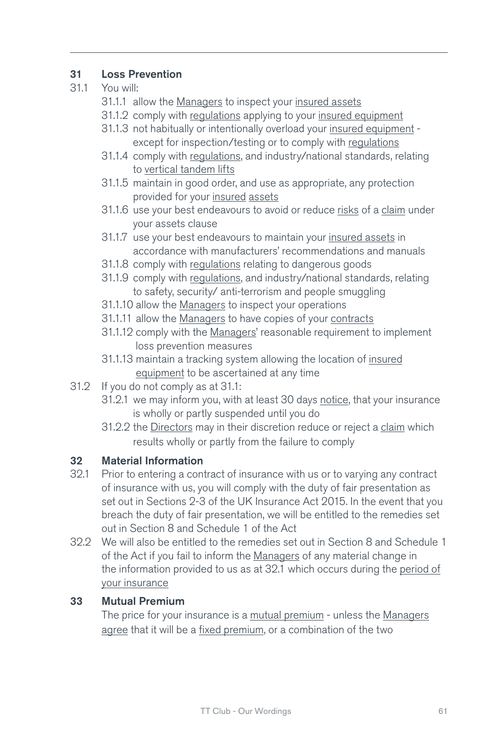#### 31 Loss Prevention

- 31.1 You will:
	- 31.1.1 allow the Managers to inspect your insured assets
	- 31.1.2 comply with regulations applying to your insured equipment
	- 31.1.3 not habitually or intentionally overload your insured equipment except for inspection/testing or to comply with regulations
	- 31.1.4 comply with regulations, and industry/national standards, relating to vertical tandem lifts
	- 31.1.5 maintain in good order, and use as appropriate, any protection provided for your insured assets
	- 31.1.6 use your best endeavours to avoid or reduce risks of a claim under your assets clause
	- 31.1.7 use your best endeavours to maintain your insured assets in accordance with manufacturers' recommendations and manuals
	- 31.1.8 comply with regulations relating to dangerous goods
	- 31.1.9 comply with regulations, and industry/national standards, relating to safety, security/ anti-terrorism and people smuggling
	- 31.1.10 allow the Managers to inspect your operations
	- 31.1.11 allow the Managers to have copies of your contracts
	- 31.1.12 comply with the Managers' reasonable requirement to implement loss prevention measures
	- 31.1.13 maintain a tracking system allowing the location of insured equipment to be ascertained at any time
- 31.2 If you do not comply as at 31.1:
	- 31.2.1 we may inform you, with at least 30 days notice, that your insurance is wholly or partly suspended until you do
	- 31.2.2 the Directors may in their discretion reduce or reject a claim which results wholly or partly from the failure to comply

#### 32 Material Information

- 32.1 Prior to entering a contract of insurance with us or to varying any contract of insurance with us, you will comply with the duty of fair presentation as set out in Sections 2-3 of the UK Insurance Act 2015. In the event that you breach the duty of fair presentation, we will be entitled to the remedies set out in Section 8 and Schedule 1 of the Act
- 32.2 We will also be entitled to the remedies set out in Section 8 and Schedule 1 of the Act if you fail to inform the Managers of any material change in the information provided to us as at 32.1 which occurs during the period of your insurance

#### 33 Mutual Premium

 The price for your insurance is a mutual premium - unless the Managers agree that it will be a fixed premium, or a combination of the two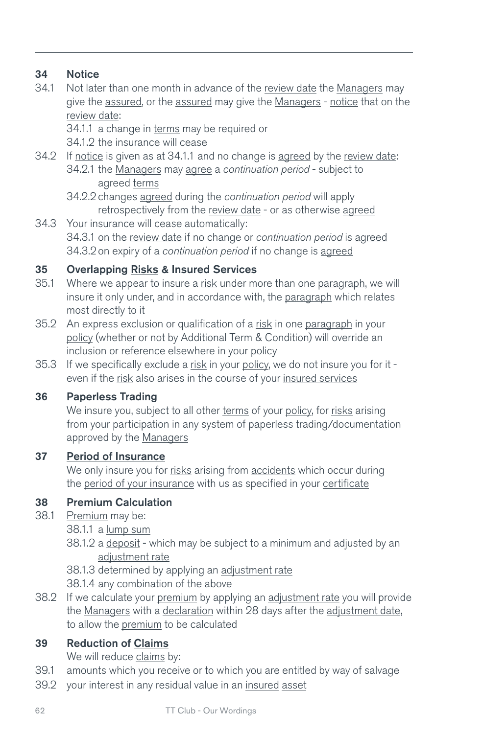#### 34 Notice

34.1 Not later than one month in advance of the review date the Managers may give the assured, or the assured may give the Managers - notice that on the review date:

34.1.1 a change in terms may be required or

34.1.2 the insurance will cease

- 34.2 If notice is given as at 34.1.1 and no change is agreed by the review date: 34.2.1 the Managers may agree a *continuation period* - subject to agreed terms
	- 34.2.2 changes agreed during the *continuation period* will apply retrospectively from the review date - or as otherwise agreed
- 34.3 Your insurance will cease automatically: 34.3.1 on the review date if no change or *continuation period* is agreed 34.3.2on expiry of a *continuation period* if no change is agreed

#### 35 Overlapping Risks & Insured Services

- 35.1 Where we appear to insure a risk under more than one paragraph, we will insure it only under, and in accordance with, the paragraph which relates most directly to it
- 35.2 An express exclusion or qualification of a risk in one paragraph in your policy (whether or not by Additional Term & Condition) will override an inclusion or reference elsewhere in your policy
- 35.3 If we specifically exclude a risk in your policy, we do not insure you for it even if the risk also arises in the course of your insured services

#### 36 Paperless Trading

We insure you, subject to all other terms of your policy, for risks arising from your participation in any system of paperless trading/documentation approved by the Managers

#### 37 Period of Insurance

We only insure you for risks arising from accidents which occur during the period of your insurance with us as specified in your certificate

#### 38 Premium Calculation

- 38.1 Premium may be:
	- 38.1.1 a lump sum
	- 38.1.2 a deposit which may be subject to a minimum and adjusted by an adjustment rate
	- 38.1.3 determined by applying an adjustment rate
	- 38.1.4 any combination of the above
- 38.2 If we calculate your premium by applying an adjustment rate you will provide the Managers with a declaration within 28 days after the adjustment date, to allow the premium to be calculated

#### 39 Reduction of Claims

We will reduce claims by:

- 39.1 amounts which you receive or to which you are entitled by way of salvage
- 39.2 your interest in any residual value in an insured asset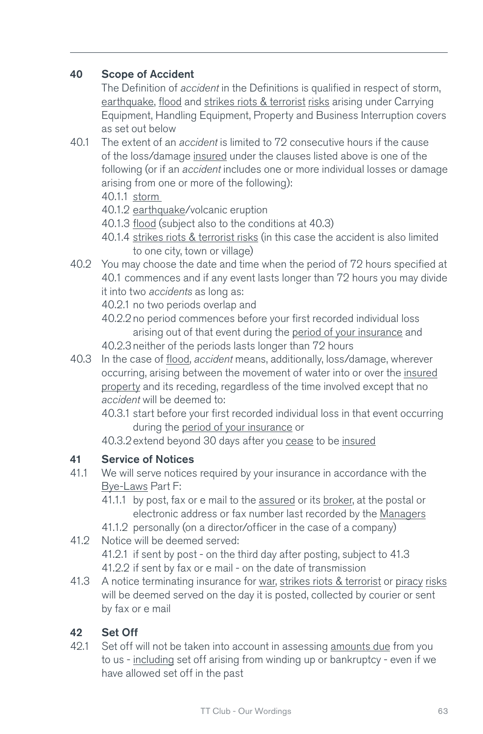#### 40 Scope of Accident

 The Definition of *accident* in the Definitions is qualified in respect of storm, earthquake, flood and strikes riots & terrorist risks arising under Carrying Equipment, Handling Equipment, Property and Business Interruption covers as set out below

40.1 The extent of an *accident* is limited to 72 consecutive hours if the cause of the loss/damage insured under the clauses listed above is one of the following (or if an *accident* includes one or more individual losses or damage arising from one or more of the following):

40.1.1 storm

- 40.1.2 earthquake/volcanic eruption
- 40.1.3 flood (subject also to the conditions at 40.3)
- 40.1.4 strikes riots & terrorist risks (in this case the accident is also limited to one city, town or village)
- 40.2 You may choose the date and time when the period of 72 hours specified at 40.1 commences and if any event lasts longer than 72 hours you may divide it into two *accidents* as long as:
	- 40.2.1 no two periods overlap and

40.2.2 no period commences before your first recorded individual loss arising out of that event during the period of your insurance and 40.2.3neither of the periods lasts longer than 72 hours

- 40.3 In the case of flood, *accident* means, additionally, loss/damage, wherever occurring, arising between the movement of water into or over the insured property and its receding, regardless of the time involved except that no *accident* will be deemed to:
	- 40.3.1 start before your first recorded individual loss in that event occurring during the period of your insurance or

40.3.2extend beyond 30 days after you cease to be insured

#### 41 Service of Notices

- 41.1 We will serve notices required by your insurance in accordance with the Bye-Laws Part F:
	- 41.1.1 by post, fax or e mail to the assured or its broker, at the postal or electronic address or fax number last recorded by the Managers
	- 41.1.2 personally (on a director/officer in the case of a company)
- 41.2 Notice will be deemed served:

41.2.1 if sent by post - on the third day after posting, subject to 41.3 41.2.2 if sent by fax or e mail - on the date of transmission

41.3 A notice terminating insurance for war, strikes riots & terrorist or piracy risks will be deemed served on the day it is posted, collected by courier or sent by fax or e mail

#### 42 Set Off

42.1 Set off will not be taken into account in assessing amounts due from you to us - including set off arising from winding up or bankruptcy - even if we have allowed set off in the past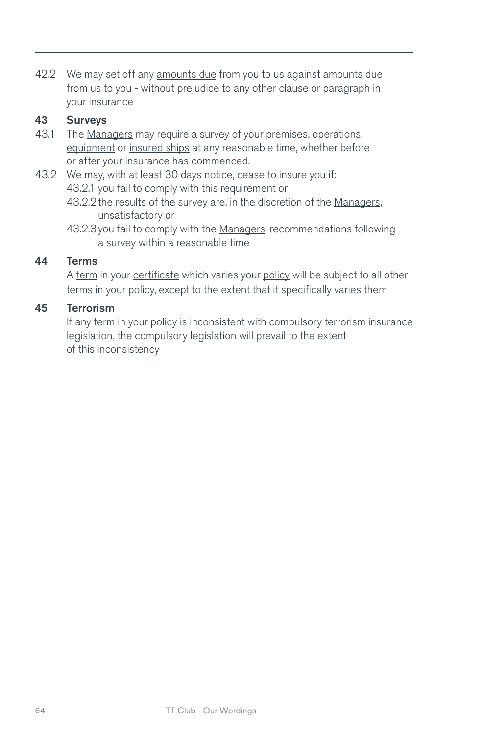42.2 We may set off any amounts due from you to us against amounts due from us to you - without prejudice to any other clause or paragraph in your insurance

#### 43 Surveys

- 43.1 The Managers may require a survey of your premises, operations, equipment or insured ships at any reasonable time, whether before or after your insurance has commenced.
- 43.2 We may, with at least 30 days notice, cease to insure you if: 43.2.1 you fail to comply with this requirement or 43.2.2 the results of the survey are, in the discretion of the Managers, unsatisfactory or
	- 43.2.3 you fail to comply with the Managers' recommendations following a survey within a reasonable time

#### 44 Terms

 A term in your certificate which varies your policy will be subject to all other terms in your policy, except to the extent that it specifically varies them

#### 45 Terrorism

 If any term in your policy is inconsistent with compulsory terrorism insurance legislation, the compulsory legislation will prevail to the extent of this inconsistency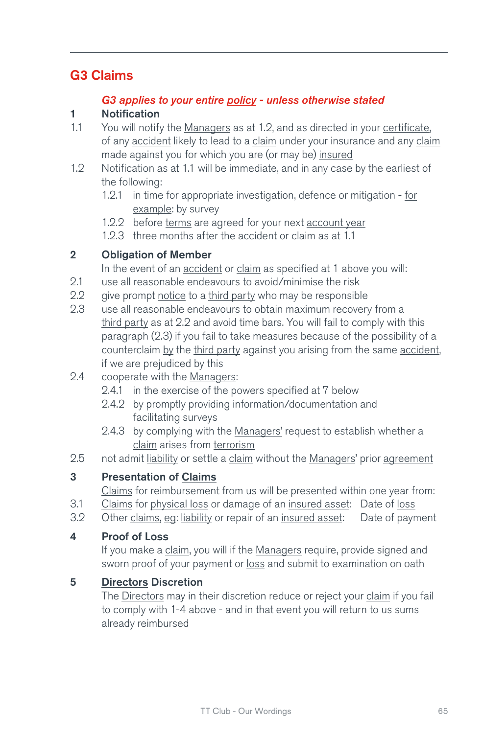## G3 Claims

#### *G3 applies to your entire policy - unless otherwise stated*

#### 1 Notification

- 1.1 You will notify the Managers as at 1.2, and as directed in your certificate, of any accident likely to lead to a claim under your insurance and any claim made against you for which you are (or may be) insured
- 1.2 Notification as at 1.1 will be immediate, and in any case by the earliest of the following:
	- 1.2.1 in time for appropriate investigation, defence or mitigation for example: by survey
	- 1.2.2 before terms are agreed for your next account year
	- 1.2.3 three months after the accident or claim as at 1.1

#### 2 Obligation of Member

In the event of an accident or claim as specified at 1 above you will:

- 2.1 use all reasonable endeavours to avoid/minimise the risk
- 2.2 give prompt notice to a third party who may be responsible
- 2.3 use all reasonable endeavours to obtain maximum recovery from a third party as at 2.2 and avoid time bars. You will fail to comply with this paragraph (2.3) if you fail to take measures because of the possibility of a counterclaim by the third party against you arising from the same accident. if we are prejudiced by this
- 2.4 cooperate with the Managers:
	- 2.4.1 in the exercise of the powers specified at 7 below
	- 2.4.2 by promptly providing information/documentation and facilitating surveys
	- 2.4.3 by complying with the Managers' request to establish whether a claim arises from terrorism
- 2.5 not admit liability or settle a claim without the Managers' prior agreement

#### 3 Presentation of Claims

Claims for reimbursement from us will be presented within one year from:

- 3.1 Claims for physical loss or damage of an insured asset: Date of loss
- 3.2 Other claims, eg: liability or repair of an insured asset: Date of payment

#### 4 Proof of Loss

 If you make a claim, you will if the Managers require, provide signed and sworn proof of your payment or loss and submit to examination on oath

#### 5 Directors Discretion

The Directors may in their discretion reduce or reject your claim if you fail to comply with 1-4 above - and in that event you will return to us sums already reimbursed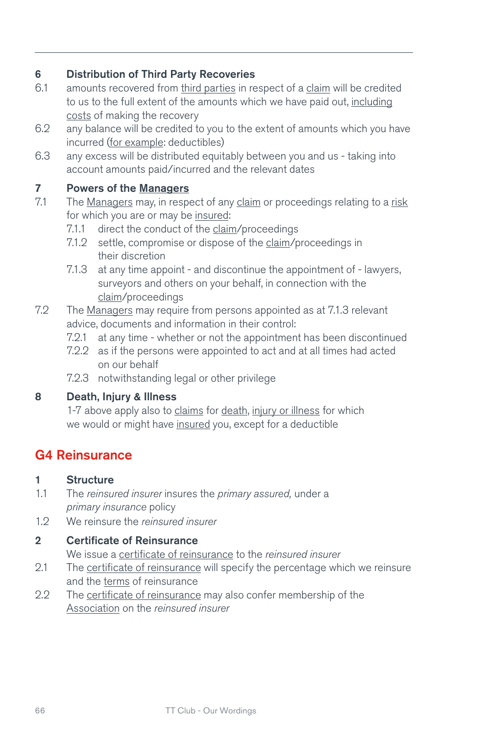## 6 Distribution of Third Party Recoveries<br>6.1 amounts recovered from third parties in re

- amounts recovered from third parties in respect of a claim will be credited to us to the full extent of the amounts which we have paid out, including costs of making the recovery
- 6.2 any balance will be credited to you to the extent of amounts which you have incurred (for example: deductibles)
- 6.3 any excess will be distributed equitably between you and us taking into account amounts paid/incurred and the relevant dates

## **71 Powers of the <u>Managers</u>**<br>71 The Managers may in respe

- The Managers may, in respect of any claim or proceedings relating to a risk for which you are or may be insured:
	- 7.1.1 direct the conduct of the claim/proceedings
	- 7.1.2 settle, compromise or dispose of the claim/proceedings in their discretion
	- 7.1.3 at any time appoint and discontinue the appointment of lawyers, surveyors and others on your behalf, in connection with the claim/proceedings
- 7.2 The Managers may require from persons appointed as at 7.1.3 relevant advice, documents and information in their control:
	- 7.2.1 at any time whether or not the appointment has been discontinued
	- 7.2.2 as if the persons were appointed to act and at all times had acted on our behalf
	- 7.2.3 notwithstanding legal or other privilege

#### 8 Death, Injury & Illness

 1-7 above apply also to claims for death, injury or illness for which we would or might have insured you, except for a deductible

## G4 Reinsurance

#### 1 Structure

- 1.1 The *reinsured insurer* insures the *primary assured,* under a *primary insurance* policy
- 1.2 We reinsure the *reinsured insurer*

#### 2 Certificate of Reinsurance

We issue a certificate of reinsurance to the *reinsured insurer* 

- 2.1 The certificate of reinsurance will specify the percentage which we reinsure and the terms of reinsurance
- 2.2 The certificate of reinsurance may also confer membership of the Association on the *reinsured insurer*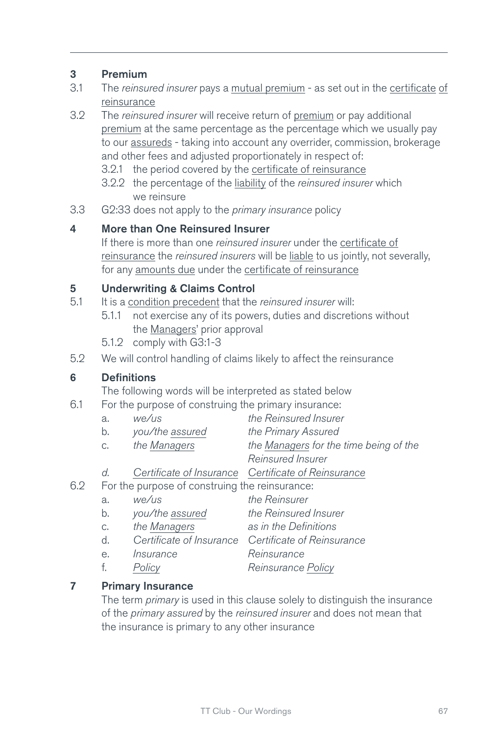#### 3 Premium

- 3.1 The *reinsured insurer* pays a mutual premium as set out in the certificate of reinsurance
- 3.2 The *reinsured insurer* will receive return of premium or pay additional premium at the same percentage as the percentage which we usually pay to our assureds - taking into account any overrider, commission, brokerage and other fees and adjusted proportionately in respect of:
	- 3.2.1 the period covered by the certificate of reinsurance
	- 3.2.2 the percentage of the liability of the *reinsured insurer* which we reinsure
- 3.3 G2:33 does not apply to the *primary insurance* policy

#### 4 More than One Reinsured Insurer

If there is more than one *reinsured insurer* under the certificate of reinsurance the *reinsured insurers* will be liable to us jointly, not severally, for any amounts due under the certificate of reinsurance

#### 5 Underwriting & Claims Control

- 5.1 It is a condition precedent that the *reinsured insurer* will:
	- 5.1.1not exercise any of its powers, duties and discretions without the Managers' prior approval
		- 5.1.2 comply with G3:1-3
- 5.2 We will control handling of claims likely to affect the reinsurance

#### 6 Definitions

The following words will be interpreted as stated below

6.1 For the purpose of construing the primary insurance:

| а. | we/us           | the Reinsured Insurer                               |
|----|-----------------|-----------------------------------------------------|
| b. | you/the assured | the Primary Assured                                 |
| C. | the Managers    | the Managers for the time being of the              |
|    |                 | Reinsured Insurer                                   |
| d. |                 | Certificate of Insurance Certificate of Reinsurance |
|    |                 |                                                     |

- 6.2 For the purpose of construing the reinsurance: a. *we/us the Reinsurer*
	- b. *you/the assured the Reinsured Insurer* c. *the Managers as in the Definitions* d. *Certificate of Insurance Certificate of Reinsurance*  e. *Insurance Reinsurance* f. *Policy Reinsurance Policy*

#### 7 Primary Insurance

 The term *primary* is used in this clause solely to distinguish the insurance of the *primary assured* by the *reinsured insurer* and does not mean that the insurance is primary to any other insurance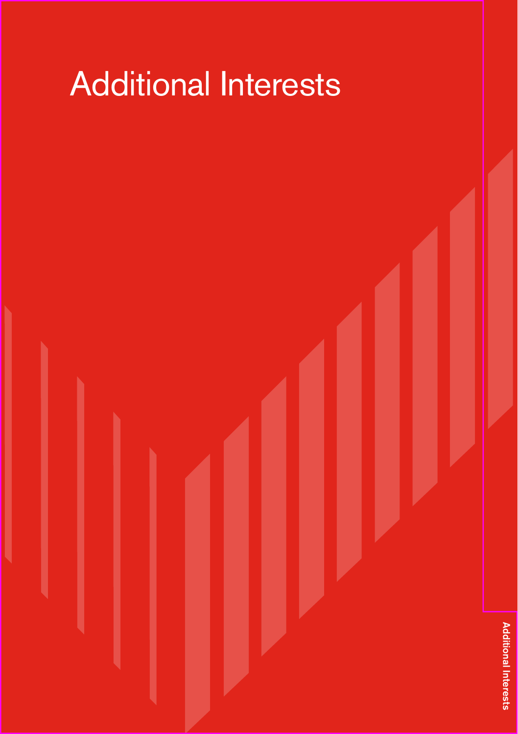## Additional Interests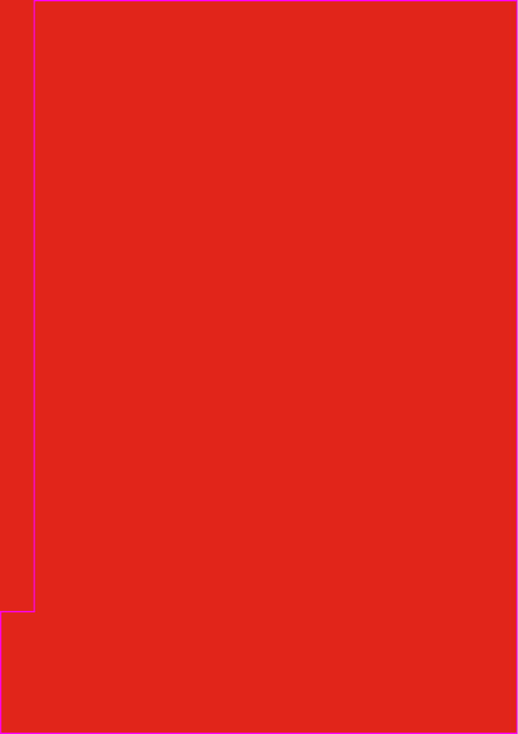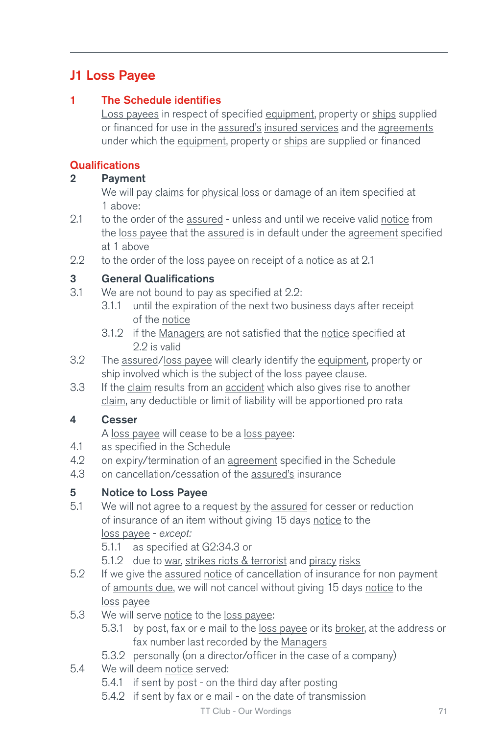# J1 Loss Payee

## 1 The Schedule identifies

 Loss payees in respect of specified equipment, property or ships supplied or financed for use in the assured's insured services and the agreements under which the equipment, property or ships are supplied or financed

## **Qualifications**

## 2 Payment

 We will pay claims for physical loss or damage of an item specified at 1 above:

- 2.1 to the order of the assured unless and until we receive valid notice from the loss payee that the assured is in default under the agreement specified at 1 above
- 2.2 to the order of the loss payee on receipt of a notice as at 2.1

## 3 General Qualifications

- 3.1 We are not bound to pay as specified at 2.2:
	- 3.1.1 until the expiration of the next two business days after receipt of the notice
	- 3.1.2 if the Managers are not satisfied that the notice specified at 2.2 is valid
- 3.2 The assured/loss payee will clearly identify the equipment, property or ship involved which is the subject of the loss payee clause.
- 3.3 If the claim results from an accident which also gives rise to another claim, any deductible or limit of liability will be apportioned pro rata

## 4 Cesser

A loss payee will cease to be a loss payee:

- 4.1 as specified in the Schedule
- 4.2 on expiry/termination of an agreement specified in the Schedule
- 4.3 on cancellation/cessation of the assured's insurance

## 5 Notice to Loss Payee

- 5.1 We will not agree to a request by the assured for cesser or reduction of insurance of an item without giving 15 days notice to the loss payee - *except:*
	- 5.1.1 as specified at G2:34.3 or
	- 5.1.2 due to war, strikes riots & terrorist and piracy risks
- 5.2 If we give the assured notice of cancellation of insurance for non payment of amounts due, we will not cancel without giving 15 days notice to the loss payee
- 5.3 We will serve notice to the loss payee:
	- 5.3.1 by post, fax or e mail to the loss payee or its broker, at the address or fax number last recorded by the Managers
	- 5.3.2 personally (on a director/officer in the case of a company)
- 5.4 We will deem notice served:
	- 5.4.1 if sent by post on the third day after posting
	- 5.4.2 if sent by fax or e mail on the date of transmission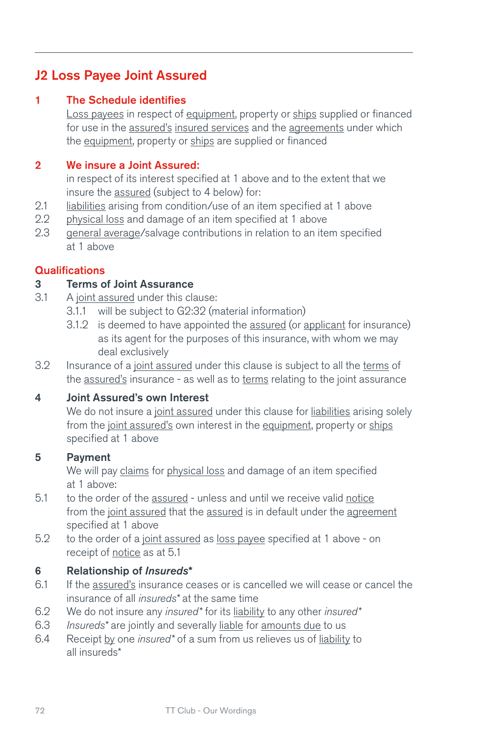# J2 Loss Payee Joint Assured

## 1 The Schedule identifies

 Loss payees in respect of equipment, property or ships supplied or financed for use in the assured's insured services and the agreements under which the equipment, property or ships are supplied or financed

## 2 We insure a Joint Assured:

 in respect of its interest specified at 1 above and to the extent that we insure the assured (subject to 4 below) for:

- 2.1 liabilities arising from condition/use of an item specified at 1 above 2.2 physical loss and damage of an item specified at 1 above
- 2.2 physical loss and damage of an item specified at 1 above
- 2.3 general average/salvage contributions in relation to an item specified at 1 above

## **Qualifications**

## 3 Terms of Joint Assurance

- 3.1 A joint assured under this clause:
	- 3.1.1 will be subject to G2:32 (material information)
	- 3.1.2 is deemed to have appointed the assured (or applicant for insurance) as its agent for the purposes of this insurance, with whom we may deal exclusively
- 3.2 Insurance of a joint assured under this clause is subject to all the terms of the assured's insurance - as well as to terms relating to the joint assurance

## 4 Joint Assured's own Interest

We do not insure a joint assured under this clause for liabilities arising solely from the joint assured's own interest in the equipment, property or ships specified at 1 above

## 5 Payment

 We will pay claims for physical loss and damage of an item specified at 1 above:

- 5.1 to the order of the assured unless and until we receive valid notice from the joint assured that the assured is in default under the agreement specified at 1 above
- 5.2 to the order of a joint assured as loss payee specified at 1 above on receipt of notice as at 5.1

## 6 Relationship of *Insureds*\*

- 6.1 If the assured's insurance ceases or is cancelled we will cease or cancel the insurance of all *insureds\** at the same time
- 6.2 We do not insure any *insured\** for its liability to any other *insured\**
- 6.3 *Insureds\** are jointly and severally liable for amounts due to us
- 6.4 Receipt by one *insured\** of a sum from us relieves us of liability to all insureds\*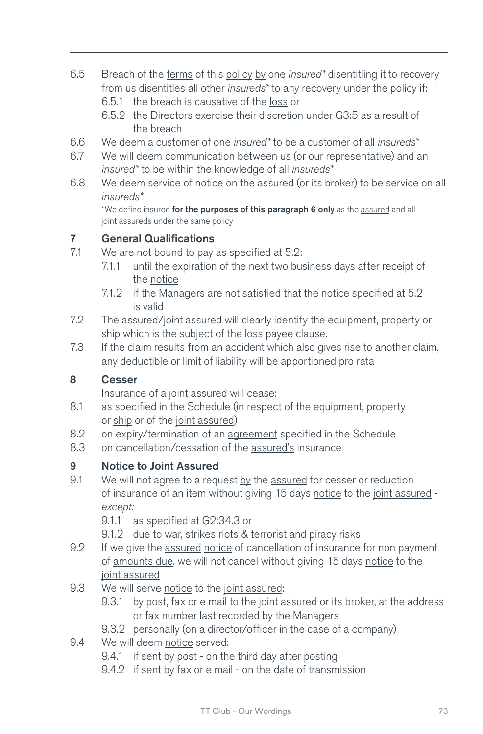- 6.5 Breach of the terms of this policy by one *insured\** disentitling it to recovery from us disentitles all other *insureds\** to any recovery under the policy if:
	- 6.5.1 the breach is causative of the loss or
	- 6.5.2 the Directors exercise their discretion under G3:5 as a result of the breach
- 6.6 We deem a customer of one *insured\** to be a customer of all *insureds\**
- 6.7 We will deem communication between us (or our representative) and an *insured\** to be within the knowledge of all *insureds\**
- 6.8 We deem service of notice on the assured (or its broker) to be service on all *insureds\**

\*We define insured for the purposes of this paragraph 6 only as the assured and all joint assureds under the same policy

## 7 General Qualifications

- 7.1 We are not bound to pay as specified at 5.2:
	- 7.1.1 until the expiration of the next two business days after receipt of the notice
	- 7.1.2 if the Managers are not satisfied that the notice specified at 5.2 is valid
- 7.2 The assured/joint assured will clearly identify the equipment, property or ship which is the subject of the loss payee clause.
- 7.3 If the claim results from an accident which also gives rise to another claim, any deductible or limit of liability will be apportioned pro rata

## 8 Cesser

Insurance of a joint assured will cease:

- 8.1 as specified in the Schedule (in respect of the equipment, property or ship or of the joint assured)
- 8.2 on expiry/termination of an agreement specified in the Schedule
- 8.3 on cancellation/cessation of the assured's insurance

## 9 Notice to Joint Assured

- 9.1 We will not agree to a request by the assured for cesser or reduction of insurance of an item without giving 15 days notice to the joint assured *except:*
	- 9.1.1 as specified at G2:34.3 or
	- 9.1.2 due to war, strikes riots & terrorist and piracy risks
- 9.2 If we give the assured notice of cancellation of insurance for non payment of amounts due, we will not cancel without giving 15 days notice to the joint assured
- 9.3 We will serve notice to the joint assured:
	- 9.3.1 by post, fax or e mail to the joint assured or its broker, at the address or fax number last recorded by the Managers
	- 9.3.2 personally (on a director/officer in the case of a company)
- 9.4 We will deem notice served:
	- 9.4.1 if sent by post on the third day after posting
	- 9.4.2 if sent by fax or e mail on the date of transmission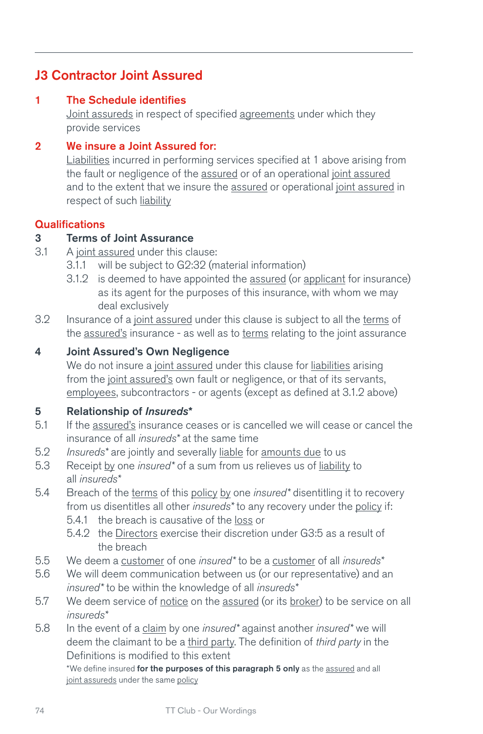# J3 Contractor Joint Assured

## 1 The Schedule identifies

 Joint assureds in respect of specified agreements under which they provide services

## 2 We insure a Joint Assured for:

Liabilities incurred in performing services specified at 1 above arising from the fault or negligence of the assured or of an operational joint assured and to the extent that we insure the assured or operational joint assured in respect of such liability

## **Qualifications**

## 3 Terms of Joint Assurance

- 3.1 A joint assured under this clause:
	- 3.1.1 will be subject to G2:32 (material information)
	- 3.1.2 is deemed to have appointed the assured (or applicant for insurance) as its agent for the purposes of this insurance, with whom we may deal exclusively
- 3.2 Insurance of a joint assured under this clause is subject to all the terms of the assured's insurance - as well as to terms relating to the joint assurance

## 4 Joint Assured's Own Negligence

We do not insure a joint assured under this clause for liabilities arising from the joint assured's own fault or negligence, or that of its servants, employees, subcontractors - or agents (except as defined at 3.1.2 above)

## 5 Relationship of *Insureds*\*

- 5.1 If the assured's insurance ceases or is cancelled we will cease or cancel the insurance of all *insureds\** at the same time
- 5.2 *Insureds\** are jointly and severally liable for amounts due to us
- 5.3 Receipt by one *insured\** of a sum from us relieves us of liability to all *insureds\**
- 5.4 Breach of the terms of this policy by one *insured\** disentitling it to recovery from us disentitles all other *insureds\** to any recovery under the policy if:
	- 5.4.1 the breach is causative of the loss or
	- 5.4.2 the Directors exercise their discretion under G3:5 as a result of the breach
- 5.5 We deem a customer of one *insured\** to be a customer of all *insureds\**
- 5.6 We will deem communication between us (or our representative) and an *insured\** to be within the knowledge of all *insureds\**
- 5.7 We deem service of notice on the assured (or its broker) to be service on all *insureds\**
- 5.8 In the event of a claim by one *insured\** against another *insured\** we will deem the claimant to be a third party. The definition of *third party* in the Definitions is modified to this extent

\*We define insured for the purposes of this paragraph 5 only as the assured and all joint assureds under the same policy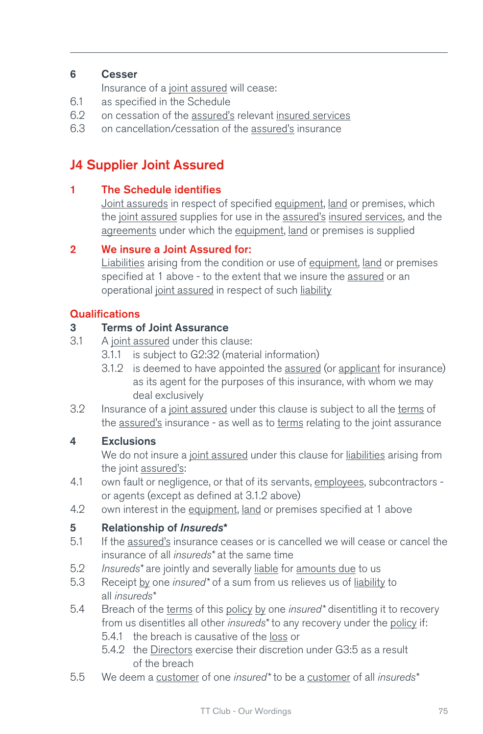## 6 Cesser

Insurance of a joint assured will cease:

- 6.1 as specified in the Schedule
- 6.2 on cessation of the  $\frac{assured}{s}$  relevant insured services 6.3 on cancellation/cessation of the assured's insurance
- 6.3 on cancellation/cessation of the assured's insurance

# J4 Supplier Joint Assured

## 1 The Schedule identifies

 Joint assureds in respect of specified equipment, land or premises, which the joint assured supplies for use in the assured's insured services, and the agreements under which the equipment, land or premises is supplied

## 2 We insure a Joint Assured for:

Liabilities arising from the condition or use of equipment, land or premises specified at 1 above - to the extent that we insure the assured or an operational joint assured in respect of such liability

## **Qualifications**

## 3 Terms of Joint Assurance

- 3.1 A joint assured under this clause:
	- 3.1.1 is subject to G2:32 (material information)
	- 3.1.2 is deemed to have appointed the assured (or applicant for insurance) as its agent for the purposes of this insurance, with whom we may deal exclusively
- 3.2 Insurance of a joint assured under this clause is subject to all the terms of the assured's insurance - as well as to terms relating to the joint assurance

## 4 Exclusions

 We do not insure a joint assured under this clause for liabilities arising from the joint assured's:

- 4.1 own fault or negligence, or that of its servants, employees, subcontractors or agents (except as defined at 3.1.2 above)
- 4.2 own interest in the equipment, land or premises specified at 1 above

## 5 Relationship of *Insureds*\*

- 5.1 If the assured's insurance ceases or is cancelled we will cease or cancel the insurance of all *insureds\** at the same time
- 5.2 *Insureds\** are jointly and severally liable for amounts due to us
- 5.3 Receipt by one *insured\** of a sum from us relieves us of liability to all *insureds\**
- 5.4 Breach of the terms of this policy by one *insured\** disentitling it to recovery from us disentitles all other *insureds\** to any recovery under the policy if:
	- 5.4.1 the breach is causative of the loss or
	- 5.4.2 the Directors exercise their discretion under G3:5 as a result of the breach
- 5.5 We deem a customer of one *insured\** to be a customer of all *insureds\**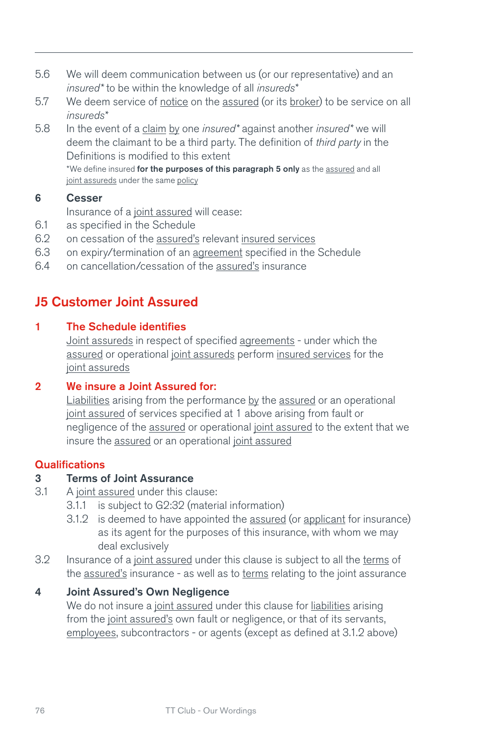- 5.6 We will deem communication between us (or our representative) and an *insured*<sup>\*</sup> to be within the knowledge of all *insureds*<sup>\*</sup>
- 5.7 We deem service of notice on the assured (or its broker) to be service on all *insureds\**
- 5.8 In the event of a claim by one *insured\** against another *insured\** we will deem the claimant to be a third party. The definition of *third party* in the Definitions is modified to this extent

\*We define insured for the purposes of this paragraph 5 only as the assured and all joint assureds under the same policy

## 6 Cesser

Insurance of a joint assured will cease:

- 6.1 as specified in the Schedule
- 6.2 on cessation of the assured's relevant insured services
- 6.3 on expiry/termination of an agreement specified in the Schedule
- 6.4 on cancellation/cessation of the assured's insurance

# J5 Customer Joint Assured

## 1 The Schedule identifies

Joint assureds in respect of specified agreements - under which the assured or operational joint assureds perform insured services for the joint assureds

## 2 We insure a Joint Assured for:

Liabilities arising from the performance by the assured or an operational joint assured of services specified at 1 above arising from fault or negligence of the assured or operational joint assured to the extent that we insure the assured or an operational joint assured

## **Qualifications**

## 3 Terms of Joint Assurance

- 3.1 A joint assured under this clause:
	- 3.1.1 is subject to G2:32 (material information)
	- 3.1.2 is deemed to have appointed the assured (or applicant for insurance) as its agent for the purposes of this insurance, with whom we may deal exclusively
- 3.2 Insurance of a joint assured under this clause is subject to all the terms of the assured's insurance - as well as to terms relating to the joint assurance

## 4 Joint Assured's Own Negligence

We do not insure a joint assured under this clause for liabilities arising from the joint assured's own fault or negligence, or that of its servants, employees, subcontractors - or agents (except as defined at 3.1.2 above)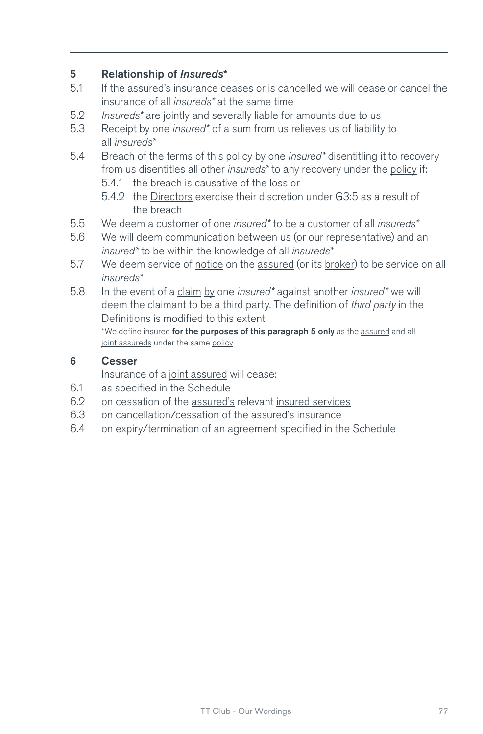## 5 Relationship of *Insureds*\*

- 5.1 If the assured's insurance ceases or is cancelled we will cease or cancel the insurance of all *insureds\** at the same time
- 5.2 *Insureds*<sup>\*</sup> are jointly and severally <u>liable</u> for <u>amounts due</u> to us<br>5.3 Receipt by one *insured*<sup>\*</sup> of a sum from us relieves us of liability
- 5.3 Receipt by one *insured\** of a sum from us relieves us of liability to all *insureds\**
- 5.4 Breach of the terms of this policy by one *insured\** disentitling it to recovery from us disentitles all other *insureds\** to any recovery under the policy if:
	- 5.4.1 the breach is causative of the loss or
	- 5.4.2 the Directors exercise their discretion under G3:5 as a result of the breach
- 5.5 We deem a customer of one *insured\** to be a customer of all *insureds\**
- 5.6 We will deem communication between us (or our representative) and an *insured\** to be within the knowledge of all *insureds\**
- 5.7 We deem service of notice on the assured (or its broker) to be service on all *insureds\**
- 5.8 In the event of a claim by one *insured\** against another *insured\** we will deem the claimant to be a third party. The definition of *third party* in the Definitions is modified to this extent

\*We define insured for the purposes of this paragraph 5 only as the assured and all joint assureds under the same policy

## 6 Cesser

- 6.1 as specified in the Schedule
- 6.2 on cessation of the assured's relevant insured services
- 6.3 on cancellation/cessation of the assured's insurance
- 6.4 on expiry/termination of an agreement specified in the Schedule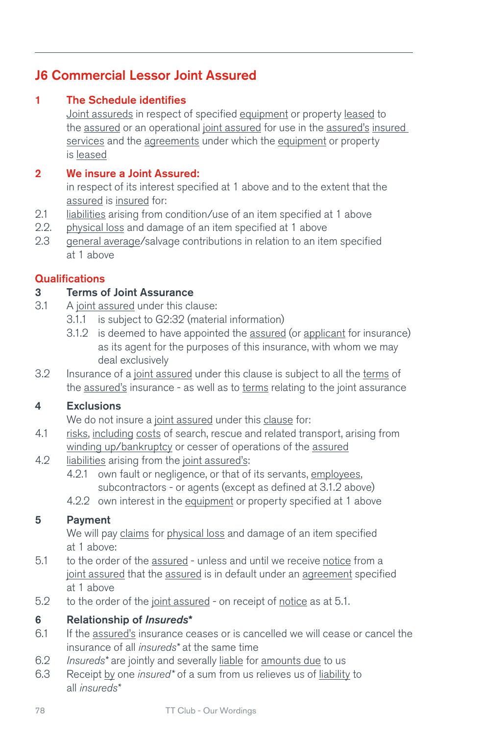# J6 Commercial Lessor Joint Assured

## 1 The Schedule identifies

Joint assureds in respect of specified equipment or property leased to the assured or an operational joint assured for use in the assured's insured services and the agreements under which the equipment or property is leased

## 2 We insure a Joint Assured:

 in respect of its interest specified at 1 above and to the extent that the assured is insured for:

- 2.1 liabilities arising from condition/use of an item specified at 1 above
- 2.2. physical loss and damage of an item specified at 1 above
- 2.3 general average/salvage contributions in relation to an item specified at 1 above

## **Qualifications**

## 3 Terms of Joint Assurance

- 3.1 A joint assured under this clause:
	- 3.1.1 is subject to G2:32 (material information)
	- 3.1.2 is deemed to have appointed the assured (or applicant for insurance) as its agent for the purposes of this insurance, with whom we may deal exclusively
- 3.2 Insurance of a joint assured under this clause is subject to all the terms of the assured's insurance - as well as to terms relating to the joint assurance

## 4 Exclusions

We do not insure a joint assured under this clause for:

- 4.1 risks, including costs of search, rescue and related transport, arising from winding up/bankruptcy or cesser of operations of the assured
- 4.2 liabilities arising from the joint assured's:
	- 4.2.1 own fault or negligence, or that of its servants, employees, subcontractors - or agents (except as defined at 3.1.2 above)
	- 4.2.2 own interest in the equipment or property specified at 1 above

## 5 Payment

 We will pay claims for physical loss and damage of an item specified at 1 above:

- 5.1 to the order of the assured unless and until we receive notice from a joint assured that the assured is in default under an agreement specified at 1 above
- 5.2 to the order of the joint assured on receipt of notice as at 5.1.

## 6 Relationship of *Insureds*\*

- 6.1 If the assured's insurance ceases or is cancelled we will cease or cancel the insurance of all *insureds\** at the same time
- 6.2 *Insureds\** are jointly and severally liable for amounts due to us
- 6.3 Receipt by one *insured\** of a sum from us relieves us of liability to all *insureds\**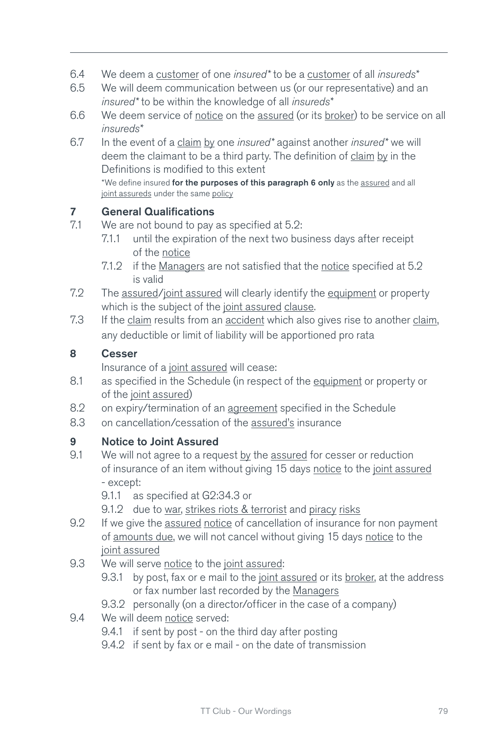- 6.4 We deem a customer of one *insured\** to be a customer of all *insureds\**
- We will deem communication between us (or our representative) and an *insured\** to be within the knowledge of all *insureds\**
- 6.6 We deem service of notice on the assured (or its broker) to be service on all *insureds\**
- 6.7 In the event of a claim by one *insured\** against another *insured\** we will deem the claimant to be a third party. The definition of claim by in the Definitions is modified to this extent

\*We define insured for the purposes of this paragraph 6 only as the assured and all joint assureds under the same policy

## 7 General Qualifications

- 7.1 We are not bound to pay as specified at 5.2:
	- 7.1.1 until the expiration of the next two business days after receipt of the notice
	- 7.1.2 if the Managers are not satisfied that the notice specified at 5.2 is valid
- 7.2 The assured/joint assured will clearly identify the equipment or property which is the subject of the joint assured clause.
- 7.3 If the claim results from an accident which also gives rise to another claim, any deductible or limit of liability will be apportioned pro rata

## 8 Cesser

Insurance of a joint assured will cease:

- 8.1 as specified in the Schedule (in respect of the equipment or property or of the joint assured)
- 8.2 on expiry/termination of an agreement specified in the Schedule
- 8.3 on cancellation/cessation of the assured's insurance

## 9 Notice to Joint Assured

- 9.1 We will not agree to a request by the assured for cesser or reduction of insurance of an item without giving 15 days notice to the joint assured - except:
	- 9.1.1 as specified at G2:34.3 or
	- 9.1.2 due to war, strikes riots & terrorist and piracy risks
- 9.2 If we give the assured notice of cancellation of insurance for non payment of amounts due, we will not cancel without giving 15 days notice to the joint assured
- 9.3 We will serve notice to the joint assured:
	- 9.3.1 by post, fax or e mail to the joint assured or its broker, at the address or fax number last recorded by the Managers
	- 9.3.2 personally (on a director/officer in the case of a company)
- 9.4 We will deem notice served:
	- 9.4.1 if sent by post on the third day after posting
	- 9.4.2 if sent by fax or e mail on the date of transmission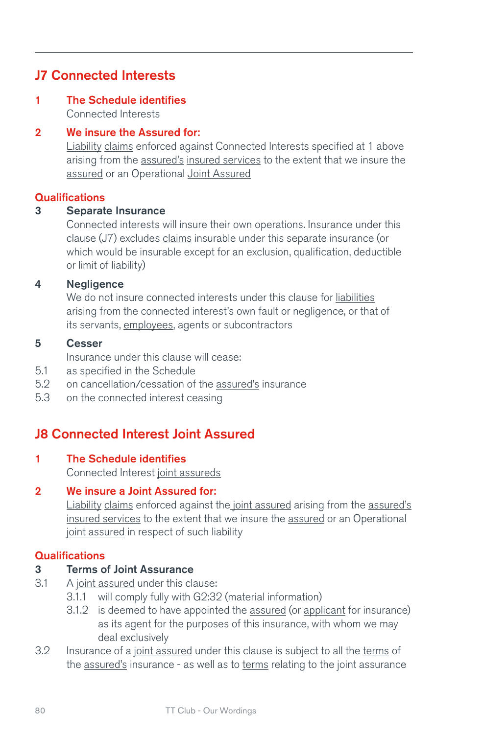# J7 Connected Interests

## 1 The Schedule identifies Connected Interests

## 2 We insure the Assured for:

Liability claims enforced against Connected Interests specified at 1 above arising from the assured's insured services to the extent that we insure the assured or an Operational Joint Assured

## **Qualifications**

## 3 Separate Insurance

 Connected interests will insure their own operations. Insurance under this clause (J7) excludes claims insurable under this separate insurance (or which would be insurable except for an exclusion, qualification, deductible or limit of liability)

## 4 Negligence

We do not insure connected interests under this clause for liabilities arising from the connected interest's own fault or negligence, or that of its servants, employees, agents or subcontractors

## 5 Cesser

Insurance under this clause will cease:

- 5.1 as specified in the Schedule
- 5.2 on cancellation/cessation of the assured's insurance
- 5.3 on the connected interest ceasing

# J8 Connected Interest Joint Assured

## 1 The Schedule identifies

Connected Interest joint assureds

## 2 We insure a Joint Assured for:

Liability claims enforced against the joint assured arising from the assured's insured services to the extent that we insure the assured or an Operational joint assured in respect of such liability

## **Qualifications**

## 3 Terms of Joint Assurance

- 3.1 A joint assured under this clause:
	- 3.1.1 will comply fully with G2:32 (material information)
	- 3.1.2 is deemed to have appointed the assured (or applicant for insurance) as its agent for the purposes of this insurance, with whom we may deal exclusively
- 3.2 Insurance of a joint assured under this clause is subject to all the terms of the assured's insurance - as well as to terms relating to the joint assurance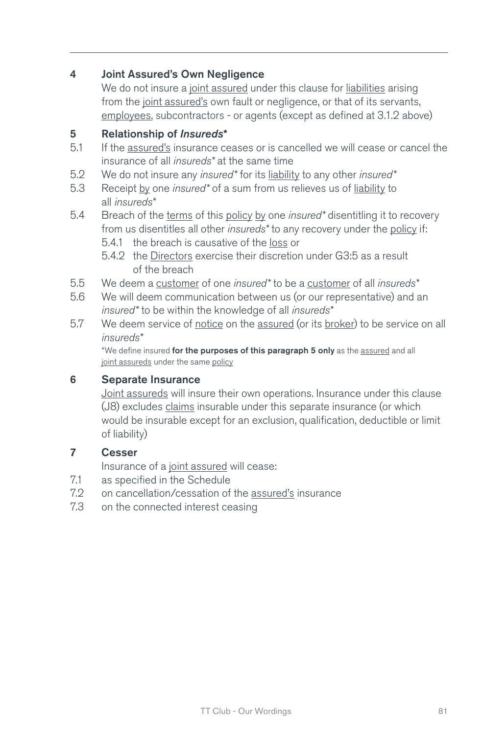## 4 Joint Assured's Own Negligence

We do not insure a joint assured under this clause for liabilities arising from the joint assured's own fault or negligence, or that of its servants, employees, subcontractors - or agents (except as defined at 3.1.2 above)

## 5 Relationship of *Insureds*\*

- 5.1 If the assured's insurance ceases or is cancelled we will cease or cancel the insurance of all *insureds\** at the same time
- 5.2 We do not insure any *insured\** for its liability to any other *insured\**
- 5.3 Receipt by one *insured\** of a sum from us relieves us of liability to all *insureds\**
- 5.4 Breach of the terms of this policy by one *insured\** disentitling it to recovery from us disentitles all other *insureds\** to any recovery under the policy if:
	- 5.4.1 the breach is causative of the loss or
	- 5.4.2 the Directors exercise their discretion under G3:5 as a result of the breach
- 5.5 We deem a customer of one *insured\** to be a customer of all *insureds\**
- 5.6 We will deem communication between us (or our representative) and an *insured\** to be within the knowledge of all *insureds\**
- 5.7 We deem service of notice on the assured (or its broker) to be service on all *insureds\**

\*We define insured for the purposes of this paragraph 5 only as the assured and all joint assureds under the same policy

## 6 Separate Insurance

 Joint assureds will insure their own operations. Insurance under this clause (J8) excludes claims insurable under this separate insurance (or which would be insurable except for an exclusion, qualification, deductible or limit of liability)

## 7 Cesser

- 7.1 as specified in the Schedule
- 7.2 on cancellation/cessation of the assured's insurance
- 7.3 on the connected interest ceasing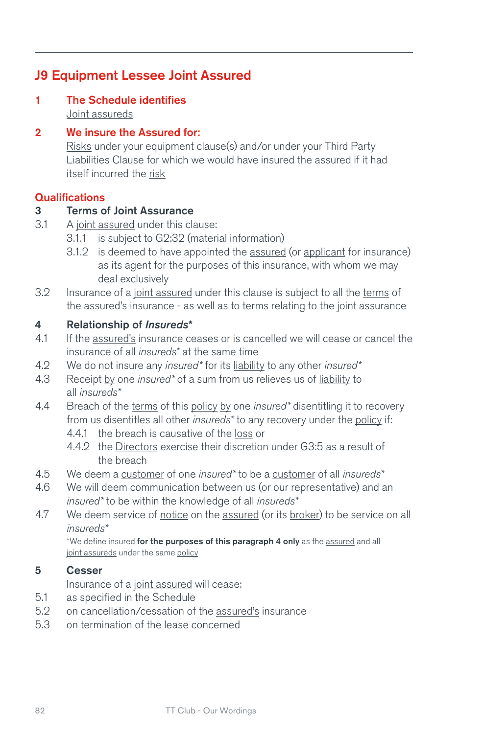# J9 Equipment Lessee Joint Assured

## 1 The Schedule identifies Joint assureds

## 2 We insure the Assured for:

 Risks under your equipment clause(s) and/or under your Third Party Liabilities Clause for which we would have insured the assured if it had itself incurred the risk

## **Qualifications**

## 3 Terms of Joint Assurance

- 3.1 A joint assured under this clause:
	- 3.1.1 is subject to G2:32 (material information)
		- 3.1.2 is deemed to have appointed the assured (or applicant for insurance) as its agent for the purposes of this insurance, with whom we may deal exclusively
- 3.2 Insurance of a joint assured under this clause is subject to all the terms of the assured's insurance - as well as to terms relating to the joint assurance

# 4 Relationship of *Insureds*\*

- If the assured's insurance ceases or is cancelled we will cease or cancel the insurance of all *insureds\** at the same time
- 4.2 We do not insure any *insured\** for its liability to any other *insured\**
- 4.3 Receipt by one *insured\** of a sum from us relieves us of liability to all *insureds\**
- 4.4 Breach of the terms of this policy by one *insured\** disentitling it to recovery from us disentitles all other *insureds\** to any recovery under the policy if:
	- 4.4.1 the breach is causative of the loss or
	- 4.4.2 the Directors exercise their discretion under G3:5 as a result of the breach
- 4.5 We deem a customer of one *insured\** to be a customer of all *insureds\**
- 4.6 We will deem communication between us (or our representative) and an *insured\** to be within the knowledge of all *insureds\**
- 4.7 We deem service of notice on the assured (or its broker) to be service on all *insureds\**

\*We define insured for the purposes of this paragraph 4 only as the assured and all joint assureds under the same policy

## 5 Cesser

- 5.1 as specified in the Schedule
- 5.2 on cancellation/cessation of the assured's insurance
- 5.3 on termination of the lease concerned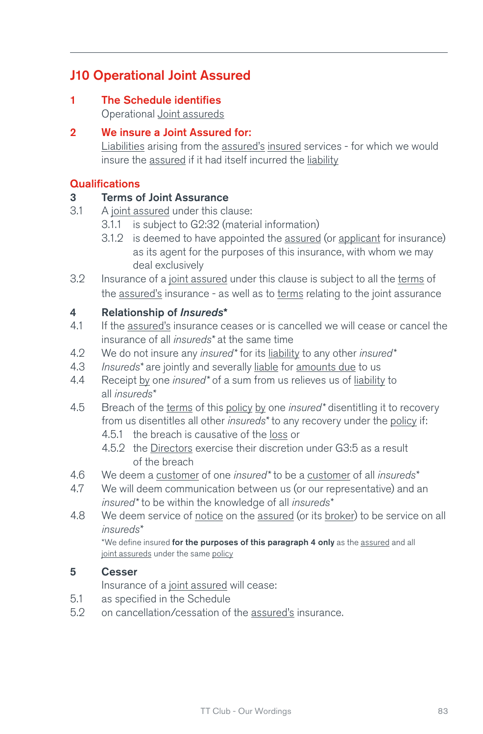# J10 Operational Joint Assured

1 The Schedule identifies Operational Joint assureds

## 2 We insure a Joint Assured for:

 Liabilities arising from the assured's insured services - for which we would insure the assured if it had itself incurred the liability

## **Qualifications**

# **3 Terms of Joint Assurance**<br> $\overline{31}$  **A** joint assured under this cla

- 3.1 A joint assured under this clause:
	- 3.1.1 is subject to G2:32 (material information)
	- 3.1.2 is deemed to have appointed the assured (or applicant for insurance) as its agent for the purposes of this insurance, with whom we may deal exclusively
- 3.2 Insurance of a joint assured under this clause is subject to all the terms of the assured's insurance - as well as to terms relating to the joint assurance

## 4 Relationship of *Insureds*\*

- 4.1 If the assured's insurance ceases or is cancelled we will cease or cancel the insurance of all *insureds\** at the same time
- 4.2 We do not insure any *insured\** for its liability to any other *insured\**
- 4.3 *Insureds\** are jointly and severally liable for amounts due to us
- 4.4 Receipt by one *insured\** of a sum from us relieves us of liability to all *insureds\**
- 4.5 Breach of the terms of this policy by one *insured\** disentitling it to recovery from us disentitles all other *insureds\** to any recovery under the policy if:
	- 4.5.1 the breach is causative of the loss or
	- 4.5.2 the Directors exercise their discretion under G3:5 as a result of the breach
- 4.6 We deem a customer of one *insured\** to be a customer of all *insureds\**
- 4.7 We will deem communication between us (or our representative) and an *insured\** to be within the knowledge of all *insureds\**
- 4.8 We deem service of notice on the assured (or its broker) to be service on all *insureds\**

\*We define insured for the purposes of this paragraph 4 only as the assured and all joint assureds under the same policy

## 5 Cesser

- 5.1 as specified in the Schedule
- 5.2 on cancellation/cessation of the assured's insurance.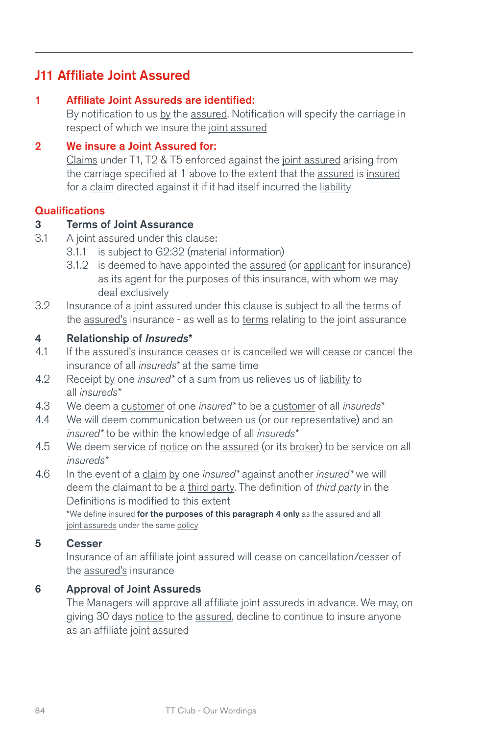# J11 Affiliate Joint Assured

## 1 Affiliate Joint Assureds are identified:

 By notification to us by the assured. Notification will specify the carriage in respect of which we insure the joint assured

## 2 We insure a Joint Assured for:

Claims under T1, T2 & T5 enforced against the joint assured arising from the carriage specified at 1 above to the extent that the assured is insured for a claim directed against it if it had itself incurred the liability

## **Qualifications**

## 3 Terms of Joint Assurance

- 3.1 A joint assured under this clause:
	- 3.1.1 is subject to G2:32 (material information)
	- 3.1.2 is deemed to have appointed the assured (or applicant for insurance) as its agent for the purposes of this insurance, with whom we may deal exclusively
- 3.2 Insurance of a joint assured under this clause is subject to all the terms of the assured's insurance - as well as to terms relating to the joint assurance

## 4 Relationship of *Insureds*\*

- 4.1 If the assured's insurance ceases or is cancelled we will cease or cancel the insurance of all *insureds\** at the same time
- 4.2 Receipt by one *insured\** of a sum from us relieves us of liability to all *insureds\**
- 4.3 We deem a customer of one *insured\** to be a customer of all *insureds\**
- 4.4 We will deem communication between us (or our representative) and an *insured\** to be within the knowledge of all *insureds\**
- 4.5 We deem service of notice on the assured (or its broker) to be service on all *insureds\**
- 4.6 In the event of a claim by one *insured\** against another *insured\** we will deem the claimant to be a third party. The definition of *third party* in the Definitions is modified to this extent

 \*We define insured for the purposes of this paragraph 4 only as the assured and all joint assureds under the same policy

## 5 Cesser

 Insurance of an affiliate joint assured will cease on cancellation/cesser of the assured's insurance

## 6 Approval of Joint Assureds

 The Managers will approve all affiliate joint assureds in advance. We may, on giving 30 days notice to the assured, decline to continue to insure anyone as an affiliate joint assured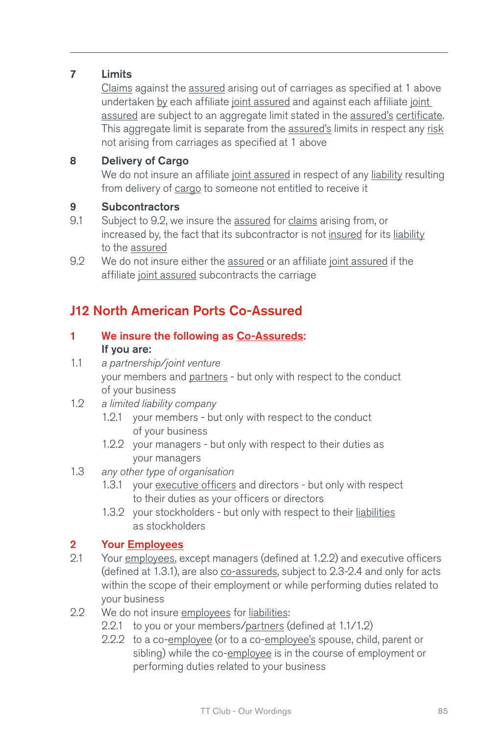## 7 Limits

 Claims against the assured arising out of carriages as specified at 1 above undertaken by each affiliate joint assured and against each affiliate joint assured are subject to an aggregate limit stated in the assured's certificate. This aggregate limit is separate from the assured's limits in respect any risk not arising from carriages as specified at 1 above

## 8 Delivery of Cargo

 We do not insure an affiliate joint assured in respect of any liability resulting from delivery of cargo to someone not entitled to receive it

## 9 Subcontractors

- 9.1 Subject to 9.2, we insure the assured for claims arising from, or increased by, the fact that its subcontractor is not insured for its liability to the assured
- 9.2 We do not insure either the assured or an affiliate joint assured if the affiliate joint assured subcontracts the carriage

# J12 North American Ports Co-Assured

## 1 We insure the following as Co-Assureds: If you are:

- 1.1 *a partnership/joint venture* your members and partners - but only with respect to the conduct of your business
- 1.2 *a limited liability company*
	- 1.2.1 your members but only with respect to the conduct of your business
	- 1.2.2 your managers but only with respect to their duties as your managers
- 1.3 *any other type of organisation*
	- 1.3.1 your executive officers and directors but only with respect to their duties as your officers or directors
	- 1.3.2 your stockholders but only with respect to their liabilities as stockholders

## 2 Your Employees

- 2.1 Your employees, except managers (defined at 1.2.2) and executive officers (defined at 1.3.1), are also co-assureds, subject to 2.3-2.4 and only for acts within the scope of their employment or while performing duties related to your business
- 2.2 We do not insure employees for liabilities:
	- 2.2.1 to you or your members/partners (defined at 1.1/1.2)
	- 2.2.2 to a co-employee (or to a co-employee's spouse, child, parent or sibling) while the co-employee is in the course of employment or performing duties related to your business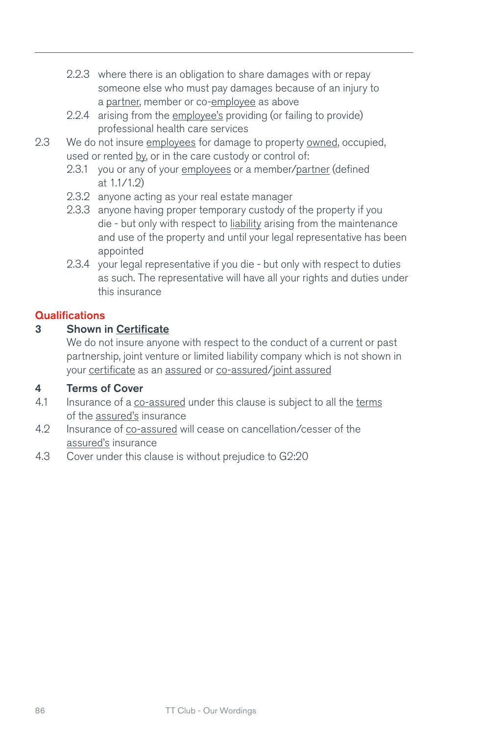- 2.2.3 where there is an obligation to share damages with or repay someone else who must pay damages because of an injury to a partner, member or co-employee as above
- 2.2.4 arising from the employee's providing (or failing to provide) professional health care services
- 2.3 We do not insure employees for damage to property owned, occupied, used or rented by, or in the care custody or control of:
	- 2.3.1 you or any of your employees or a member/partner (defined at 1.1/1.2)
	- 2.3.2 anyone acting as your real estate manager
	- 2.3.3 anyone having proper temporary custody of the property if you die - but only with respect to liability arising from the maintenance and use of the property and until your legal representative has been appointed
	- 2.3.4 your legal representative if you die but only with respect to duties as such. The representative will have all your rights and duties under this insurance

## **Qualifications**

## 3 Shown in Certificate

 We do not insure anyone with respect to the conduct of a current or past partnership, joint venture or limited liability company which is not shown in your certificate as an assured or co-assured/joint assured

## 4 Terms of Cover

- 4.1 Insurance of a co-assured under this clause is subject to all the terms of the assured's insurance
- 4.2 Insurance of co-assured will cease on cancellation/cesser of the assured's insurance
- 4.3 Cover under this clause is without prejudice to G2:20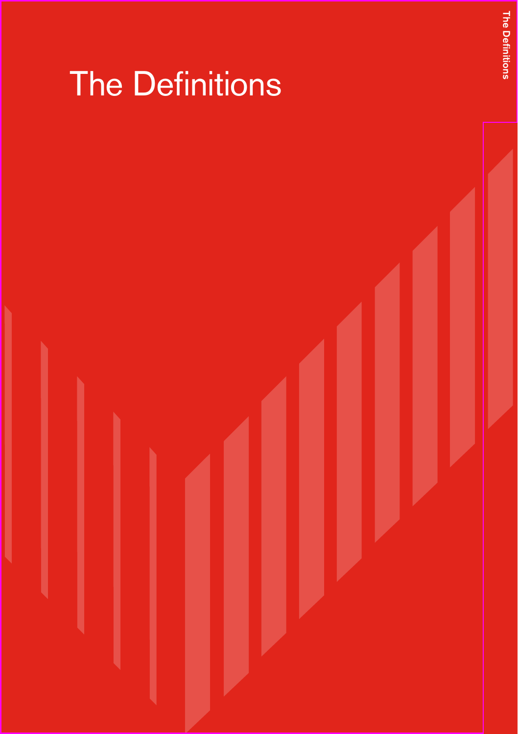# The Definitions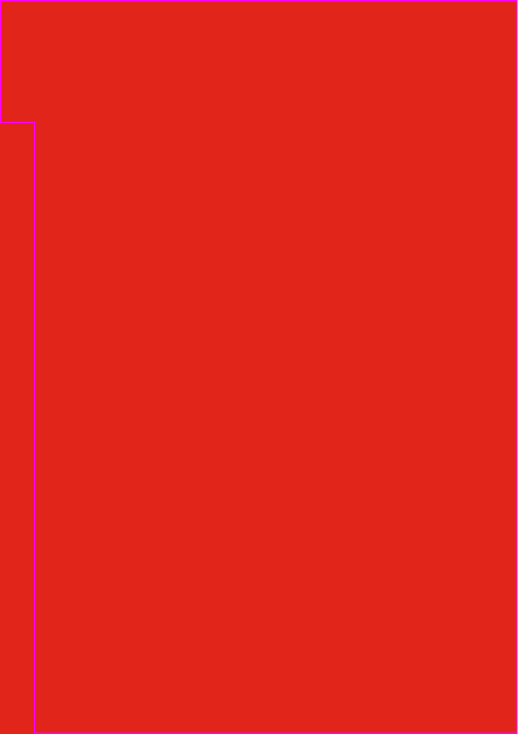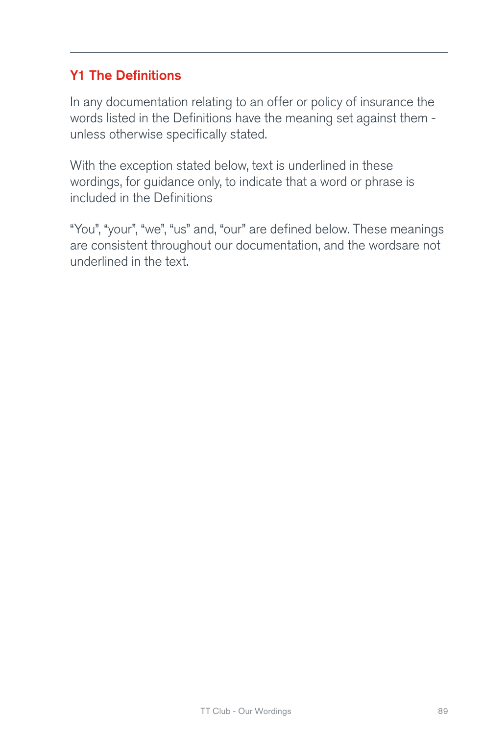# Y1 The Definitions

In any documentation relating to an offer or policy of insurance the words listed in the Definitions have the meaning set against them unless otherwise specifically stated.

With the exception stated below, text is underlined in these wordings, for guidance only, to indicate that a word or phrase is included in the Definitions

"You", "your", "we", "us" and, "our" are defined below. These meanings are consistent throughout our documentation, and the wordsare not underlined in the text.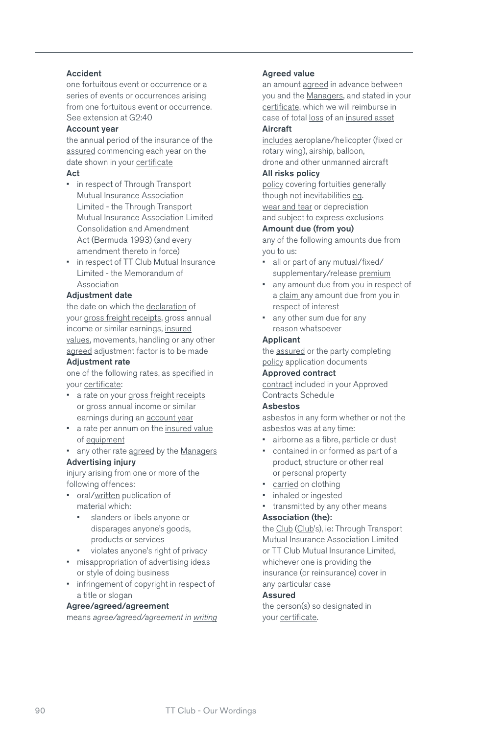## Accident

 one fortuitous event or occurrence or a series of events or occurrences arising from one fortuitous event or occurrence. See extension at G2:40

#### Account year

 the annual period of the insurance of the assured commencing each year on the date shown in your certificate

- Act
- in respect of Through Transport Mutual Insurance Association Limited - the Through Transport Mutual Insurance Association Limited Consolidation and Amendment Act (Bermuda 1993) (and every amendment thereto in force)
- in respect of TT Club Mutual Insurance Limited - the Memorandum of Association

#### Adjustment date

the date on which the declaration of your gross freight receipts, gross annual income or similar earnings, insured values, movements, handling or any other agreed adjustment factor is to be made

#### Adjustment rate

 one of the following rates, as specified in your certificate:

- a rate on your gross freight receipts or gross annual income or similar earnings during an account year
- a rate per annum on the insured value of equipment
- any other rate agreed by the Managers Advertising injury

 injury arising from one or more of the following offences:

- oral/written publication of material which:
	- slanders or libels anyone or disparages anyone's goods, products or services
	- violates anyone's right of privacy
- misappropriation of advertising ideas or style of doing business
- infringement of copyright in respect of a title or slogan

#### Agree/agreed/agreement

means *agree/agreed/agreement in writing*

#### Agreed value

 an amount agreed in advance between you and the Managers, and stated in your certificate, which we will reimburse in case of total loss of an insured asset Aircraft

# includes aeroplane/helicopter (fixed or

rotary wing), airship, balloon, drone and other unmanned aircraft

#### All risks policy

 policy covering fortuities generally though not inevitabilities eg. wear and tear or depreciation and subject to express exclusions

#### Amount due (from you)

 any of the following amounts due from you to us:

- all or part of any mutual/fixed/ supplementary/release premium
- any amount due from you in respect of a claim any amount due from you in respect of interest
- any other sum due for any reason whatsoever

#### Applicant

 the assured or the party completing policy application documents

#### Approved contract

 contract included in your Approved Contracts Schedule

#### Asbestos

 asbestos in any form whether or not the asbestos was at any time:

- airborne as a fibre, particle or dust
- contained in or formed as part of a product, structure or other real or personal property
- carried on clothing
- inhaled or ingested
- transmitted by any other means

#### Association (the):

 the Club (Club's), ie: Through Transport Mutual Insurance Association Limited or TT Club Mutual Insurance Limited, whichever one is providing the insurance (or reinsurance) cover in any particular case

#### Assured

 the person(s) so designated in your certificate.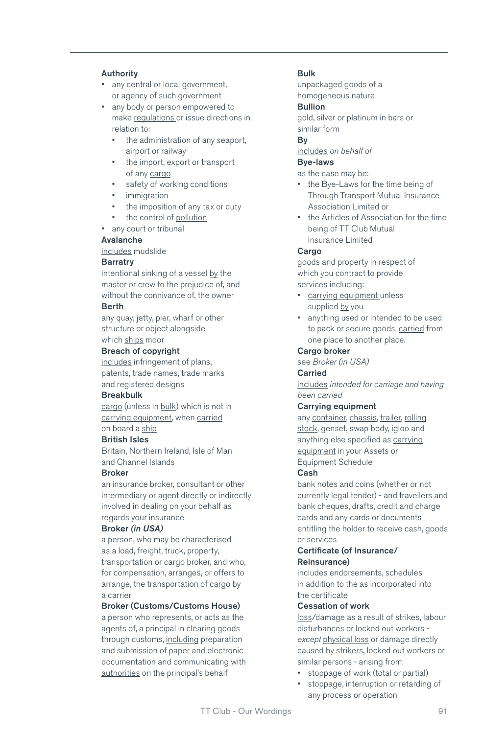#### Authority

- any central or local government, or agency of such government
- any body or person empowered to make regulations or issue directions in relation to:
	- the administration of any seaport, airport or railway
	- the import, export or transport of any cargo
	- safety of working conditions
	- immigration
	- the imposition of any tax or duty
	- the control of pollution
- any court or tribunal

#### Avalanche

includes mudslide

#### **Barratry**

 intentional sinking of a vessel by the master or crew to the prejudice of, and without the connivance of, the owner

#### Berth

 any quay, jetty, pier, wharf or other structure or object alongside which ships moor

#### Breach of copyright

includes infringement of plans, patents, trade names, trade marks and registered designs

#### Breakbulk

cargo (unless in bulk) which is not in carrying equipment, when carried

## on board a ship

## British Isles

 Britain, Northern Ireland, Isle of Man and Channel Islands

#### Broker

 an insurance broker, consultant or other intermediary or agent directly or indirectly involved in dealing on your behalf as regards your insurance

#### Broker *(in USA)*

 a person, who may be characterised as a load, freight, truck, property, transportation or cargo broker, and who, for compensation, arranges, or offers to arrange, the transportation of cargo by a carrier

#### Broker (Customs/Customs House)

 a person who represents, or acts as the agents of, a principal in clearing goods through customs, including preparation and submission of paper and electronic documentation and communicating with authorities on the principal's behalf

#### Bulk

 unpackaged goods of a homogeneous nature

#### Bullion

 gold, silver or platinum in bars or similar form

## By

includes *on behalf of*

## Bye-laws

as the case may be:

- the Bye-Laws for the time being of Through Transport Mutual Insurance Association Limited or
- the Articles of Association for the time being of TT Club Mutual Insurance Limited

#### Cargo

 goods and property in respect of which you contract to provide services including:

- carrying equipment unless supplied by you
- anything used or intended to be used to pack or secure goods, carried from one place to another place.

#### Cargo broker

see *Broker (in USA)*

#### Carried

 includes *intended for carriage and having been carried*

#### Carrying equipment

 any container, chassis, trailer, rolling stock, genset, swap body, igloo and anything else specified as carrying equipment in your Assets or Equipment Schedule

#### Cash

 bank notes and coins (whether or not currently legal tender) - and travellers and bank cheques, drafts, credit and charge cards and any cards or documents entitling the holder to receive cash, goods or services

#### Certificate (of Insurance/

#### Reinsurance)

 includes endorsements, schedules in addition to the as incorporated into the certificate

#### Cessation of work

loss/damage as a result of strikes, labour disturbances or locked out workers *except* physical loss or damage directly caused by strikers, locked out workers or similar persons - arising from:

- stoppage of work (total or partial)
- stoppage, interruption or retarding of any process or operation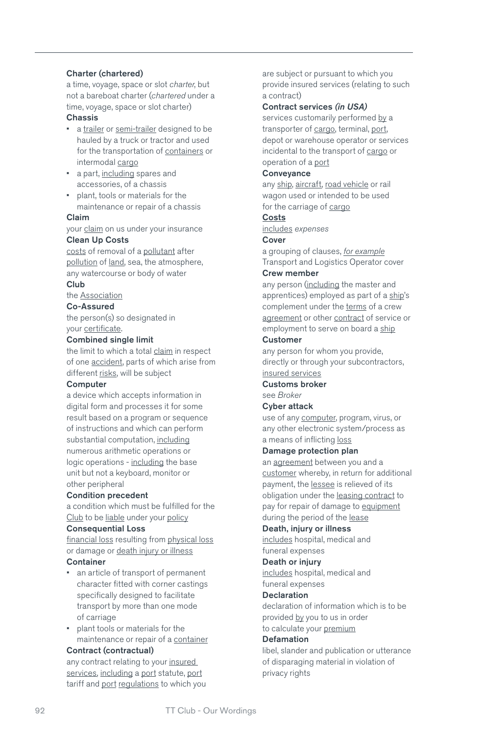#### Charter (chartered)

 a time, voyage, space or slot *charter*, but not a bareboat charter (*chartered* under a time, voyage, space or slot charter)

#### Chassis

- a trailer or semi-trailer designed to be hauled by a truck or tractor and used for the transportation of containers or intermodal cargo
- a part, including spares and accessories, of a chassis
- plant, tools or materials for the maintenance or repair of a chassis

#### Claim

your claim on us under your insurance Clean Up Costs

## costs of removal of a pollutant after pollution of land, sea, the atmosphere, any watercourse or body of water

#### Club

the Association

#### Co-Assured

 the person(s) so designated in your certificate.

#### Combined single limit

the limit to which a total claim in respect of one accident, parts of which arise from different risks, will be subject

#### Computer

 a device which accepts information in digital form and processes it for some result based on a program or sequence of instructions and which can perform substantial computation, including numerous arithmetic operations or logic operations - including the base unit but not a keyboard, monitor or other peripheral

#### Condition precedent

 a condition which must be fulfilled for the Club to be liable under your policy

#### Consequential Loss

financial loss resulting from physical loss or damage or death injury or illness Container

- an article of transport of permanent character fitted with corner castings specifically designed to facilitate transport by more than one mode of carriage
- plant tools or materials for the maintenance or repair of a container

#### Contract (contractual)

 any contract relating to your insured services, including a port statute, port tariff and port regulations to which you are subject or pursuant to which you provide insured services (relating to such a contract)

#### Contract services *(in USA)*

services customarily performed by a transporter of cargo, terminal, port, depot or warehouse operator or services incidental to the transport of cargo or operation of a port

#### **Conveyance**

 any ship, aircraft, road vehicle or rail wagon used or intended to be used for the carriage of cargo

#### Costs

includes *expenses*

#### Cover

 a grouping of clauses, *for example* Transport and Logistics Operator cover

#### Crew member

 any person (including the master and apprentices) employed as part of a ship's complement under the terms of a crew agreement or other contract of service or employment to serve on board a ship

### Customer

 any person for whom you provide, directly or through your subcontractors, insured services

#### Customs broker

see *Broker*

## Cyber attack

 use of any computer, program, virus, or any other electronic system/process as a means of inflicting loss

#### Damage protection plan

 an agreement between you and a customer whereby, in return for additional payment, the lessee is relieved of its obligation under the leasing contract to pay for repair of damage to equipment during the period of the lease

#### Death, injury or illness

 includes hospital, medical and funeral expenses

#### Death or injury

 includes hospital, medical and funeral expenses

#### Declaration

 declaration of information which is to be provided by you to us in order to calculate your premium

## Defamation

 libel, slander and publication or utterance of disparaging material in violation of privacy rights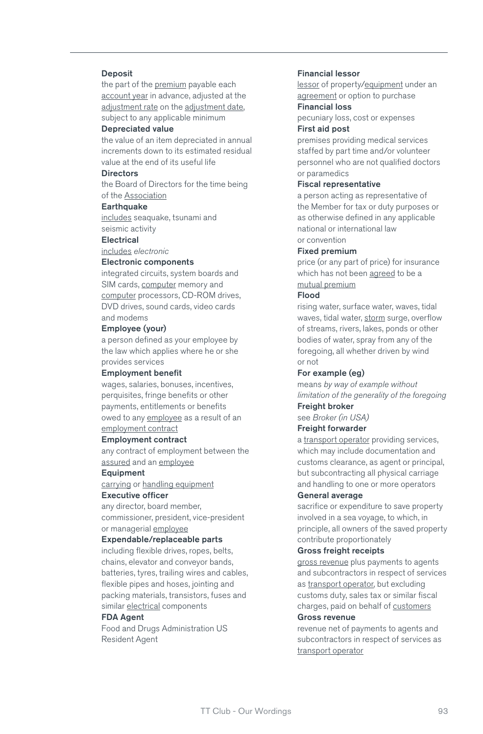#### **Deposit**

 the part of the premium payable each account year in advance, adjusted at the adjustment rate on the adjustment date, subject to any applicable minimum

#### Depreciated value

 the value of an item depreciated in annual increments down to its estimated residual value at the end of its useful life

#### **Directors**

 the Board of Directors for the time being of the Association

#### **Earthquake**

 includes seaquake, tsunami and seismic activity

#### **Electrical**

includes *electronic*

#### Electronic components

 integrated circuits, system boards and SIM cards, computer memory and computer processors, CD-ROM drives, DVD drives, sound cards, video cards and modems

#### Employee (your)

 a person defined as your employee by the law which applies where he or she provides services

#### Employment benefit

 wages, salaries, bonuses, incentives, perquisites, fringe benefits or other payments, entitlements or benefits owed to any employee as a result of an employment contract

#### Employment contract

 any contract of employment between the assured and an employee

#### Equipment

carrying or handling equipment Executive officer

any director, board member, commissioner, president, vice-president or managerial employee

#### Expendable/replaceable parts

 including flexible drives, ropes, belts, chains, elevator and conveyor bands, batteries, tyres, trailing wires and cables, flexible pipes and hoses, jointing and packing materials, transistors, fuses and similar electrical components

#### FDA Agent

 Food and Drugs Administration US Resident Agent

#### Financial lessor

lessor of property/equipment under an agreement or option to purchase Financial loss

## pecuniary loss, cost or expenses

First aid post

 premises providing medical services staffed by part time and/or volunteer personnel who are not qualified doctors or paramedics

#### Fiscal representative

 a person acting as representative of the Member for tax or duty purposes or as otherwise defined in any applicable national or international law or convention

#### Fixed premium

 price (or any part of price) for insurance which has not been agreed to be a mutual premium

#### Flood

 rising water, surface water, waves, tidal waves, tidal water, storm surge, overflow of streams, rivers, lakes, ponds or other bodies of water, spray from any of the foregoing, all whether driven by wind or not

#### For example (eg)

 means *by way of example without limitation of the generality of the foregoing*

#### Freight broker

see *Broker (in USA)*

#### Freight forwarder

 a transport operator providing services, which may include documentation and customs clearance, as agent or principal, but subcontracting all physical carriage and handling to one or more operators General average

 sacrifice or expenditure to save property involved in a sea voyage, to which, in principle, all owners of the saved property contribute proportionately

#### Gross freight receipts

gross revenue plus payments to agents and subcontractors in respect of services as transport operator, but excluding customs duty, sales tax or similar fiscal charges, paid on behalf of customers Gross revenue

 revenue net of payments to agents and subcontractors in respect of services as transport operator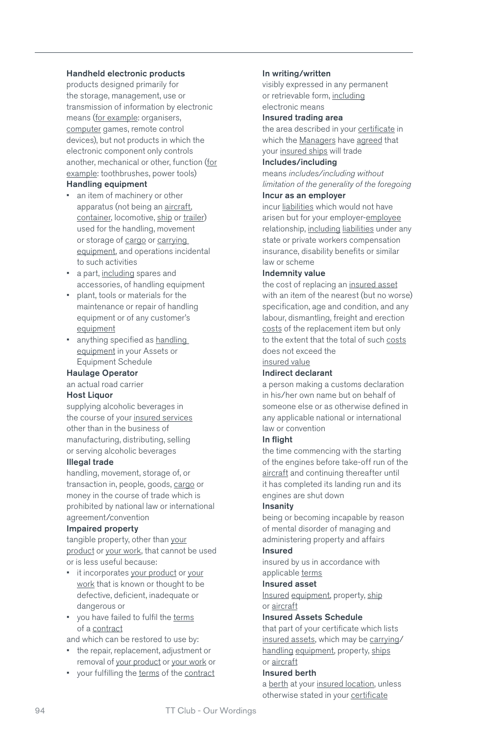#### Handheld electronic products

 products designed primarily for the storage, management, use or transmission of information by electronic means (for example: organisers, computer games, remote control devices), but not products in which the electronic component only controls another, mechanical or other, function (for example: toothbrushes, power tools)

### Handling equipment

- an item of machinery or other apparatus (not being an aircraft, container, locomotive, ship or trailer) used for the handling, movement or storage of cargo or carrying equipment, and operations incidental to such activities
- a part, including spares and accessories, of handling equipment
- plant, tools or materials for the maintenance or repair of handling equipment or of any customer's equipment
- anything specified as handling equipment in your Assets or Equipment Schedule

#### Haulage Operator

an actual road carrier

#### Host Liquor

 supplying alcoholic beverages in the course of your insured services other than in the business of manufacturing, distributing, selling or serving alcoholic beverages

#### Illegal trade

handling, movement, storage of, or transaction in, people, goods, cargo or money in the course of trade which is prohibited by national law or international agreement/convention

#### Impaired property

 tangible property, other than your product or your work, that cannot be used or is less useful because:

- it incorporates your product or your work that is known or thought to be defective, deficient, inadequate or dangerous or
- you have failed to fulfil the terms of a contract

and which can be restored to use by:

- the repair, replacement, adjustment or removal of your product or your work or
- your fulfilling the terms of the contract

#### In writing/written

visibly expressed in any permanent or retrievable form, including electronic means

#### Insured trading area

 the area described in your certificate in which the Managers have agreed that your insured ships will trade

#### Includes/including

 means *includes/including without limitation of the generality of the foregoing*

#### Incur as an employer

 incur liabilities which would not have arisen but for your employer-employee relationship, including liabilities under any state or private workers compensation insurance, disability benefits or similar law or scheme

#### Indemnity value

 the cost of replacing an insured asset with an item of the nearest (but no worse) specification, age and condition, and any labour, dismantling, freight and erection costs of the replacement item but only to the extent that the total of such costs does not exceed the

## insured value

## Indirect declarant

 a person making a customs declaration in his/her own name but on behalf of someone else or as otherwise defined in any applicable national or international law or convention

#### In flight

 the time commencing with the starting of the engines before take-off run of the aircraft and continuing thereafter until it has completed its landing run and its engines are shut down

#### Insanity

 being or becoming incapable by reason of mental disorder of managing and administering property and affairs

#### Insured

 insured by us in accordance with applicable terms

#### Insured asset

Insured equipment, property, ship or aircraft

## Insured Assets Schedule

 that part of your certificate which lists insured assets, which may be carrying/ handling equipment, property, ships or aircraft

#### Insured berth

 a berth at your insured location, unless otherwise stated in your certificate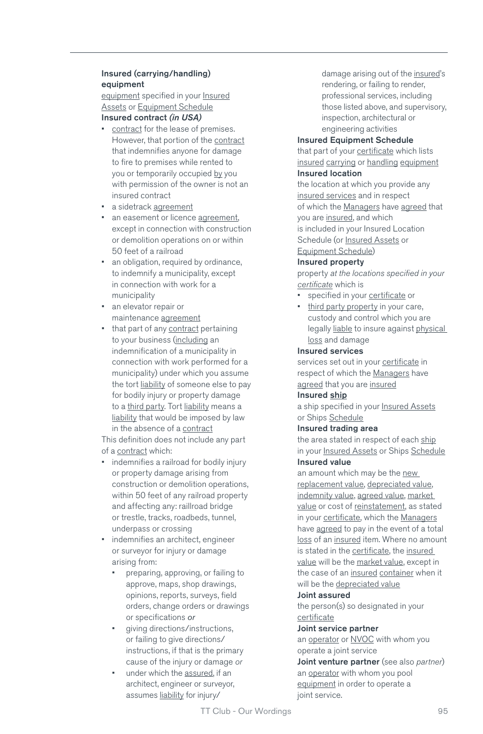#### Insured (carrying/handling) equipment

equipment specified in your Insured Assets or Equipment Schedule

## Insured contract *(in USA)*

- contract for the lease of premises. However, that portion of the contract that indemnifies anyone for damage to fire to premises while rented to you or temporarily occupied by you with permission of the owner is not an insured contract
- a sidetrack agreement
- an easement or licence agreement, except in connection with construction or demolition operations on or within 50 feet of a railroad
- an obligation, required by ordinance, to indemnify a municipality, except in connection with work for a municipality
- an elevator repair or maintenance agreement
- that part of any contract pertaining to your business (including an indemnification of a municipality in connection with work performed for a municipality) under which you assume the tort liability of someone else to pay for bodily injury or property damage to a third party. Tort liability means a liability that would be imposed by law in the absence of a contract

 This definition does not include any part of a contract which:

- indemnifies a railroad for bodily injury or property damage arising from construction or demolition operations, within 50 feet of any railroad property and affecting any: raillroad bridge or trestle, tracks, roadbeds, tunnel, underpass or crossing
- indemnifies an architect, engineer or surveyor for injury or damage arising from:
	- preparing, approving, or failing to approve, maps, shop drawings, opinions, reports, surveys, field orders, change orders or drawings or specifications *or*
	- giving directions/instructions, or failing to give directions/ instructions, if that is the primary cause of the injury or damage *or*
	- under which the assured, if an architect, engineer or surveyor, assumes liability for injury/

damage arising out of the insured's rendering, or failing to render, professional services, including those listed above, and supervisory, inspection, architectural or engineering activities

Insured Equipment Schedule

 that part of your certificate which lists insured carrying or handling equipment Insured location

 the location at which you provide any insured services and in respect of which the Managers have agreed that you are insured, and which is included in your Insured Location Schedule (or Insured Assets or Equipment Schedule)

#### Insured property

 property *at the locations specified in your certificate* which is

- specified in your certificate or
- third party property in your care, custody and control which you are legally liable to insure against physical loss and damage

#### Insured services

 services set out in your certificate in respect of which the Managers have agreed that you are insured

#### Insured ship

 a ship specified in your Insured Assets or Ships Schedule

#### Insured trading area

 the area stated in respect of each ship in your Insured Assets or Ships Schedule Insured value

an amount which may be the new replacement value, depreciated value, indemnity value, agreed value, market value or cost of reinstatement, as stated in your certificate, which the Managers have agreed to pay in the event of a total loss of an insured item. Where no amount is stated in the certificate, the insured value will be the market value, except in the case of an insured container when it will be the depreciated value

#### Joint assured

 the person(s) so designated in your certificate

#### Joint service partner

 an operator or NVOC with whom you operate a joint service Joint venture partner (see also *partner*) an operator with whom you pool equipment in order to operate a joint service.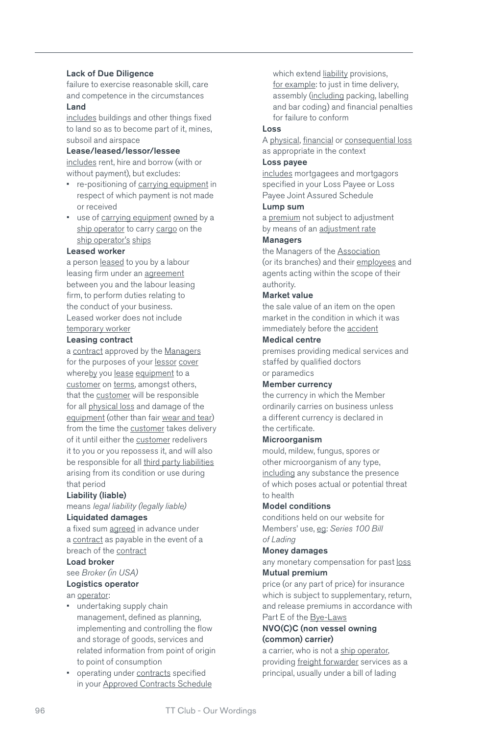#### Lack of Due Diligence

 failure to exercise reasonable skill, care and competence in the circumstances Land

includes buildings and other things fixed to land so as to become part of it, mines, subsoil and airspace

#### Lease/leased/lessor/lessee

 includes rent, hire and borrow (with or without payment), but excludes:

- re-positioning of carrying equipment in respect of which payment is not made or received
- use of carrying equipment owned by a ship operator to carry cargo on the ship operator's ships

#### Leased worker

a person leased to you by a labour leasing firm under an agreement between you and the labour leasing firm, to perform duties relating to the conduct of your business. Leased worker does not include temporary worker

#### Leasing contract

 a contract approved by the Managers for the purposes of your lessor cover whereby you lease equipment to a customer on terms, amongst others, that the customer will be responsible for all physical loss and damage of the equipment (other than fair wear and tear) from the time the customer takes delivery of it until either the customer redelivers it to you or you repossess it, and will also be responsible for all third party liabilities arising from its condition or use during that period

#### Liability (liable)

means *legal liability (legally liable)*

#### Liquidated damages

 a fixed sum agreed in advance under a contract as payable in the event of a breach of the contract

#### Load broker

see *Broker (in USA)*

## Logistics operator

an operator:

- undertaking supply chain management, defined as planning, implementing and controlling the flow and storage of goods, services and related information from point of origin to point of consumption
- operating under contracts specified in your Approved Contracts Schedule

which extend liability provisions, for example: to just in time delivery, assembly (including packing, labelling and bar coding) and financial penalties for failure to conform

#### Loss

 A physical, financial or consequential loss as appropriate in the context

#### Loss payee

includes mortgagees and mortgagors specified in your Loss Payee or Loss Payee Joint Assured Schedule

#### Lump sum

 a premium not subject to adjustment by means of an adjustment rate

## **Managers**

 the Managers of the Association (or its branches) and their employees and agents acting within the scope of their authority.

#### Market value

 the sale value of an item on the open market in the condition in which it was immediately before the accident

#### Medical centre

 premises providing medical services and staffed by qualified doctors or paramedics

#### Member currency

 the currency in which the Member ordinarily carries on business unless a different currency is declared in the certificate.

#### **Microorganism**

 mould, mildew, fungus, spores or other microorganism of any type, including any substance the presence of which poses actual or potential threat to health

#### Model conditions

 conditions held on our website for Members' use, eg: *Series 100 Bill of Lading*

#### Money damages

any monetary compensation for past loss Mutual premium

 price (or any part of price) for insurance which is subject to supplementary, return, and release premiums in accordance with Part E of the Bye-Laws

#### NVO(C)C (non vessel owning (common) carrier)

 a carrier, who is not a ship operator, providing freight forwarder services as a principal, usually under a bill of lading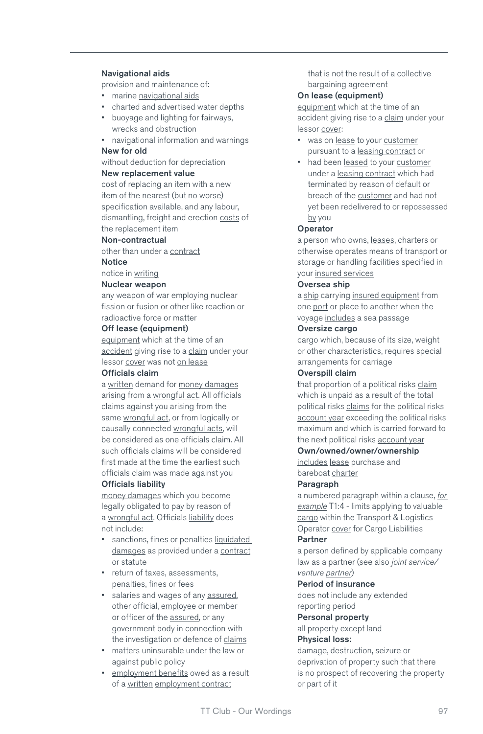#### Navigational aids

provision and maintenance of:

- marine navigational aids
- charted and advertised water depths
- buoyage and lighting for fairways, wrecks and obstruction
- navigational information and warnings

#### New for old

without deduction for depreciation

#### New replacement value

 cost of replacing an item with a new item of the nearest (but no worse) specification available, and any labour, dismantling, freight and erection costs of the replacement item

#### Non-contractual

other than under a contract Notice

notice in writing

#### Nuclear weapon

 any weapon of war employing nuclear fission or fusion or other like reaction or radioactive force or matter

#### Off lease (equipment)

equipment which at the time of an accident giving rise to a claim under your lessor cover was not on lease

#### Officials claim

 a written demand for money damages arising from a wrongful act. All officials claims against you arising from the same wrongful act, or from logically or causally connected wrongful acts, will be considered as one officials claim. All such officials claims will be considered first made at the time the earliest such officials claim was made against you

#### Officials liability

money damages which you become legally obligated to pay by reason of a wrongful act. Officials liability does not include:

- sanctions, fines or penalties liquidated damages as provided under a contract or statute
- return of taxes, assessments, penalties, fines or fees
- salaries and wages of any assured, other official, employee or member or officer of the assured, or any government body in connection with the investigation or defence of claims
- matters uninsurable under the law or against public policy
- employment benefits owed as a result of a written employment contract

that is not the result of a collective bargaining agreement

#### On lease (equipment)

equipment which at the time of an accident giving rise to a claim under your lessor cover:

- was on lease to your customer pursuant to a leasing contract or
- had been leased to your customer under a leasing contract which had terminated by reason of default or breach of the customer and had not yet been redelivered to or repossessed by you

#### **Operator**

 a person who owns, leases, charters or otherwise operates means of transport or storage or handling facilities specified in your insured services

#### Oversea ship

 a ship carrying insured equipment from one port or place to another when the voyage includes a sea passage

#### Oversize cargo

 cargo which, because of its size, weight or other characteristics, requires special arrangements for carriage

#### Overspill claim

 that proportion of a political risks claim which is unpaid as a result of the total political risks claims for the political risks account year exceeding the political risks maximum and which is carried forward to the next political risks account year

#### Own/owned/owner/ownership

 includes lease purchase and bareboat charter

#### Paragraph

a numbered paragraph within a clause, *for example* T1:4 - limits applying to valuable cargo within the Transport & Logistics Operator cover for Cargo Liabilities

#### Partner

 a person defined by applicable company law as a partner (see also *joint service/ venture partner*)

#### Period of insurance

 does not include any extended reporting period

#### Personal property

all property except land

#### Physical loss:

 damage, destruction, seizure or deprivation of property such that there is no prospect of recovering the property or part of it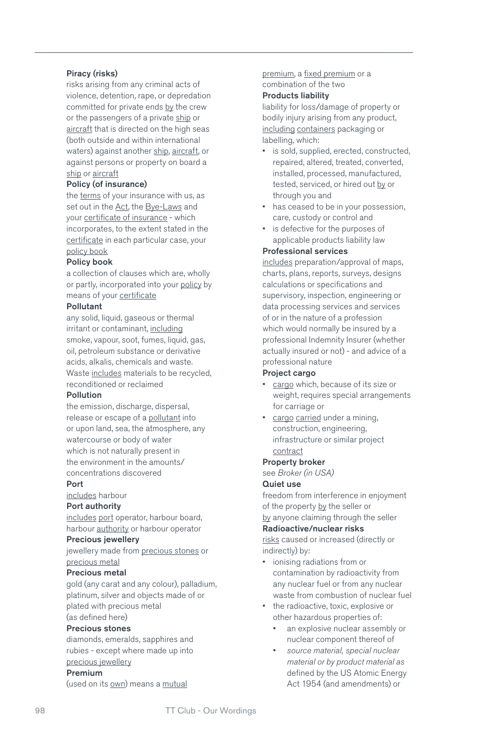### Piracy (risks)

 risks arising from any criminal acts of violence, detention, rape, or depredation committed for private ends by the crew or the passengers of a private ship or aircraft that is directed on the high seas (both outside and within international waters) against another ship, aircraft, or against persons or property on board a ship or aircraft

#### Policy (of insurance)

 the terms of your insurance with us, as set out in the Act, the Bye-Laws and your certificate of insurance - which incorporates, to the extent stated in the certificate in each particular case, your policy book

#### Policy book

 a collection of clauses which are, wholly or partly, incorporated into your policy by means of your certificate

#### Pollutant

 any solid, liquid, gaseous or thermal irritant or contaminant, including smoke, vapour, soot, fumes, liquid, gas, oil, petroleum substance or derivative acids, alkalis, chemicals and waste. Waste includes materials to be recycled, reconditioned or reclaimed

#### Pollution

the emission, discharge, dispersal, release or escape of a pollutant into or upon land, sea, the atmosphere, any watercourse or body of water which is not naturally present in the environment in the amounts/ concentrations discovered

#### Port

includes harbour

#### Port authority

 includes port operator, harbour board, harbour authority or harbour operator

#### Precious jewellery

 jewellery made from precious stones or precious metal

#### Precious metal

gold (any carat and any colour), palladium, platinum, silver and objects made of or plated with precious metal (as defined here)

#### Precious stones

diamonds, emeralds, sapphires and rubies - except where made up into precious jewellery

#### Premium

(used on its own) means a mutual

 premium, a fixed premium or a combination of the two

#### Products liability

 liability for loss/damage of property or bodily injury arising from any product, including containers packaging or labelling, which:

- is sold, supplied, erected, constructed, repaired, altered, treated, converted, installed, processed, manufactured, tested, serviced, or hired out by or through you and
- has ceased to be in your possession, care, custody or control and
- is defective for the purposes of applicable products liability law

#### Professional services

includes preparation/approval of maps, charts, plans, reports, surveys, designs calculations or specifications and supervisory, inspection, engineering or data processing services and services of or in the nature of a profession which would normally be insured by a professional Indemnity Insurer (whether actually insured or not) - and advice of a professional nature

#### Project cargo

- cargo which, because of its size or weight, requires special arrangements for carriage or
- cargo carried under a mining, construction, engineering, infrastructure or similar project contract

#### Property broker

see *Broker (in USA)*

#### Quiet use

 freedom from interference in enjoyment of the property by the seller or by anyone claiming through the seller

#### Radioactive/nuclear risks

risks caused or increased (directly or indirectly) by:

- ionising radiations from or contamination by radioactivity from any nuclear fuel or from any nuclear waste from combustion of nuclear fuel
- the radioactive, toxic, explosive or other hazardous properties of:
	- an explosive nuclear assembly or nuclear component thereof of
	- *source material, special nuclear material or by product material as* defined by the US Atomic Energy Act 1954 (and amendments) or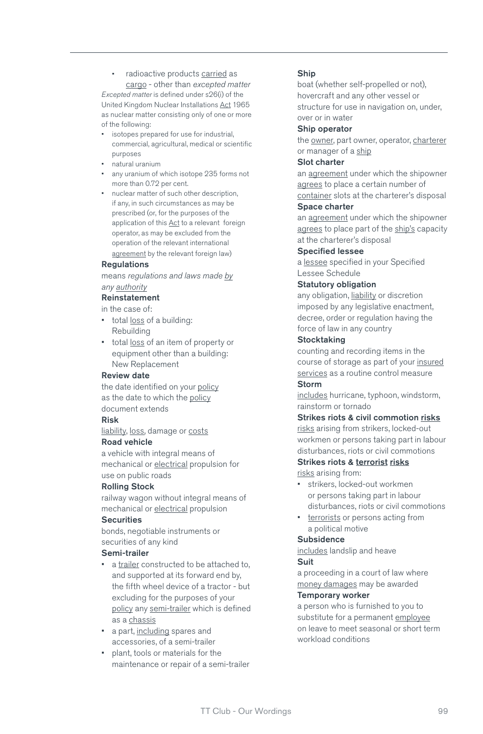• radioactive products carried as cargo - other than *excepted matter Excepted matter* is defined under s26(i) of the United Kingdom Nuclear Installations Act 1965 as nuclear matter consisting only of one or more of the following:

- isotopes prepared for use for industrial, commercial, agricultural, medical or scientific purposes
- natural uranium
- any uranium of which isotope 235 forms not more than 0.72 per cent.
- nuclear matter of such other description, if any, in such circumstances as may be prescribed (or, for the purposes of the application of this Act to a relevant foreign operator, as may be excluded from the operation of the relevant international agreement by the relevant foreign law)

#### **Requlations**

 means *regulations and laws made by any authority*

#### Reinstatement

in the case of:

- total loss of a building: Rebuilding
- total loss of an item of property or equipment other than a building: New Replacement

#### Review date

 the date identified on your policy as the date to which the policy document extends

#### Risk

liability, loss, damage or costs Road vehicle

 a vehicle with integral means of mechanical or electrical propulsion for use on public roads

#### Rolling Stock

 railway wagon without integral means of mechanical or electrical propulsion

#### **Securities**

 bonds, negotiable instruments or securities of any kind

#### Semi-trailer

- a trailer constructed to be attached to, and supported at its forward end by, the fifth wheel device of a tractor - but excluding for the purposes of your policy any semi-trailer which is defined as a chassis
- a part, including spares and accessories, of a semi-trailer
- plant, tools or materials for the maintenance or repair of a semi-trailer

#### Ship

 boat (whether self-propelled or not), hovercraft and any other vessel or structure for use in navigation on, under, over or in water

#### Ship operator

 the owner, part owner, operator, charterer or manager of a ship

#### Slot charter

 an agreement under which the shipowner agrees to place a certain number of container slots at the charterer's disposal

#### Space charter

 an agreement under which the shipowner agrees to place part of the ship's capacity at the charterer's disposal

#### Specified lessee

 a lessee specified in your Specified Lessee Schedule

#### Statutory obligation

 any obligation, liability or discretion imposed by any legislative enactment, decree, order or regulation having the force of law in any country

#### **Stocktaking**

 counting and recording items in the course of storage as part of your insured services as a routine control measure Storm

includes hurricane, typhoon, windstorm, rainstorm or tornado

#### Strikes riots & civil commotion risks

risks arising from strikers, locked-out workmen or persons taking part in labour disturbances, riots or civil commotions

#### Strikes riots & terrorist risks risks arising from:

• strikers, locked-out workmen or persons taking part in labour

- disturbances, riots or civil commotions • terrorists or persons acting from
- a political motive

#### **Subsidence**

includes landslip and heave Suit

 a proceeding in a court of law where money damages may be awarded

#### Temporary worker

 a person who is furnished to you to substitute for a permanent employee on leave to meet seasonal or short term workload conditions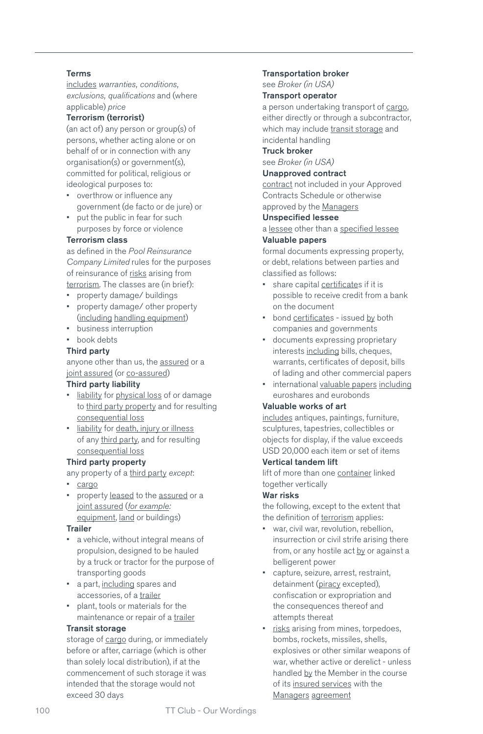#### Terms

includes *warranties, conditions, exclusions, qualifications* and (where applicable) *price*

#### Terrorism (terrorist)

 (an act of) any person or group(s) of persons, whether acting alone or on behalf of or in connection with any organisation(s) or government(s), committed for political, religious or ideological purposes to:

- overthrow or influence any government (de facto or de jure) or
- put the public in fear for such purposes by force or violence

#### Terrorism class

 as defined in the *Pool Reinsurance Company Limited* rules for the purposes of reinsurance of risks arising from terrorism. The classes are (in brief):

- property damage/ buildings
- property damage/ other property (including handling equipment)
- business interruption
- book debts

#### Third party

 anyone other than us, the assured or a joint assured (or co-assured)

#### Third party liability

- liability for physical loss of or damage to third party property and for resulting consequential loss
- liability for death, injury or illness of any third party, and for resulting consequential loss

#### Third party property

any property of a third party *except*:

- cargo
- property leased to the assured or a joint assured (*for example:*  equipment, land or buildings)

#### Trailer

- a vehicle, without integral means of propulsion, designed to be hauled by a truck or tractor for the purpose of transporting goods
- a part, including spares and accessories, of a trailer
- plant, tools or materials for the maintenance or repair of a trailer

#### Transit storage

 storage of cargo during, or immediately before or after, carriage (which is other than solely local distribution), if at the commencement of such storage it was intended that the storage would not exceed 30 days

#### Transportation broker

see *Broker (in USA)*

#### Transport operator

 a person undertaking transport of cargo, either directly or through a subcontractor, which may include transit storage and incidental handling

#### Truck broker

see *Broker (in USA)*

## Unapproved contract

contract not included in your Approved Contracts Schedule or otherwise approved by the Managers

#### Unspecified lessee

a lessee other than a specified lessee Valuable papers

 formal documents expressing property, or debt, relations between parties and classified as follows:

- share capital certificates if it is possible to receive credit from a bank on the document
- bond certificates issued by both companies and governments
- documents expressing proprietary interests including bills, cheques, warrants, certificates of deposit, bills of lading and other commercial papers
- international valuable papers including euroshares and eurobonds

#### Valuable works of art

includes antiques, paintings, furniture, sculptures, tapestries, collectibles or objects for display, if the value exceeds USD 20,000 each item or set of items

## Vertical tandem lift

 lift of more than one container linked together vertically

#### War risks

 the following, except to the extent that the definition of terrorism applies:

- war, civil war, revolution, rebellion, insurrection or civil strife arising there from, or any hostile act by or against a belligerent power
- capture, seizure, arrest, restraint, detainment (piracy excepted), confiscation or expropriation and the consequences thereof and attempts thereat
- risks arising from mines, torpedoes, bombs, rockets, missiles, shells, explosives or other similar weapons of war, whether active or derelict - unless handled by the Member in the course of its insured services with the Managers agreement